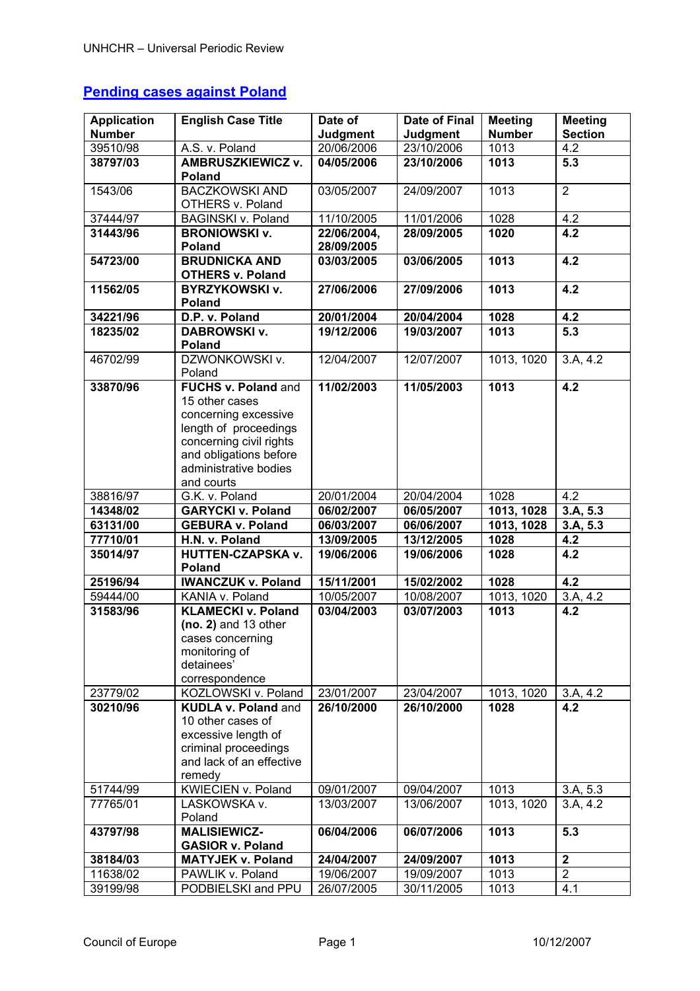# **Pending cases against Poland**

| <b>Application</b> | <b>English Case Title</b>                                                                                                                                                          | Date of<br><b>Judgment</b> | <b>Date of Final</b> | <b>Meeting</b><br><b>Number</b> | <b>Meeting</b><br><b>Section</b> |
|--------------------|------------------------------------------------------------------------------------------------------------------------------------------------------------------------------------|----------------------------|----------------------|---------------------------------|----------------------------------|
| <b>Number</b>      |                                                                                                                                                                                    |                            | Judgment             |                                 |                                  |
| 39510/98           | A.S. v. Poland                                                                                                                                                                     | 20/06/2006                 | 23/10/2006           | 1013                            | 4.2                              |
| 38797/03           | <b>AMBRUSZKIEWICZ v.</b><br><b>Poland</b>                                                                                                                                          | 04/05/2006                 | 23/10/2006           | 1013                            | 5.3                              |
| 1543/06            | <b>BACZKOWSKI AND</b><br>OTHERS v. Poland                                                                                                                                          | 03/05/2007                 | 24/09/2007           | 1013                            | $\overline{2}$                   |
| 37444/97           | <b>BAGINSKI v. Poland</b>                                                                                                                                                          | 11/10/2005                 | 11/01/2006           | 1028                            | 4.2                              |
| 31443/96           | <b>BRONIOWSKI v.</b>                                                                                                                                                               | 22/06/2004,                | 28/09/2005           | 1020                            | 4.2                              |
|                    | <b>Poland</b>                                                                                                                                                                      | 28/09/2005                 |                      |                                 |                                  |
| 54723/00           | <b>BRUDNICKA AND</b><br><b>OTHERS v. Poland</b>                                                                                                                                    | 03/03/2005                 | 03/06/2005           | 1013                            | 4.2                              |
| 11562/05           | <b>BYRZYKOWSKI v.</b><br>Poland                                                                                                                                                    | 27/06/2006                 | 27/09/2006           | 1013                            | 4.2                              |
| 34221/96           | D.P. v. Poland                                                                                                                                                                     | 20/01/2004                 | 20/04/2004           | 1028                            | 4.2                              |
| 18235/02           | <b>DABROWSKI v.</b><br><b>Poland</b>                                                                                                                                               | 19/12/2006                 | 19/03/2007           | 1013                            | 5.3                              |
| 46702/99           | DZWONKOWSKI v.<br>Poland                                                                                                                                                           | 12/04/2007                 | 12/07/2007           | 1013, 1020                      | 3.A, 4.2                         |
| 33870/96           | FUCHS v. Poland and<br>15 other cases<br>concerning excessive<br>length of proceedings<br>concerning civil rights<br>and obligations before<br>administrative bodies<br>and courts | 11/02/2003                 | 11/05/2003           | 1013                            | $\overline{4.2}$                 |
| 38816/97           | G.K. v. Poland                                                                                                                                                                     | 20/01/2004                 | 20/04/2004           | 1028                            | 4.2                              |
|                    |                                                                                                                                                                                    |                            |                      |                                 |                                  |
|                    |                                                                                                                                                                                    |                            |                      |                                 |                                  |
| 14348/02           | <b>GARYCKI v. Poland</b>                                                                                                                                                           | 06/02/2007                 | 06/05/2007           | 1013, 1028                      | 3.A, 5.3                         |
| 63131/00           | <b>GEBURA v. Poland</b>                                                                                                                                                            | 06/03/2007                 | 06/06/2007           | 1013, 1028                      | $3.A, 5.\overline{3}$            |
| 77710/01           | H.N. v. Poland                                                                                                                                                                     | 13/09/2005                 | 13/12/2005           | 1028                            | 4.2                              |
| 35014/97           | <b>HUTTEN-CZAPSKA v.</b><br>Poland                                                                                                                                                 | 19/06/2006                 | 19/06/2006           | 1028                            | 4.2                              |
| 25196/94           | <b>IWANCZUK v. Poland</b>                                                                                                                                                          | 15/11/2001                 | 15/02/2002           | 1028                            | 4.2                              |
| 59444/00           | KANIA v. Poland                                                                                                                                                                    | 10/05/2007                 | 10/08/2007           | 1013, 1020                      | 3.A, 4.2                         |
| 31583/96           | <b>KLAMECKI v. Poland</b><br>$(no. 2)$ and 13 other<br>cases concerning<br>monitoring of<br>detainees'<br>correspondence                                                           | 03/04/2003                 | 03/07/2003           | 1013                            | 4.2                              |
| 23779/02           | KOZLOWSKI v. Poland                                                                                                                                                                | 23/01/2007                 | 23/04/2007           | 1013, 1020                      | 3.A, 4.2                         |
| 30210/96           | <b>KUDLA v. Poland and</b><br>10 other cases of<br>excessive length of<br>criminal proceedings<br>and lack of an effective<br>remedy                                               | 26/10/2000                 | 26/10/2000           | 1028                            | 4.2                              |
| 51744/99           | KWIECIEN v. Poland                                                                                                                                                                 | 09/01/2007                 | 09/04/2007           | 1013                            | 3.A, 5.3                         |
| 77765/01           | LASKOWSKA v.<br>Poland                                                                                                                                                             | 13/03/2007                 | 13/06/2007           | 1013, 1020                      | 3.A, 4.2                         |
| 43797/98           | <b>MALISIEWICZ-</b>                                                                                                                                                                | 06/04/2006                 | 06/07/2006           | 1013                            | 5.3                              |
| 38184/03           | <b>GASIOR v. Poland</b><br><b>MATYJEK v. Poland</b>                                                                                                                                | 24/04/2007                 | 24/09/2007           | 1013                            | $\mathbf 2$                      |
| 11638/02           | PAWLIK v. Poland                                                                                                                                                                   | 19/06/2007                 | 19/09/2007           | 1013                            | $\overline{2}$                   |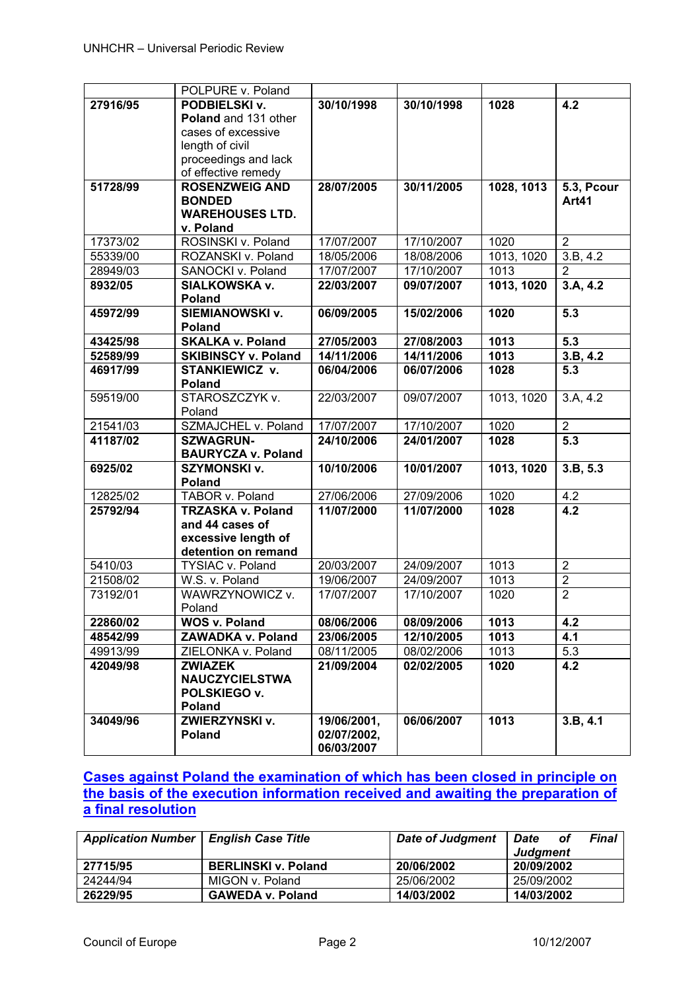|                      | POLPURE v. Poland                           |             |            |                        |                   |
|----------------------|---------------------------------------------|-------------|------------|------------------------|-------------------|
| 27916/95             | PODBIELSKI v.                               | 30/10/1998  | 30/10/1998 | 1028                   | 4.2               |
|                      | Poland and 131 other                        |             |            |                        |                   |
|                      | cases of excessive                          |             |            |                        |                   |
|                      | length of civil                             |             |            |                        |                   |
|                      | proceedings and lack                        |             |            |                        |                   |
|                      | of effective remedy                         |             |            |                        |                   |
| 51728/99             | <b>ROSENZWEIG AND</b>                       | 28/07/2005  | 30/11/2005 | 1028, 1013             | <b>5.3, Pcour</b> |
|                      | <b>BONDED</b><br><b>WAREHOUSES LTD.</b>     |             |            |                        | Art41             |
|                      | v. Poland                                   |             |            |                        |                   |
| 17373/02             | ROSINSKI v. Poland                          | 17/07/2007  | 17/10/2007 | 1020                   | $\overline{2}$    |
| 55339/00             | ROZANSKI v. Poland                          | 18/05/2006  | 18/08/2006 | 1013, 1020             | 3.B, 4.2          |
| 28949/03             | SANOCKI v. Poland                           | 17/07/2007  | 17/10/2007 | 1013                   | $\overline{2}$    |
| 8932/05              | SIALKOWSKA v.                               | 22/03/2007  | 09/07/2007 | 1013, 1020             | 3.A, 4.2          |
|                      | Poland                                      |             |            |                        |                   |
| 45972/99             | <b>SIEMIANOWSKI v.</b>                      | 06/09/2005  | 15/02/2006 | 1020                   | $\overline{5.3}$  |
|                      | <b>Poland</b>                               |             |            |                        |                   |
| 43425/98             | <b>SKALKA v. Poland</b>                     | 27/05/2003  | 27/08/2003 | 1013                   | 5.3               |
| 52589/99             | <b>SKIBINSCY v. Poland</b>                  | 14/11/2006  | 14/11/2006 | 1013                   | 3.B, 4.2          |
| 46917/99             | STANKIEWICZ v.                              | 06/04/2006  | 06/07/2006 | 1028                   | 5.3               |
|                      | Poland                                      |             |            |                        |                   |
| 59519/00             | STAROSZCZYK v.                              | 22/03/2007  | 09/07/2007 | 1013, 1020             | 3.A, 4.2          |
|                      | Poland                                      |             |            |                        |                   |
| 21541/03             | SZMAJCHEL v. Poland                         | 17/07/2007  | 17/10/2007 | 1020                   | $\overline{2}$    |
| 41187/02             | <b>SZWAGRUN-</b>                            | 24/10/2006  | 24/01/2007 | 1028                   | $\overline{5.3}$  |
|                      | <b>BAURYCZA v. Poland</b>                   |             |            |                        |                   |
| 6925/02              | <b>SZYMONSKI v.</b><br>Poland               | 10/10/2006  | 10/01/2007 | 1013, 1020             | 3.B, 5.3          |
|                      |                                             | 27/06/2006  | 27/09/2006 |                        |                   |
| 12825/02<br>25792/94 | TABOR v. Poland<br><b>TRZASKA v. Poland</b> | 11/07/2000  | 11/07/2000 | 1020<br>1028           | 4.2<br>4.2        |
|                      | and 44 cases of                             |             |            |                        |                   |
|                      | excessive length of                         |             |            |                        |                   |
|                      | detention on remand                         |             |            |                        |                   |
| 5410/03              | TYSIAC v. Poland                            | 20/03/2007  | 24/09/2007 | 1013                   | $\overline{2}$    |
| 21508/02             | W.S. v. Poland                              | 19/06/2007  | 24/09/2007 | 1013                   | $\overline{2}$    |
| 73192/01             | WAWRZYNOWICZ v.                             | 17/07/2007  | 17/10/2007 | $\overline{2}$<br>1020 |                   |
|                      | Poland                                      |             |            |                        |                   |
| 22860/02             | <b>WOS v. Poland</b>                        | 08/06/2006  | 08/09/2006 | 1013                   | 4.2               |
| 48542/99             | <b>ZAWADKA v. Poland</b>                    | 23/06/2005  | 12/10/2005 | 1013                   | 4.1               |
| 49913/99             | ZIELONKA v. Poland                          | 08/11/2005  | 08/02/2006 | 1013                   | 5.3               |
| 42049/98             | <b>ZWIAZEK</b>                              | 21/09/2004  | 02/02/2005 | 1020                   | 4.2               |
|                      | <b>NAUCZYCIELSTWA</b>                       |             |            |                        |                   |
|                      | POLSKIEGO v.                                |             |            |                        |                   |
|                      | Poland                                      |             |            |                        |                   |
| 34049/96             | ZWIERZYNSKI v.                              | 19/06/2001, | 06/06/2007 | 1013                   | 3.B, 4.1          |
|                      | Poland                                      | 02/07/2002, |            |                        |                   |
|                      |                                             | 06/03/2007  |            |                        |                   |

# **Cases against Poland the examination of which has been closed in principle on the basis of the execution information received and awaiting the preparation of a final resolution**

| <b>Application Number</b> | <b>English Case Title</b>  | <b>Date of Judgment</b> | <b>Date</b><br>of<br>Judgment | Final |
|---------------------------|----------------------------|-------------------------|-------------------------------|-------|
| 27715/95                  | <b>BERLINSKI v. Poland</b> | 20/06/2002              | 20/09/2002                    |       |
| 24244/94                  | MIGON v. Poland            | 25/06/2002              | 25/09/2002                    |       |
| 26229/95                  | <b>GAWEDA v. Poland</b>    | 14/03/2002              | 14/03/2002                    |       |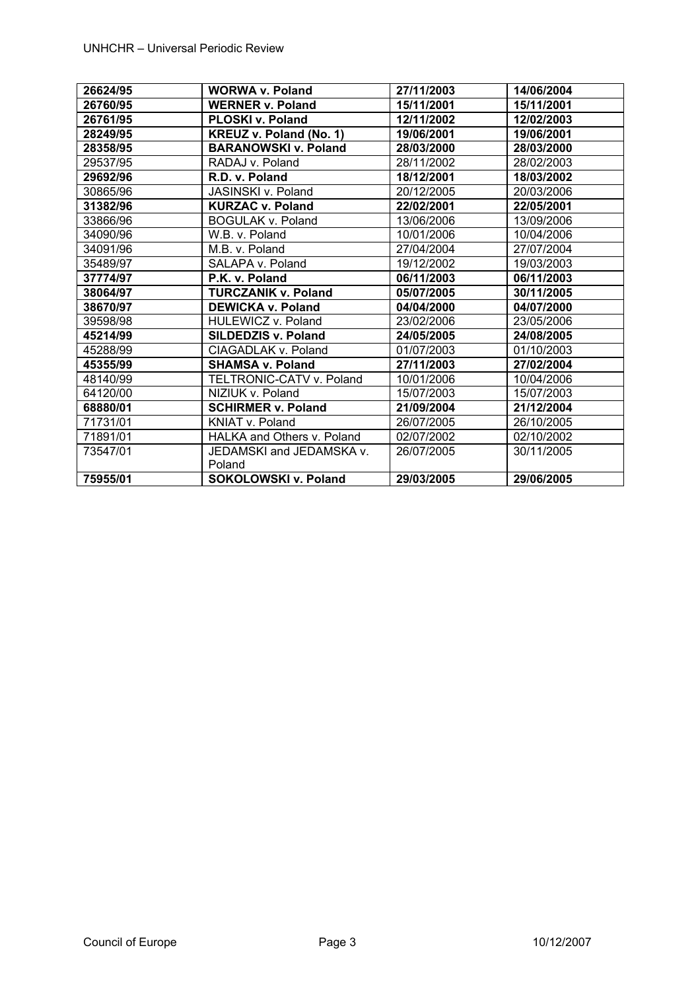| 26624/95 | <b>WORWA v. Poland</b>         | 27/11/2003 | 14/06/2004 |
|----------|--------------------------------|------------|------------|
| 26760/95 | <b>WERNER v. Poland</b>        | 15/11/2001 | 15/11/2001 |
| 26761/95 | <b>PLOSKI v. Poland</b>        | 12/11/2002 | 12/02/2003 |
| 28249/95 | <b>KREUZ v. Poland (No. 1)</b> | 19/06/2001 | 19/06/2001 |
| 28358/95 | <b>BARANOWSKI v. Poland</b>    | 28/03/2000 | 28/03/2000 |
| 29537/95 | RADAJ v. Poland                | 28/11/2002 | 28/02/2003 |
| 29692/96 | R.D. v. Poland                 | 18/12/2001 | 18/03/2002 |
| 30865/96 | <b>JASINSKI v. Poland</b>      | 20/12/2005 | 20/03/2006 |
| 31382/96 | <b>KURZAC v. Poland</b>        | 22/02/2001 | 22/05/2001 |
| 33866/96 | <b>BOGULAK v. Poland</b>       | 13/06/2006 | 13/09/2006 |
| 34090/96 | W.B. v. Poland                 | 10/01/2006 | 10/04/2006 |
| 34091/96 | M.B. v. Poland                 | 27/04/2004 | 27/07/2004 |
| 35489/97 | SALAPA v. Poland               | 19/12/2002 | 19/03/2003 |
| 37774/97 | P.K. v. Poland                 | 06/11/2003 | 06/11/2003 |
| 38064/97 | <b>TURCZANIK v. Poland</b>     | 05/07/2005 | 30/11/2005 |
| 38670/97 | <b>DEWICKA v. Poland</b>       | 04/04/2000 | 04/07/2000 |
| 39598/98 | HULEWICZ v. Poland             | 23/02/2006 | 23/05/2006 |
| 45214/99 | <b>SILDEDZIS v. Poland</b>     | 24/05/2005 | 24/08/2005 |
| 45288/99 | CIAGADLAK v. Poland            | 01/07/2003 | 01/10/2003 |
| 45355/99 | <b>SHAMSA v. Poland</b>        | 27/11/2003 | 27/02/2004 |
| 48140/99 | TELTRONIC-CATV v. Poland       | 10/01/2006 | 10/04/2006 |
| 64120/00 | NIZIUK v. Poland               | 15/07/2003 | 15/07/2003 |
| 68880/01 | <b>SCHIRMER v. Poland</b>      | 21/09/2004 | 21/12/2004 |
| 71731/01 | KNIAT v. Poland                | 26/07/2005 | 26/10/2005 |
| 71891/01 | HALKA and Others v. Poland     | 02/07/2002 | 02/10/2002 |
| 73547/01 | JEDAMSKI and JEDAMSKA v.       | 26/07/2005 | 30/11/2005 |
|          | Poland                         |            |            |
| 75955/01 | SOKOLOWSKI v. Poland           | 29/03/2005 | 29/06/2005 |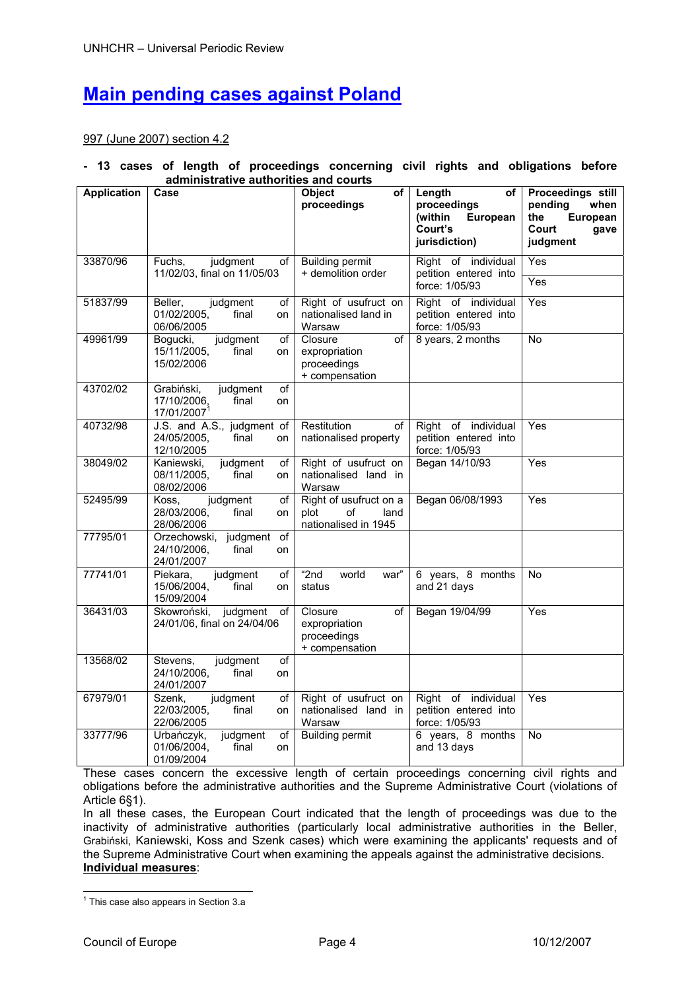# **Main pending cases against Poland**

997 (June 2007) section 4.2

## **- 13 cases of length of proceedings concerning civil rights and obligations before administrative authorities and courts**

| <b>Application</b> | Case                                                                                  | <b>Object</b><br>of<br>proceedings                                   | Length<br>оf<br>proceedings<br>European<br>(within<br>Court's  | Proceedings still<br>pending<br>when<br>the<br>European<br>Court<br>gave |
|--------------------|---------------------------------------------------------------------------------------|----------------------------------------------------------------------|----------------------------------------------------------------|--------------------------------------------------------------------------|
|                    |                                                                                       |                                                                      | jurisdiction)                                                  | judgment                                                                 |
| 33870/96           | Fuchs,<br>judgment<br>of                                                              | <b>Building permit</b><br>+ demolition order                         | Right of individual                                            | Yes                                                                      |
|                    | 11/02/03, final on 11/05/03                                                           |                                                                      | petition entered into<br>force: 1/05/93                        | Yes                                                                      |
| 51837/99           | Beller.<br>judgment<br>οf<br>01/02/2005,<br>final<br>on<br>06/06/2005                 | Right of usufruct on<br>nationalised land in<br>Warsaw               | Right of individual<br>petition entered into<br>force: 1/05/93 | Yes                                                                      |
| 49961/99           | judgment<br>Bogucki,<br>οf<br>15/11/2005,<br>final<br>on<br>15/02/2006                | Closure<br>of<br>expropriation<br>proceedings<br>+ compensation      | 8 years, 2 months                                              | <b>No</b>                                                                |
| 43702/02           | of<br>Grabiński,<br>judgment<br>17/10/2006,<br>final<br>on<br>17/01/2007 <sup>1</sup> |                                                                      |                                                                |                                                                          |
| 40732/98           | J.S. and A.S., judgment of<br>24/05/2005,<br>final<br>on<br>12/10/2005                | Restitution<br>οf<br>nationalised property                           | Right of individual<br>petition entered into<br>force: 1/05/93 | Yes                                                                      |
| 38049/02           | Kaniewski,<br>judgment<br>οf<br>08/11/2005.<br>final<br>on<br>08/02/2006              | Right of usufruct on<br>nationalised land in<br>Warsaw               | Began 14/10/93                                                 | Yes                                                                      |
| 52495/99           | judgment<br>Koss,<br>οf<br>28/03/2006,<br>final<br>on<br>28/06/2006                   | Right of usufruct on a<br>plot<br>of<br>land<br>nationalised in 1945 | Began 06/08/1993                                               | Yes                                                                      |
| 77795/01           | Orzechowski, judgment<br>of<br>24/10/2006,<br>final<br>on<br>24/01/2007               |                                                                      |                                                                |                                                                          |
| 77741/01           | Piekara,<br>judgment<br>οf<br>15/06/2004,<br>final<br>on<br>15/09/2004                | " $2nd$<br>world<br>war"<br>status                                   | 6 years, 8 months<br>and 21 days                               | <b>No</b>                                                                |
| 36431/03           | Skowroński,<br>judgment<br>of<br>24/01/06, final on 24/04/06                          | Closure<br>οf<br>expropriation<br>proceedings<br>+ compensation      | Began 19/04/99                                                 | Yes                                                                      |
| 13568/02           | Stevens,<br>judgment<br>of<br>24/10/2006,<br>final<br>on<br>24/01/2007                |                                                                      |                                                                |                                                                          |
| 67979/01           | judgment<br>Szenk,<br>οf<br>22/03/2005,<br>final<br>on<br>22/06/2005                  | Right of usufruct on<br>nationalised land in<br>Warsaw               | Right of individual<br>petition entered into<br>force: 1/05/93 | $\overline{Yes}$                                                         |
| 33777/96           | Urbańczyk,<br>judgment<br>οf<br>01/06/2004,<br>final<br>on<br>01/09/2004              | <b>Building permit</b>                                               | 6 years, 8 months<br>and 13 days                               | <b>No</b>                                                                |

These cases concern the excessive length of certain proceedings concerning civil rights and obligations before the administrative authorities and the Supreme Administrative Court (violations of Article 6§1).

In all these cases, the European Court indicated that the length of proceedings was due to the inactivity of administrative authorities (particularly local administrative authorities in the Beller, Grabiński, Kaniewski, Koss and Szenk cases) which were examining the applicants' requests and of the Supreme Administrative Court when examining the appeals against the administrative decisions. **Individual measures**:

1

<sup>&</sup>lt;sup>1</sup> This case also appears in Section 3.a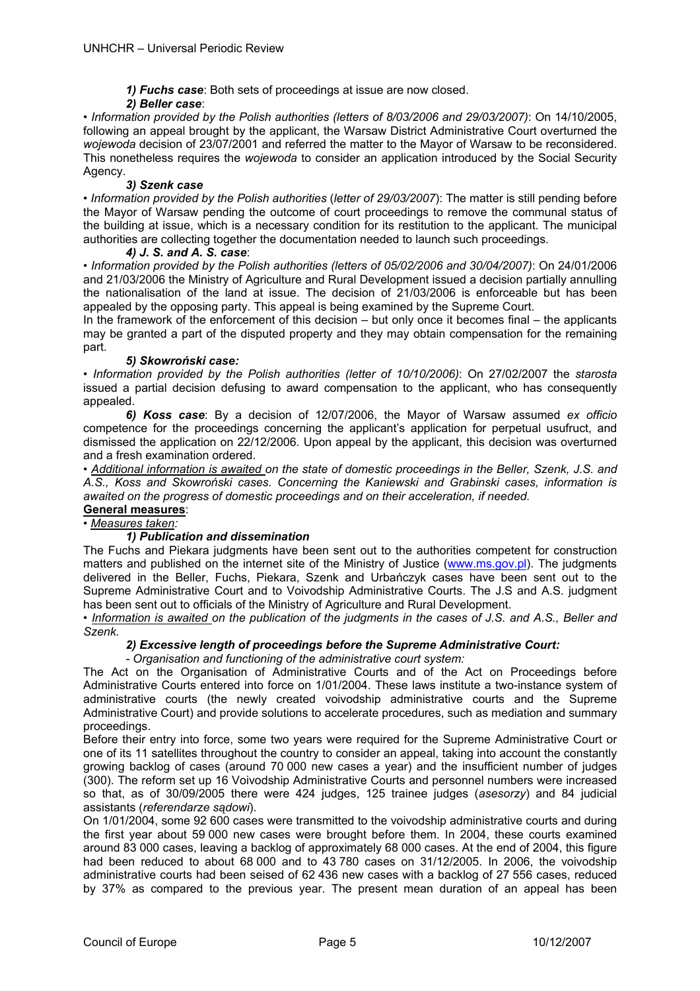*1) Fuchs case*: Both sets of proceedings at issue are now closed.

## *2) Beller case*:

• *Information provided by the Polish authorities (letters of 8/03/2006 and 29/03/2007)*: On 14/10/2005, following an appeal brought by the applicant, the Warsaw District Administrative Court overturned the *wojewoda* decision of 23/07/2001 and referred the matter to the Mayor of Warsaw to be reconsidered. This nonetheless requires the *wojewoda* to consider an application introduced by the Social Security Agency.

## *3) Szenk case*

• *Information provided by the Polish authorities* (*letter of 29/03/2007*): The matter is still pending before the Mayor of Warsaw pending the outcome of court proceedings to remove the communal status of the building at issue, which is a necessary condition for its restitution to the applicant. The municipal authorities are collecting together the documentation needed to launch such proceedings.

## *4) J. S. and A. S. case*:

• *Information provided by the Polish authorities (letters of 05/02/2006 and 30/04/2007)*: On 24/01/2006 and 21/03/2006 the Ministry of Agriculture and Rural Development issued a decision partially annulling the nationalisation of the land at issue. The decision of 21/03/2006 is enforceable but has been appealed by the opposing party. This appeal is being examined by the Supreme Court.

In the framework of the enforcement of this decision – but only once it becomes final – the applicants may be granted a part of the disputed property and they may obtain compensation for the remaining part.

## *5) Skowroński case:*

*• Information provided by the Polish authorities (letter of 10/10/2006)*: On 27/02/2007 the *starosta*  issued a partial decision defusing to award compensation to the applicant, who has consequently appealed.

*6) Koss case*: By a decision of 12/07/2006, the Mayor of Warsaw assumed *ex officio* competence for the proceedings concerning the applicant's application for perpetual usufruct, and dismissed the application on 22/12/2006. Upon appeal by the applicant, this decision was overturned and a fresh examination ordered.

*• Additional information is awaited on the state of domestic proceedings in the Beller, Szenk, J.S. and A.S., Koss and Skowroński cases. Concerning the Kaniewski and Grabinski cases, information is awaited on the progress of domestic proceedings and on their acceleration, if needed.*  **General measures**:

# *• Measures taken:*

## *1) Publication and dissemination*

The Fuchs and Piekara judgments have been sent out to the authorities competent for construction matters and published on the internet site of the Ministry of Justice (www.ms.gov.pl). The judgments delivered in the Beller, Fuchs, Piekara, Szenk and Urbańczyk cases have been sent out to the Supreme Administrative Court and to Voivodship Administrative Courts. The J.S and A.S. judgment has been sent out to officials of the Ministry of Agriculture and Rural Development.

*• Information is awaited on the publication of the judgments in the cases of J.S. and A.S., Beller and Szenk.* 

## *2) Excessive length of proceedings before the Supreme Administrative Court:*

*- Organisation and functioning of the administrative court system:* 

The Act on the Organisation of Administrative Courts and of the Act on Proceedings before Administrative Courts entered into force on 1/01/2004. These laws institute a two-instance system of administrative courts (the newly created voivodship administrative courts and the Supreme Administrative Court) and provide solutions to accelerate procedures, such as mediation and summary proceedings.

Before their entry into force, some two years were required for the Supreme Administrative Court or one of its 11 satellites throughout the country to consider an appeal, taking into account the constantly growing backlog of cases (around 70 000 new cases a year) and the insufficient number of judges (300). The reform set up 16 Voivodship Administrative Courts and personnel numbers were increased so that, as of 30/09/2005 there were 424 judges, 125 trainee judges (*asesorzy*) and 84 judicial assistants (*referendarze sądowi*).

On 1/01/2004, some 92 600 cases were transmitted to the voivodship administrative courts and during the first year about 59 000 new cases were brought before them. In 2004, these courts examined around 83 000 cases, leaving a backlog of approximately 68 000 cases. At the end of 2004, this figure had been reduced to about 68 000 and to 43 780 cases on 31/12/2005. In 2006, the voivodship administrative courts had been seised of 62 436 new cases with a backlog of 27 556 cases, reduced by 37% as compared to the previous year. The present mean duration of an appeal has been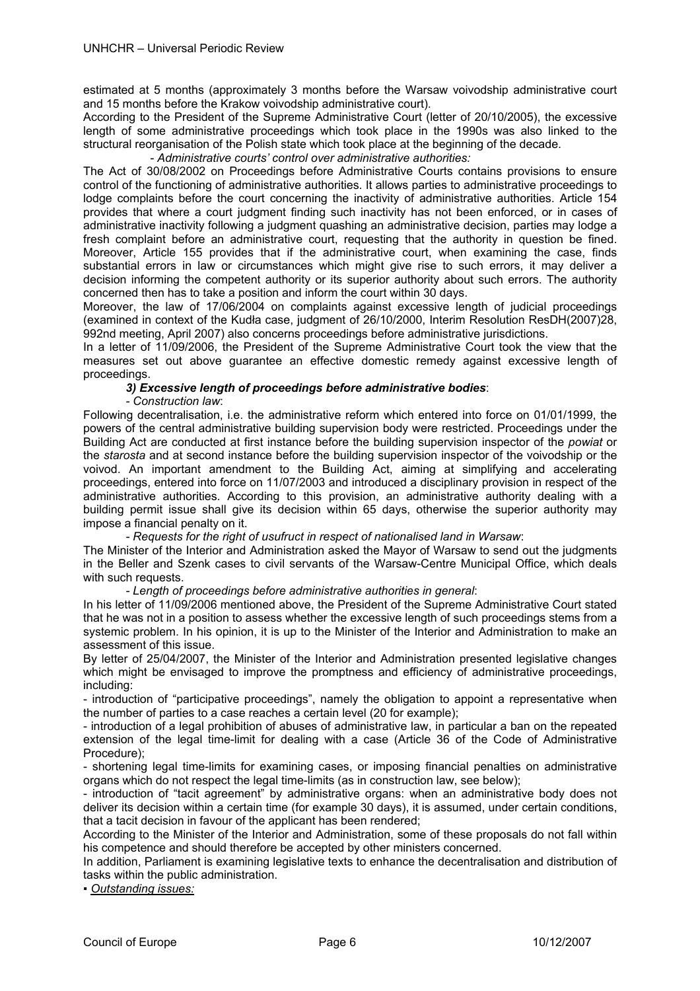estimated at 5 months (approximately 3 months before the Warsaw voivodship administrative court and 15 months before the Krakow voivodship administrative court).

According to the President of the Supreme Administrative Court (letter of 20/10/2005), the excessive length of some administrative proceedings which took place in the 1990s was also linked to the structural reorganisation of the Polish state which took place at the beginning of the decade.

 *- Administrative courts' control over administrative authorities:* 

The Act of 30/08/2002 on Proceedings before Administrative Courts contains provisions to ensure control of the functioning of administrative authorities. It allows parties to administrative proceedings to lodge complaints before the court concerning the inactivity of administrative authorities. Article 154 provides that where a court judgment finding such inactivity has not been enforced, or in cases of administrative inactivity following a judgment quashing an administrative decision, parties may lodge a fresh complaint before an administrative court, requesting that the authority in question be fined. Moreover, Article 155 provides that if the administrative court, when examining the case, finds substantial errors in law or circumstances which might give rise to such errors, it may deliver a decision informing the competent authority or its superior authority about such errors. The authority concerned then has to take a position and inform the court within 30 days.

Moreover, the law of 17/06/2004 on complaints against excessive length of judicial proceedings (examined in context of the Kudła case, judgment of 26/10/2000, Interim Resolution ResDH(2007)28, 992nd meeting, April 2007) also concerns proceedings before administrative jurisdictions.

In a letter of 11/09/2006, the President of the Supreme Administrative Court took the view that the measures set out above guarantee an effective domestic remedy against excessive length of proceedings.

## *3) Excessive length of proceedings before administrative bodies*:

*- Construction law*:

Following decentralisation, i.e. the administrative reform which entered into force on 01/01/1999, the powers of the central administrative building supervision body were restricted. Proceedings under the Building Act are conducted at first instance before the building supervision inspector of the *powiat* or the *starosta* and at second instance before the building supervision inspector of the voivodship or the voivod. An important amendment to the Building Act, aiming at simplifying and accelerating proceedings, entered into force on 11/07/2003 and introduced a disciplinary provision in respect of the administrative authorities. According to this provision, an administrative authority dealing with a building permit issue shall give its decision within 65 days, otherwise the superior authority may impose a financial penalty on it.

*- Requests for the right of usufruct in respect of nationalised land in Warsaw*:

The Minister of the Interior and Administration asked the Mayor of Warsaw to send out the judgments in the Beller and Szenk cases to civil servants of the Warsaw-Centre Municipal Office, which deals with such requests.

*- Length of proceedings before administrative authorities in general*:

In his letter of 11/09/2006 mentioned above, the President of the Supreme Administrative Court stated that he was not in a position to assess whether the excessive length of such proceedings stems from a systemic problem. In his opinion, it is up to the Minister of the Interior and Administration to make an assessment of this issue.

By letter of 25/04/2007, the Minister of the Interior and Administration presented legislative changes which might be envisaged to improve the promptness and efficiency of administrative proceedings, including:

- introduction of "participative proceedings", namely the obligation to appoint a representative when the number of parties to a case reaches a certain level (20 for example);

- introduction of a legal prohibition of abuses of administrative law, in particular a ban on the repeated extension of the legal time-limit for dealing with a case (Article 36 of the Code of Administrative Procedure);

- shortening legal time-limits for examining cases, or imposing financial penalties on administrative organs which do not respect the legal time-limits (as in construction law, see below);

- introduction of "tacit agreement" by administrative organs: when an administrative body does not deliver its decision within a certain time (for example 30 days), it is assumed, under certain conditions, that a tacit decision in favour of the applicant has been rendered;

According to the Minister of the Interior and Administration, some of these proposals do not fall within his competence and should therefore be accepted by other ministers concerned.

In addition, Parliament is examining legislative texts to enhance the decentralisation and distribution of tasks within the public administration.

*▪ Outstanding issues:*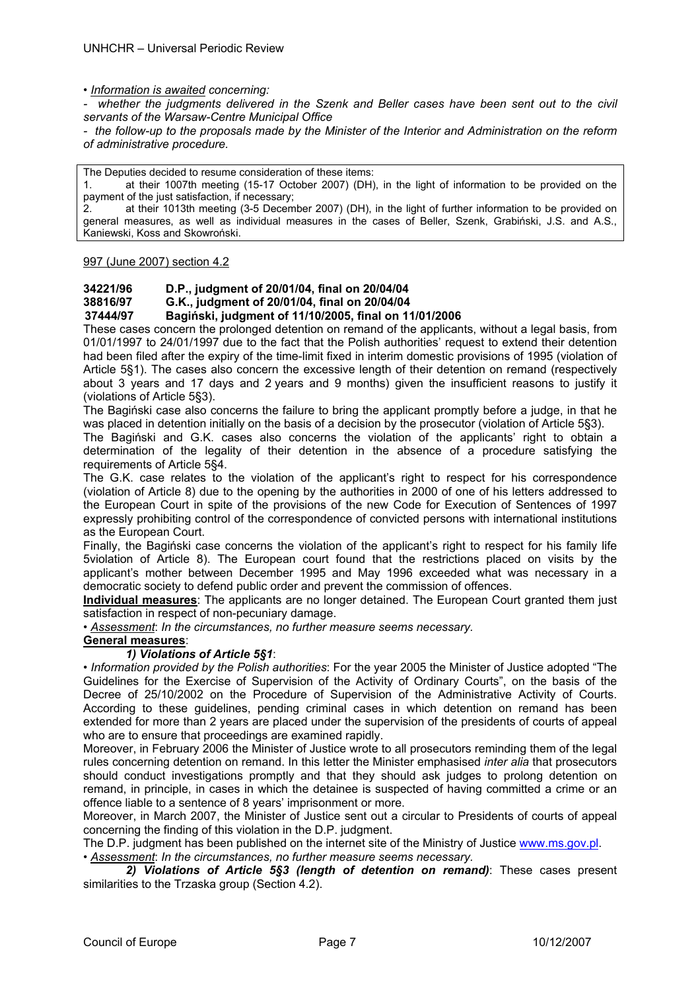• *Information is awaited concerning:* 

*- whether the judgments delivered in the Szenk and Beller cases have been sent out to the civil servants of the Warsaw-Centre Municipal Office* 

*- the follow-up to the proposals made by the Minister of the Interior and Administration on the reform of administrative procedure.* 

The Deputies decided to resume consideration of these items:

at their 1007th meeting (15-17 October 2007) (DH), in the light of information to be provided on the payment of the just satisfaction, if necessary;

2. at their 1013th meeting (3-5 December 2007) (DH), in the light of further information to be provided on general measures, as well as individual measures in the cases of Beller, Szenk, Grabiński, J.S. and A.S., Kaniewski, Koss and Skowroński.

997 (June 2007) section 4.2

# **34221/96 D.P., judgment of 20/01/04, final on 20/04/04**

**38816/97 G.K., judgment of 20/01/04, final on 20/04/04** 

## **37444/97 Bagiński, judgment of 11/10/2005, final on 11/01/2006**

These cases concern the prolonged detention on remand of the applicants, without a legal basis, from 01/01/1997 to 24/01/1997 due to the fact that the Polish authorities' request to extend their detention had been filed after the expiry of the time-limit fixed in interim domestic provisions of 1995 (violation of Article 5§1). The cases also concern the excessive length of their detention on remand (respectively about 3 years and 17 days and 2 years and 9 months) given the insufficient reasons to justify it (violations of Article 5§3).

The Bagiński case also concerns the failure to bring the applicant promptly before a judge, in that he was placed in detention initially on the basis of a decision by the prosecutor (violation of Article 5§3).

The Bagiński and G.K. cases also concerns the violation of the applicants' right to obtain a determination of the legality of their detention in the absence of a procedure satisfying the requirements of Article 5§4.

The G.K. case relates to the violation of the applicant's right to respect for his correspondence (violation of Article 8) due to the opening by the authorities in 2000 of one of his letters addressed to the European Court in spite of the provisions of the new Code for Execution of Sentences of 1997 expressly prohibiting control of the correspondence of convicted persons with international institutions as the European Court.

Finally, the Bagiński case concerns the violation of the applicant's right to respect for his family life 5violation of Article 8). The European court found that the restrictions placed on visits by the applicant's mother between December 1995 and May 1996 exceeded what was necessary in a democratic society to defend public order and prevent the commission of offences.

**Individual measures**: The applicants are no longer detained. The European Court granted them just satisfaction in respect of non-pecuniary damage.

• *Assessment*: *In the circumstances, no further measure seems necessary.*

## **General measures**:

## *1) Violations of Article 5§1*:

• *Information provided by the Polish authorities*: For the year 2005 the Minister of Justice adopted "The Guidelines for the Exercise of Supervision of the Activity of Ordinary Courts", on the basis of the Decree of 25/10/2002 on the Procedure of Supervision of the Administrative Activity of Courts. According to these guidelines, pending criminal cases in which detention on remand has been extended for more than 2 years are placed under the supervision of the presidents of courts of appeal who are to ensure that proceedings are examined rapidly.

Moreover, in February 2006 the Minister of Justice wrote to all prosecutors reminding them of the legal rules concerning detention on remand. In this letter the Minister emphasised *inter alia* that prosecutors should conduct investigations promptly and that they should ask judges to prolong detention on remand, in principle, in cases in which the detainee is suspected of having committed a crime or an offence liable to a sentence of 8 years' imprisonment or more.

Moreover, in March 2007, the Minister of Justice sent out a circular to Presidents of courts of appeal concerning the finding of this violation in the D.P. judgment.

The D.P. judgment has been published on the internet site of the Ministry of Justice www.ms.gov.pl.

• *Assessment*: *In the circumstances, no further measure seems necessary.*

 *2) Violations of Article 5§3 (length of detention on remand)*: These cases present similarities to the Trzaska group (Section 4.2).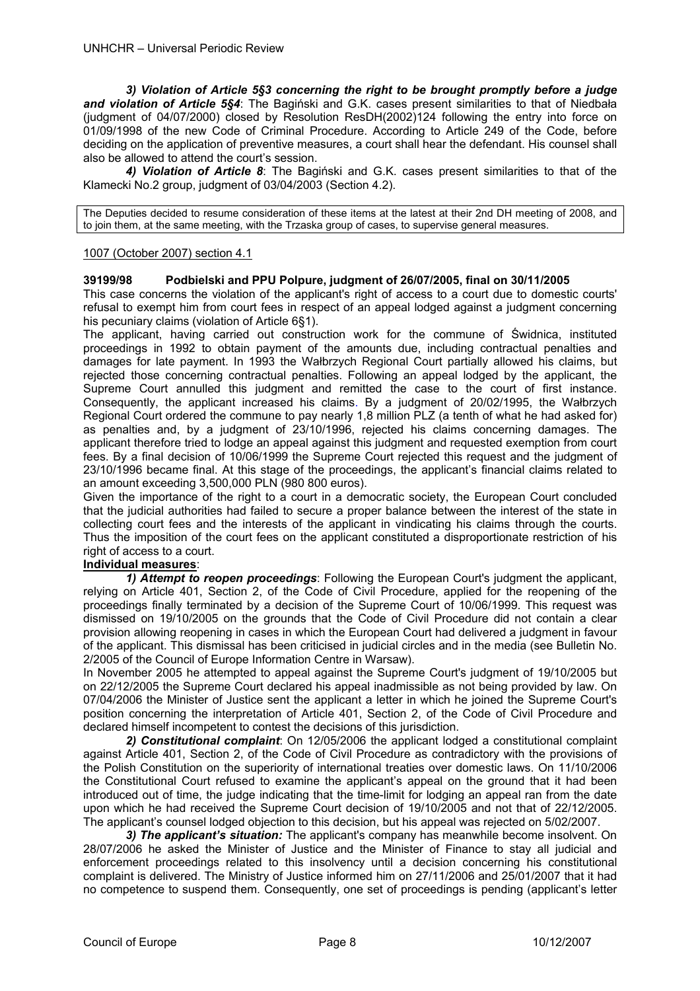*3) Violation of Article 5§3 concerning the right to be brought promptly before a judge and violation of Article 5§4*: The Bagiński and G.K. cases present similarities to that of Niedbała (judgment of 04/07/2000) closed by Resolution ResDH(2002)124 following the entry into force on 01/09/1998 of the new Code of Criminal Procedure. According to Article 249 of the Code, before deciding on the application of preventive measures, a court shall hear the defendant. His counsel shall also be allowed to attend the court's session.

 *4) Violation of Article 8*: The Bagiński and G.K. cases present similarities to that of the Klamecki No.2 group, judgment of 03/04/2003 (Section 4.2).

The Deputies decided to resume consideration of these items at the latest at their 2nd DH meeting of 2008, and to join them, at the same meeting, with the Trzaska group of cases, to supervise general measures.

## 1007 (October 2007) section 4.1

## **39199/98 Podbielski and PPU Polpure, judgment of 26/07/2005, final on 30/11/2005**

This case concerns the violation of the applicant's right of access to a court due to domestic courts' refusal to exempt him from court fees in respect of an appeal lodged against a judgment concerning his pecuniary claims (violation of Article 6§1).

The applicant, having carried out construction work for the commune of Świdnica, instituted proceedings in 1992 to obtain payment of the amounts due, including contractual penalties and damages for late payment. In 1993 the Wałbrzych Regional Court partially allowed his claims, but rejected those concerning contractual penalties. Following an appeal lodged by the applicant, the Supreme Court annulled this judgment and remitted the case to the court of first instance. Consequently, the applicant increased his claims. By a judgment of 20/02/1995, the Wałbrzych Regional Court ordered the commune to pay nearly 1,8 million PLZ (a tenth of what he had asked for) as penalties and, by a judgment of 23/10/1996, rejected his claims concerning damages. The applicant therefore tried to lodge an appeal against this judgment and requested exemption from court fees. By a final decision of 10/06/1999 the Supreme Court rejected this request and the judgment of 23/10/1996 became final. At this stage of the proceedings, the applicant's financial claims related to an amount exceeding 3,500,000 PLN (980 800 euros).

Given the importance of the right to a court in a democratic society, the European Court concluded that the judicial authorities had failed to secure a proper balance between the interest of the state in collecting court fees and the interests of the applicant in vindicating his claims through the courts. Thus the imposition of the court fees on the applicant constituted a disproportionate restriction of his right of access to a court.

## **Individual measures**:

 *1) Attempt to reopen proceedings*: Following the European Court's judgment the applicant, relying on Article 401, Section 2, of the Code of Civil Procedure, applied for the reopening of the proceedings finally terminated by a decision of the Supreme Court of 10/06/1999. This request was dismissed on 19/10/2005 on the grounds that the Code of Civil Procedure did not contain a clear provision allowing reopening in cases in which the European Court had delivered a judgment in favour of the applicant. This dismissal has been criticised in judicial circles and in the media (see Bulletin No. 2/2005 of the Council of Europe Information Centre in Warsaw).

In November 2005 he attempted to appeal against the Supreme Court's judgment of 19/10/2005 but on 22/12/2005 the Supreme Court declared his appeal inadmissible as not being provided by law. On 07/04/2006 the Minister of Justice sent the applicant a letter in which he joined the Supreme Court's position concerning the interpretation of Article 401, Section 2, of the Code of Civil Procedure and declared himself incompetent to contest the decisions of this jurisdiction.

 *2) Constitutional complaint*: On 12/05/2006 the applicant lodged a constitutional complaint against Article 401, Section 2, of the Code of Civil Procedure as contradictory with the provisions of the Polish Constitution on the superiority of international treaties over domestic laws. On 11/10/2006 the Constitutional Court refused to examine the applicant's appeal on the ground that it had been introduced out of time, the judge indicating that the time-limit for lodging an appeal ran from the date upon which he had received the Supreme Court decision of 19/10/2005 and not that of 22/12/2005. The applicant's counsel lodged objection to this decision, but his appeal was rejected on 5/02/2007.

 *3) The applicant's situation:* The applicant's company has meanwhile become insolvent. On 28/07/2006 he asked the Minister of Justice and the Minister of Finance to stay all judicial and enforcement proceedings related to this insolvency until a decision concerning his constitutional complaint is delivered. The Ministry of Justice informed him on 27/11/2006 and 25/01/2007 that it had no competence to suspend them. Consequently, one set of proceedings is pending (applicant's letter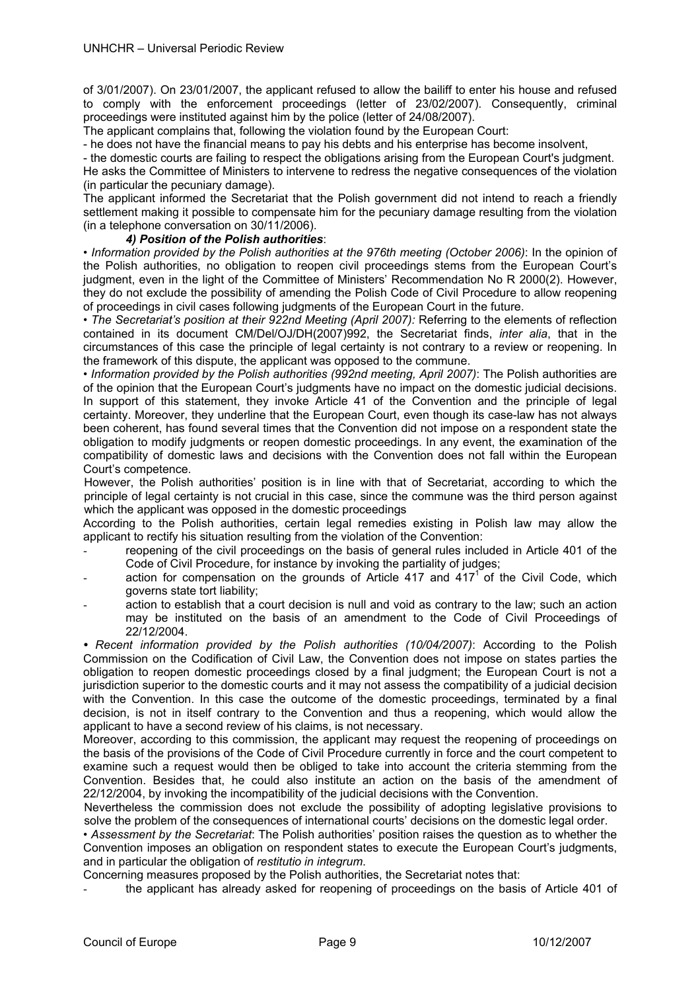of 3/01/2007). On 23/01/2007, the applicant refused to allow the bailiff to enter his house and refused to comply with the enforcement proceedings (letter of 23/02/2007). Consequently, criminal proceedings were instituted against him by the police (letter of 24/08/2007).

The applicant complains that, following the violation found by the European Court:

- he does not have the financial means to pay his debts and his enterprise has become insolvent,

- the domestic courts are failing to respect the obligations arising from the European Court's judgment.

He asks the Committee of Ministers to intervene to redress the negative consequences of the violation (in particular the pecuniary damage).

The applicant informed the Secretariat that the Polish government did not intend to reach a friendly settlement making it possible to compensate him for the pecuniary damage resulting from the violation (in a telephone conversation on 30/11/2006).

## *4) Position of the Polish authorities*:

*• Information provided by the Polish authorities at the 976th meeting (October 2006)*: In the opinion of the Polish authorities, no obligation to reopen civil proceedings stems from the European Court's judgment, even in the light of the Committee of Ministers' Recommendation No R 2000(2). However, they do not exclude the possibility of amending the Polish Code of Civil Procedure to allow reopening of proceedings in civil cases following judgments of the European Court in the future.

• *The Secretariat's position at their 922nd Meeting (April 2007):* Referring to the elements of reflection contained in its document CM/Del/OJ/DH(2007)992, the Secretariat finds, *inter alia*, that in the circumstances of this case the principle of legal certainty is not contrary to a review or reopening. In the framework of this dispute, the applicant was opposed to the commune.

*• Information provided by the Polish authorities (992nd meeting, April 2007)*: The Polish authorities are of the opinion that the European Court's judgments have no impact on the domestic judicial decisions. In support of this statement, they invoke Article 41 of the Convention and the principle of legal certainty. Moreover, they underline that the European Court, even though its case-law has not always been coherent, has found several times that the Convention did not impose on a respondent state the obligation to modify judgments or reopen domestic proceedings. In any event, the examination of the compatibility of domestic laws and decisions with the Convention does not fall within the European Court's competence.

However, the Polish authorities' position is in line with that of Secretariat, according to which the principle of legal certainty is not crucial in this case, since the commune was the third person against which the applicant was opposed in the domestic proceedings

According to the Polish authorities, certain legal remedies existing in Polish law may allow the applicant to rectify his situation resulting from the violation of the Convention:

- reopening of the civil proceedings on the basis of general rules included in Article 401 of the Code of Civil Procedure, for instance by invoking the partiality of judges;
- action for compensation on the grounds of Article 417 and  $417<sup>1</sup>$  of the Civil Code, which governs state tort liability;
- action to establish that a court decision is null and void as contrary to the law; such an action may be instituted on the basis of an amendment to the Code of Civil Proceedings of 22/12/2004.

*• Recent information provided by the Polish authorities (10/04/2007)*: According to the Polish Commission on the Codification of Civil Law, the Convention does not impose on states parties the obligation to reopen domestic proceedings closed by a final judgment; the European Court is not a jurisdiction superior to the domestic courts and it may not assess the compatibility of a judicial decision with the Convention. In this case the outcome of the domestic proceedings, terminated by a final decision, is not in itself contrary to the Convention and thus a reopening, which would allow the applicant to have a second review of his claims, is not necessary.

Moreover, according to this commission, the applicant may request the reopening of proceedings on the basis of the provisions of the Code of Civil Procedure currently in force and the court competent to examine such a request would then be obliged to take into account the criteria stemming from the Convention. Besides that, he could also institute an action on the basis of the amendment of 22/12/2004, by invoking the incompatibility of the judicial decisions with the Convention.

Nevertheless the commission does not exclude the possibility of adopting legislative provisions to solve the problem of the consequences of international courts' decisions on the domestic legal order.

*• Assessment by the Secretariat*: The Polish authorities' position raises the question as to whether the Convention imposes an obligation on respondent states to execute the European Court's judgments, and in particular the obligation of *restitutio in integrum*.

Concerning measures proposed by the Polish authorities, the Secretariat notes that:

the applicant has already asked for reopening of proceedings on the basis of Article 401 of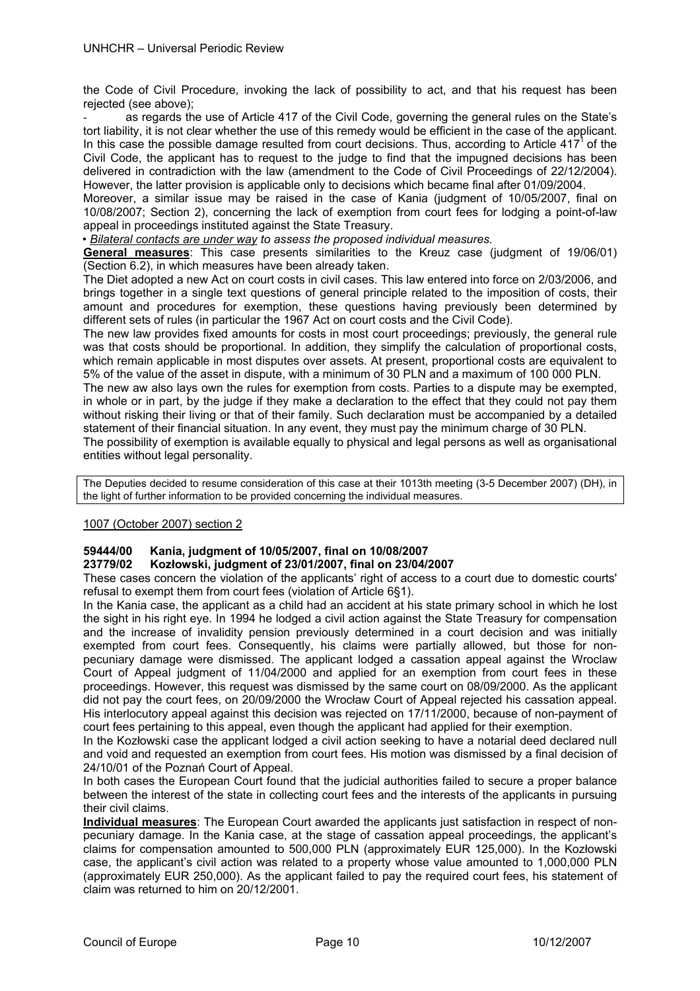the Code of Civil Procedure, invoking the lack of possibility to act, and that his request has been rejected (see above);

as regards the use of Article 417 of the Civil Code, governing the general rules on the State's tort liability, it is not clear whether the use of this remedy would be efficient in the case of the applicant. In this case the possible damage resulted from court decisions. Thus, according to Article  $417<sup>1</sup>$  of the Civil Code, the applicant has to request to the judge to find that the impugned decisions has been delivered in contradiction with the law (amendment to the Code of Civil Proceedings of 22/12/2004). However, the latter provision is applicable only to decisions which became final after 01/09/2004.

Moreover, a similar issue may be raised in the case of Kania (judgment of 10/05/2007, final on 10/08/2007; Section 2), concerning the lack of exemption from court fees for lodging a point-of-law appeal in proceedings instituted against the State Treasury.

*• Bilateral contacts are under way to assess the proposed individual measures.* 

**General measures**: This case presents similarities to the Kreuz case (judgment of 19/06/01) (Section 6.2), in which measures have been already taken.

The Diet adopted a new Act on court costs in civil cases. This law entered into force on 2/03/2006, and brings together in a single text questions of general principle related to the imposition of costs, their amount and procedures for exemption, these questions having previously been determined by different sets of rules (in particular the 1967 Act on court costs and the Civil Code).

The new law provides fixed amounts for costs in most court proceedings; previously, the general rule was that costs should be proportional. In addition, they simplify the calculation of proportional costs, which remain applicable in most disputes over assets. At present, proportional costs are equivalent to 5% of the value of the asset in dispute, with a minimum of 30 PLN and a maximum of 100 000 PLN.

The new aw also lays own the rules for exemption from costs. Parties to a dispute may be exempted, in whole or in part, by the judge if they make a declaration to the effect that they could not pay them without risking their living or that of their family. Such declaration must be accompanied by a detailed statement of their financial situation. In any event, they must pay the minimum charge of 30 PLN.

The possibility of exemption is available equally to physical and legal persons as well as organisational entities without legal personality.

The Deputies decided to resume consideration of this case at their 1013th meeting (3-5 December 2007) (DH), in the light of further information to be provided concerning the individual measures.

## 1007 (October 2007) section 2

## **59444/00 Kania, judgment of 10/05/2007, final on 10/08/2007**

## **23779/02 Kozłowski, judgment of 23/01/2007, final on 23/04/2007**

These cases concern the violation of the applicants' right of access to a court due to domestic courts' refusal to exempt them from court fees (violation of Article 6§1).

In the Kania case, the applicant as a child had an accident at his state primary school in which he lost the sight in his right eye. In 1994 he lodged a civil action against the State Treasury for compensation and the increase of invalidity pension previously determined in a court decision and was initially exempted from court fees. Consequently, his claims were partially allowed, but those for nonpecuniary damage were dismissed. The applicant lodged a cassation appeal against the Wroclaw Court of Appeal judgment of 11/04/2000 and applied for an exemption from court fees in these proceedings. However, this request was dismissed by the same court on 08/09/2000. As the applicant did not pay the court fees, on 20/09/2000 the Wrocław Court of Appeal rejected his cassation appeal. His interlocutory appeal against this decision was rejected on 17/11/2000, because of non-payment of court fees pertaining to this appeal, even though the applicant had applied for their exemption.

In the Kozłowski case the applicant lodged a civil action seeking to have a notarial deed declared null and void and requested an exemption from court fees. His motion was dismissed by a final decision of 24/10/01 of the Poznań Court of Appeal.

In both cases the European Court found that the judicial authorities failed to secure a proper balance between the interest of the state in collecting court fees and the interests of the applicants in pursuing their civil claims.

**Individual measures**: The European Court awarded the applicants just satisfaction in respect of nonpecuniary damage. In the Kania case, at the stage of cassation appeal proceedings, the applicant's claims for compensation amounted to 500,000 PLN (approximately EUR 125,000). In the Kozłowski case, the applicant's civil action was related to a property whose value amounted to 1,000,000 PLN (approximately EUR 250,000). As the applicant failed to pay the required court fees, his statement of claim was returned to him on 20/12/2001.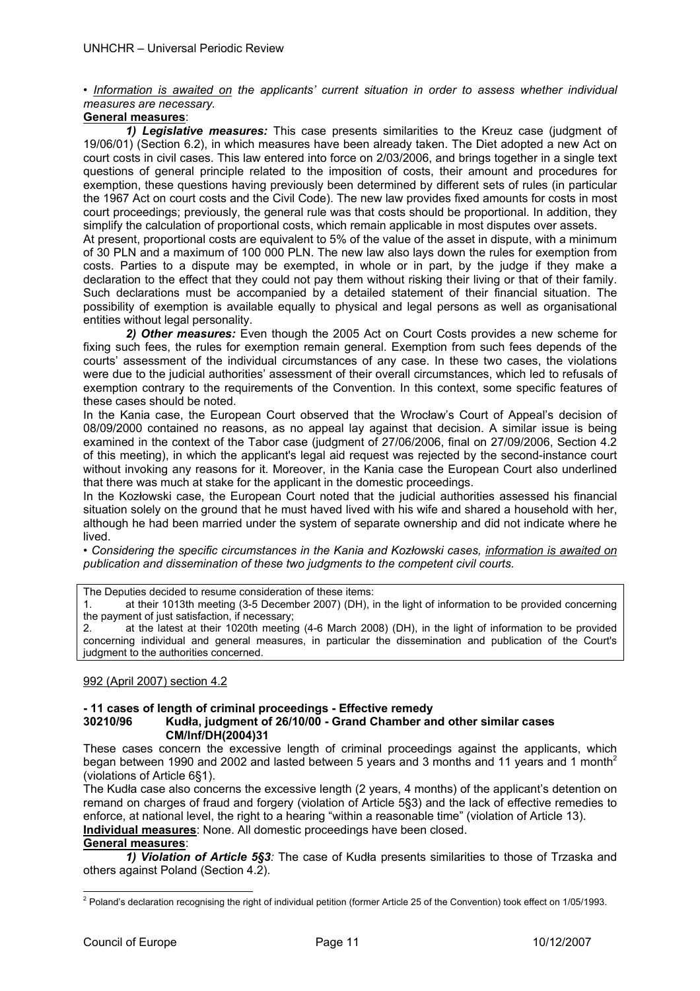• *Information is awaited on the applicants' current situation in order to assess whether individual measures are necessary.* 

## **General measures**:

*1) Legislative measures:* This case presents similarities to the Kreuz case (judgment of 19/06/01) (Section 6.2), in which measures have been already taken. The Diet adopted a new Act on court costs in civil cases. This law entered into force on 2/03/2006, and brings together in a single text questions of general principle related to the imposition of costs, their amount and procedures for exemption, these questions having previously been determined by different sets of rules (in particular the 1967 Act on court costs and the Civil Code). The new law provides fixed amounts for costs in most court proceedings; previously, the general rule was that costs should be proportional. In addition, they simplify the calculation of proportional costs, which remain applicable in most disputes over assets.

At present, proportional costs are equivalent to 5% of the value of the asset in dispute, with a minimum of 30 PLN and a maximum of 100 000 PLN. The new law also lays down the rules for exemption from costs. Parties to a dispute may be exempted, in whole or in part, by the judge if they make a declaration to the effect that they could not pay them without risking their living or that of their family. Such declarations must be accompanied by a detailed statement of their financial situation. The possibility of exemption is available equally to physical and legal persons as well as organisational entities without legal personality.

*2) Other measures:* Even though the 2005 Act on Court Costs provides a new scheme for fixing such fees, the rules for exemption remain general. Exemption from such fees depends of the courts' assessment of the individual circumstances of any case. In these two cases, the violations were due to the judicial authorities' assessment of their overall circumstances, which led to refusals of exemption contrary to the requirements of the Convention. In this context, some specific features of these cases should be noted.

In the Kania case, the European Court observed that the Wrocław's Court of Appeal's decision of 08/09/2000 contained no reasons, as no appeal lay against that decision. A similar issue is being examined in the context of the Tabor case (judgment of 27/06/2006, final on 27/09/2006, Section 4.2 of this meeting), in which the applicant's legal aid request was rejected by the second-instance court without invoking any reasons for it. Moreover, in the Kania case the European Court also underlined that there was much at stake for the applicant in the domestic proceedings.

In the Kozłowski case, the European Court noted that the judicial authorities assessed his financial situation solely on the ground that he must haved lived with his wife and shared a household with her, although he had been married under the system of separate ownership and did not indicate where he lived.

• *Considering the specific circumstances in the Kania and Kozłowski cases, information is awaited on publication and dissemination of these two judgments to the competent civil courts.*

The Deputies decided to resume consideration of these items:

1. at their 1013th meeting (3-5 December 2007) (DH), in the light of information to be provided concerning the payment of just satisfaction, if necessary;

2. at the latest at their 1020th meeting (4-6 March 2008) (DH), in the light of information to be provided concerning individual and general measures, in particular the dissemination and publication of the Court's judgment to the authorities concerned.

## 992 (April 2007) section 4.2

## **- 11 cases of length of criminal proceedings - Effective remedy 30210/96 Kudła, judgment of 26/10/00 - Grand Chamber and other similar cases CM/Inf/DH(2004)31**

These cases concern the excessive length of criminal proceedings against the applicants, which began between 1990 and 2002 and lasted between 5 years and 3 months and 11 years and 1 month<sup>2</sup> (violations of Article 6§1).

The Kudła case also concerns the excessive length (2 years, 4 months) of the applicant's detention on remand on charges of fraud and forgery (violation of Article 5§3) and the lack of effective remedies to enforce, at national level, the right to a hearing "within a reasonable time" (violation of Article 13). **Individual measures**: None. All domestic proceedings have been closed.

## **General measures**:

*1) Violation of Article 5§3:* The case of Kudła presents similarities to those of Trzaska and others against Poland (Section 4.2).

<sup>1</sup> <sup>2</sup> Poland's declaration recognising the right of individual petition (former Article 25 of the Convention) took effect on 1/05/1993.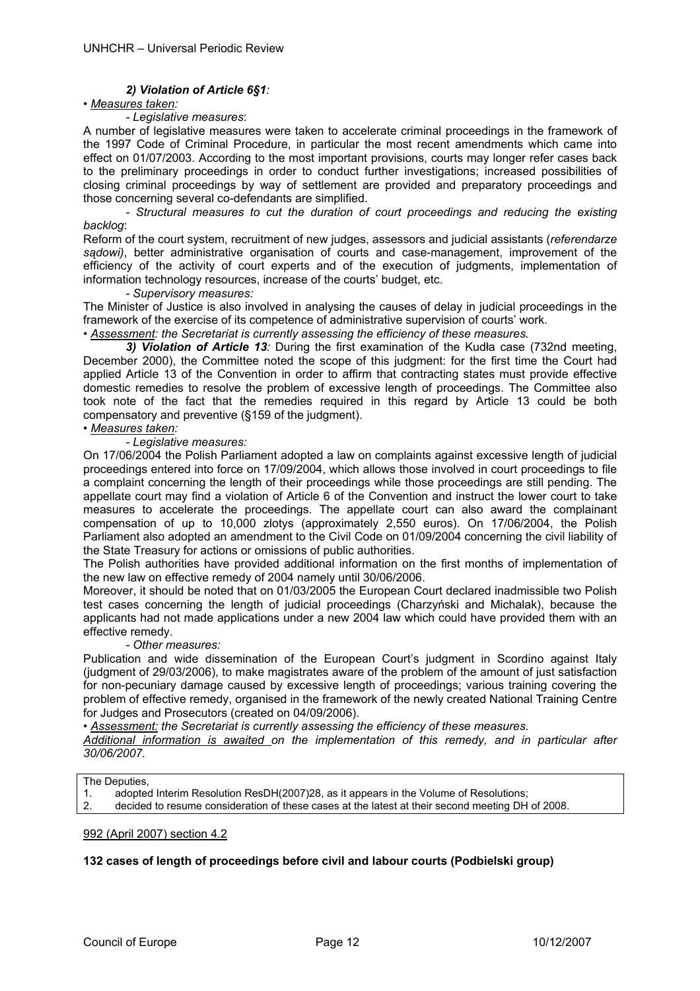## *2) Violation of Article 6§1:*

## *• Measures taken:*

#### *- Legislative measures*:

A number of legislative measures were taken to accelerate criminal proceedings in the framework of the 1997 Code of Criminal Procedure, in particular the most recent amendments which came into effect on 01/07/2003. According to the most important provisions, courts may longer refer cases back to the preliminary proceedings in order to conduct further investigations; increased possibilities of closing criminal proceedings by way of settlement are provided and preparatory proceedings and those concerning several co-defendants are simplified.

*- Structural measures to cut the duration of court proceedings and reducing the existing backlog*:

Reform of the court system, recruitment of new judges, assessors and judicial assistants (*referendarze sądowi)*, better administrative organisation of courts and case-management, improvement of the efficiency of the activity of court experts and of the execution of judgments, implementation of information technology resources, increase of the courts' budget, etc.

#### *- Supervisory measures:*

The Minister of Justice is also involved in analysing the causes of delay in judicial proceedings in the framework of the exercise of its competence of administrative supervision of courts' work.

• *Assessment: the Secretariat is currently assessing the efficiency of these measures.*

*3) Violation of Article 13:* During the first examination of the Kudła case (732nd meeting, December 2000), the Committee noted the scope of this judgment: for the first time the Court had applied Article 13 of the Convention in order to affirm that contracting states must provide effective domestic remedies to resolve the problem of excessive length of proceedings. The Committee also took note of the fact that the remedies required in this regard by Article 13 could be both compensatory and preventive (§159 of the judgment).

# *• Measures taken:*

 *- Legislative measures:* 

On 17/06/2004 the Polish Parliament adopted a law on complaints against excessive length of judicial proceedings entered into force on 17/09/2004, which allows those involved in court proceedings to file a complaint concerning the length of their proceedings while those proceedings are still pending. The appellate court may find a violation of Article 6 of the Convention and instruct the lower court to take measures to accelerate the proceedings. The appellate court can also award the complainant compensation of up to 10,000 zlotys (approximately 2,550 euros). On 17/06/2004, the Polish Parliament also adopted an amendment to the Civil Code on 01/09/2004 concerning the civil liability of the State Treasury for actions or omissions of public authorities.

The Polish authorities have provided additional information on the first months of implementation of the new law on effective remedy of 2004 namely until 30/06/2006.

Moreover, it should be noted that on 01/03/2005 the European Court declared inadmissible two Polish test cases concerning the length of judicial proceedings (Charzyński and Michalak), because the applicants had not made applications under a new 2004 law which could have provided them with an effective remedy.

## *- Other measures:*

Publication and wide dissemination of the European Court's judgment in Scordino against Italy (judgment of 29/03/2006), to make magistrates aware of the problem of the amount of just satisfaction for non-pecuniary damage caused by excessive length of proceedings; various training covering the problem of effective remedy, organised in the framework of the newly created National Training Centre for Judges and Prosecutors (created on 04/09/2006).

*• Assessment: the Secretariat is currently assessing the efficiency of these measures.* 

*Additional information is awaited on the implementation of this remedy, and in particular after 30/06/2007.* 

The Deputies,

|    | adopted Interim Resolution ResDH(2007)28, as it appears in the Volume of Resolutions;            |
|----|--------------------------------------------------------------------------------------------------|
| ۷. | decided to resume consideration of these cases at the latest at their second meeting DH of 2008. |

#### 992 (April 2007) section 4.2

## **132 cases of length of proceedings before civil and labour courts (Podbielski group)**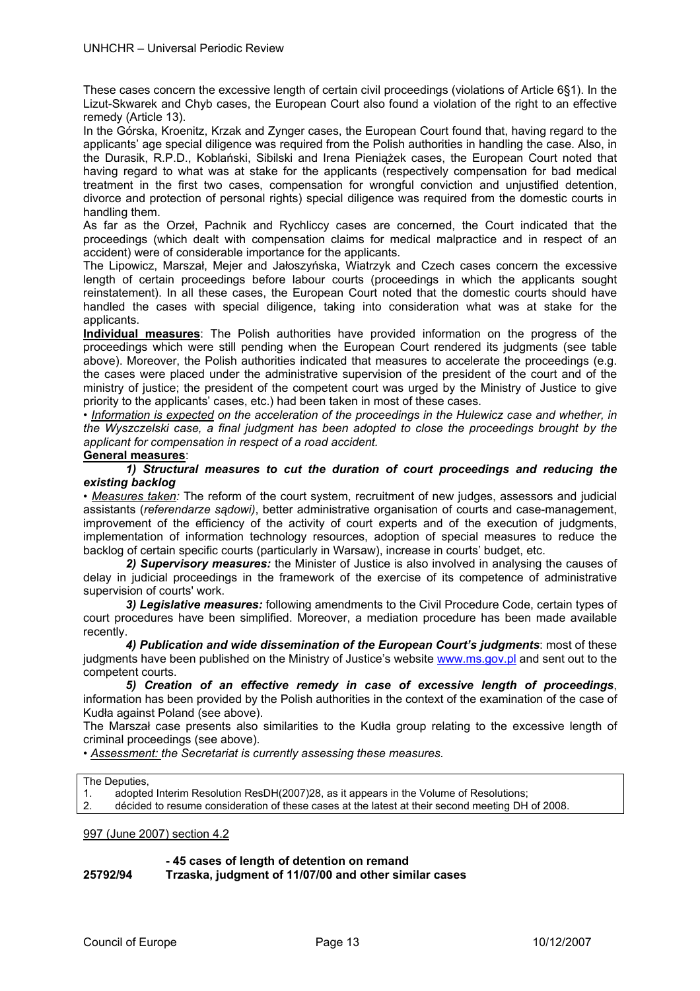These cases concern the excessive length of certain civil proceedings (violations of Article 6§1). In the Lizut-Skwarek and Chyb cases, the European Court also found a violation of the right to an effective remedy (Article 13).

In the Górska, Kroenitz, Krzak and Zynger cases, the European Court found that, having regard to the applicants' age special diligence was required from the Polish authorities in handling the case. Also, in the Durasik, R.P.D., Koblański, Sibilski and Irena Pieniążek cases, the European Court noted that having regard to what was at stake for the applicants (respectively compensation for bad medical treatment in the first two cases, compensation for wrongful conviction and unjustified detention, divorce and protection of personal rights) special diligence was required from the domestic courts in handling them.

As far as the Orzeł, Pachnik and Rychliccy cases are concerned, the Court indicated that the proceedings (which dealt with compensation claims for medical malpractice and in respect of an accident) were of considerable importance for the applicants.

The Lipowicz, Marszał, Mejer and Jałoszyńska, Wiatrzyk and Czech cases concern the excessive length of certain proceedings before labour courts (proceedings in which the applicants sought reinstatement). In all these cases, the European Court noted that the domestic courts should have handled the cases with special diligence, taking into consideration what was at stake for the applicants.

**Individual measures**: The Polish authorities have provided information on the progress of the proceedings which were still pending when the European Court rendered its judgments (see table above). Moreover, the Polish authorities indicated that measures to accelerate the proceedings (e.g. the cases were placed under the administrative supervision of the president of the court and of the ministry of justice; the president of the competent court was urged by the Ministry of Justice to give priority to the applicants' cases, etc.) had been taken in most of these cases.

*• Information is expected on the acceleration of the proceedings in the Hulewicz case and whether, in the Wyszczelski case, a final judgment has been adopted to close the proceedings brought by the applicant for compensation in respect of a road accident.* 

## **General measures**:

*1) Structural measures to cut the duration of court proceedings and reducing the existing backlog*

*• Measures taken:* The reform of the court system, recruitment of new judges, assessors and judicial assistants (*referendarze sądowi)*, better administrative organisation of courts and case-management, improvement of the efficiency of the activity of court experts and of the execution of judgments, implementation of information technology resources, adoption of special measures to reduce the backlog of certain specific courts (particularly in Warsaw), increase in courts' budget, etc.

*2) Supervisory measures:* the Minister of Justice is also involved in analysing the causes of delay in judicial proceedings in the framework of the exercise of its competence of administrative supervision of courts' work.

*3) Legislative measures:* following amendments to the Civil Procedure Code, certain types of court procedures have been simplified. Moreover, a mediation procedure has been made available recently.

*4) Publication and wide dissemination of the European Court's judgments*: most of these judgments have been published on the Ministry of Justice's website www.ms.gov.pl and sent out to the competent courts.

*5) Creation of an effective remedy in case of excessive length of proceedings*, information has been provided by the Polish authorities in the context of the examination of the case of Kudła against Poland (see above).

The Marszał case presents also similarities to the Kudła group relating to the excessive length of criminal proceedings (see above).

*• Assessment: the Secretariat is currently assessing these measures.* 

| The Deputies, |
|---------------|
|               |
|               |

1. adopted Interim Resolution ResDH(2007)28, as it appears in the Volume of Resolutions; 2. décided to resume consideration of these cases at the latest at their second meeting DH of 2008.

997 (June 2007) section 4.2

## **- 45 cases of length of detention on remand**

**25792/94 Trzaska, judgment of 11/07/00 and other similar cases**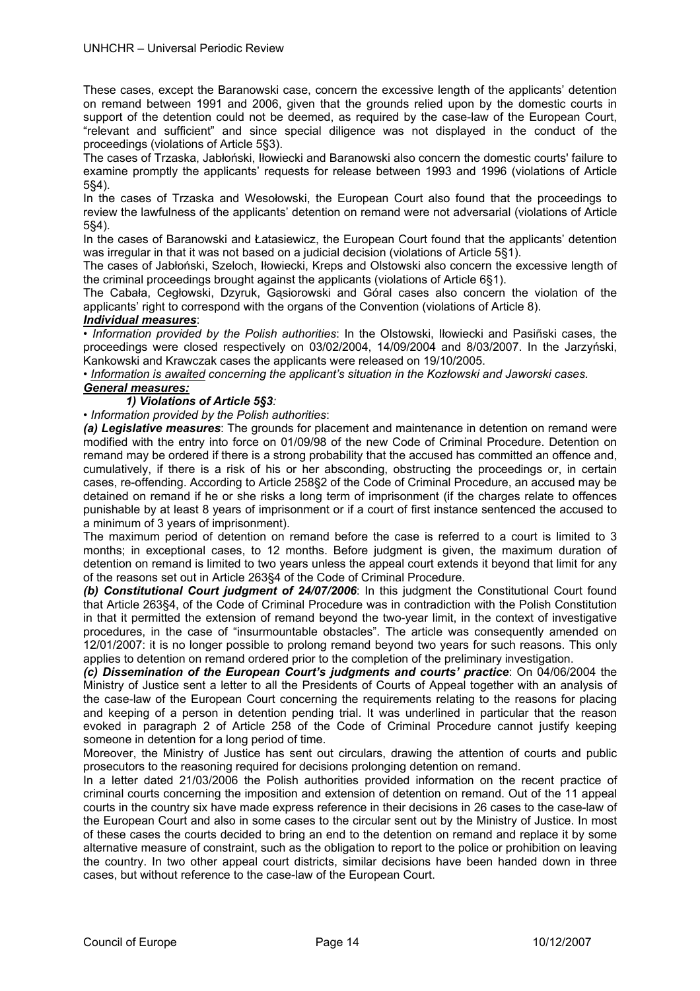These cases, except the Baranowski case, concern the excessive length of the applicants' detention on remand between 1991 and 2006, given that the grounds relied upon by the domestic courts in support of the detention could not be deemed, as required by the case-law of the European Court, "relevant and sufficient" and since special diligence was not displayed in the conduct of the proceedings (violations of Article 5§3).

The cases of Trzaska, Jabłoński, Iłowiecki and Baranowski also concern the domestic courts' failure to examine promptly the applicants' requests for release between 1993 and 1996 (violations of Article 5§4).

In the cases of Trzaska and Wesołowski, the European Court also found that the proceedings to review the lawfulness of the applicants' detention on remand were not adversarial (violations of Article 5§4).

In the cases of Baranowski and Łatasiewicz, the European Court found that the applicants' detention was irregular in that it was not based on a judicial decision (violations of Article 5§1).

The cases of Jabłoński, Szeloch, Iłowiecki, Kreps and Olstowski also concern the excessive length of the criminal proceedings brought against the applicants (violations of Article 6§1).

The Cabała, Cegłowski, Dzyruk, Gąsiorowski and Góral cases also concern the violation of the applicants' right to correspond with the organs of the Convention (violations of Article 8).

## *Individual measures*:

*• Information provided by the Polish authorities*: In the Olstowski, Iłowiecki and Pasiñski cases, the proceedings were closed respectively on 03/02/2004, 14/09/2004 and 8/03/2007. In the Jarzyński, Kankowski and Krawczak cases the applicants were released on 19/10/2005.

*• Information is awaited concerning the applicant's situation in the Kozłowski and Jaworski cases. General measures:* 

## *1) Violations of Article 5§3:*

*• Information provided by the Polish authorities*:

*(a) Legislative measures*: The grounds for placement and maintenance in detention on remand were modified with the entry into force on 01/09/98 of the new Code of Criminal Procedure. Detention on remand may be ordered if there is a strong probability that the accused has committed an offence and, cumulatively, if there is a risk of his or her absconding, obstructing the proceedings or, in certain cases, re-offending. According to Article 258§2 of the Code of Criminal Procedure, an accused may be detained on remand if he or she risks a long term of imprisonment (if the charges relate to offences punishable by at least 8 years of imprisonment or if a court of first instance sentenced the accused to a minimum of 3 years of imprisonment).

The maximum period of detention on remand before the case is referred to a court is limited to 3 months; in exceptional cases, to 12 months. Before judgment is given, the maximum duration of detention on remand is limited to two years unless the appeal court extends it beyond that limit for any of the reasons set out in Article 263§4 of the Code of Criminal Procedure.

*(b) Constitutional Court judgment of 24/07/2006*: In this judgment the Constitutional Court found that Article 263§4, of the Code of Criminal Procedure was in contradiction with the Polish Constitution in that it permitted the extension of remand beyond the two-year limit, in the context of investigative procedures, in the case of "insurmountable obstacles". The article was consequently amended on 12/01/2007: it is no longer possible to prolong remand beyond two years for such reasons. This only applies to detention on remand ordered prior to the completion of the preliminary investigation.

*(c) Dissemination of the European Court's judgments and courts' practice*: On 04/06/2004 the Ministry of Justice sent a letter to all the Presidents of Courts of Appeal together with an analysis of the case-law of the European Court concerning the requirements relating to the reasons for placing and keeping of a person in detention pending trial. It was underlined in particular that the reason evoked in paragraph 2 of Article 258 of the Code of Criminal Procedure cannot justify keeping someone in detention for a long period of time.

Moreover, the Ministry of Justice has sent out circulars, drawing the attention of courts and public prosecutors to the reasoning required for decisions prolonging detention on remand.

In a letter dated 21/03/2006 the Polish authorities provided information on the recent practice of criminal courts concerning the imposition and extension of detention on remand. Out of the 11 appeal courts in the country six have made express reference in their decisions in 26 cases to the case-law of the European Court and also in some cases to the circular sent out by the Ministry of Justice. In most of these cases the courts decided to bring an end to the detention on remand and replace it by some alternative measure of constraint, such as the obligation to report to the police or prohibition on leaving the country. In two other appeal court districts, similar decisions have been handed down in three cases, but without reference to the case-law of the European Court.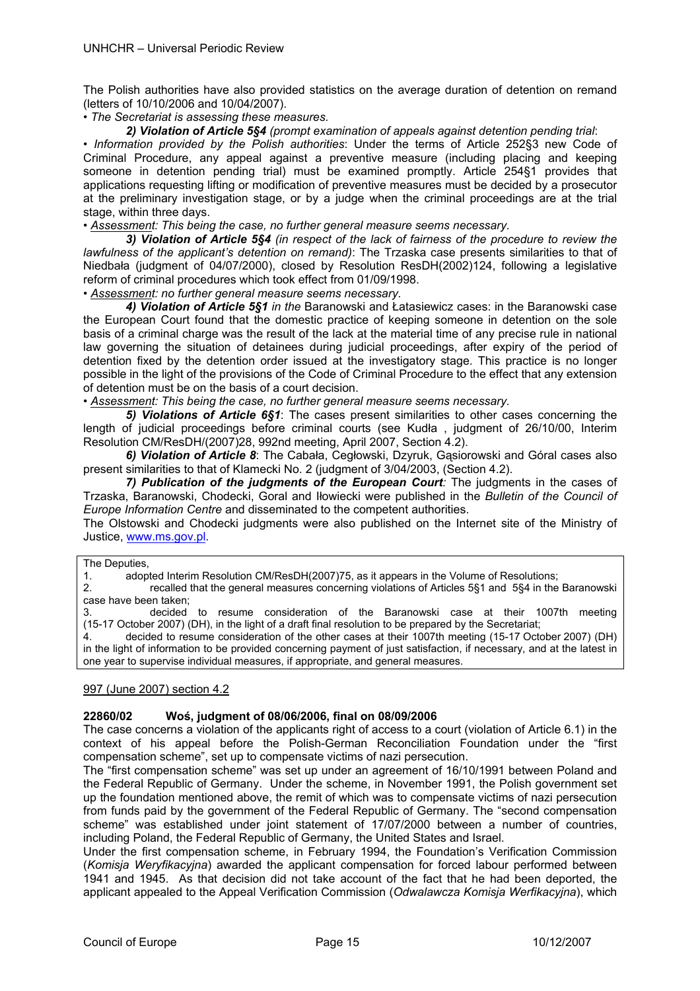The Polish authorities have also provided statistics on the average duration of detention on remand (letters of 10/10/2006 and 10/04/2007).

## • *The Secretariat is assessing these measures.*

## *2) Violation of Article 5§4 (prompt examination of appeals against detention pending trial*:

*• Information provided by the Polish authorities*: Under the terms of Article 252§3 new Code of Criminal Procedure, any appeal against a preventive measure (including placing and keeping someone in detention pending trial) must be examined promptly. Article 254§1 provides that applications requesting lifting or modification of preventive measures must be decided by a prosecutor at the preliminary investigation stage, or by a judge when the criminal proceedings are at the trial stage, within three days.

## *• Assessment: This being the case, no further general measure seems necessary.*

 *3) Violation of Article 5§4 (in respect of the lack of fairness of the procedure to review the lawfulness of the applicant's detention on remand)*: The Trzaska case presents similarities to that of Niedbała (judgment of 04/07/2000), closed by Resolution ResDH(2002)124, following a legislative reform of criminal procedures which took effect from 01/09/1998.

## *• Assessment: no further general measure seems necessary.*

 *4) Violation of Article 5§1 in the* Baranowski and Łatasiewicz cases: in the Baranowski case the European Court found that the domestic practice of keeping someone in detention on the sole basis of a criminal charge was the result of the lack at the material time of any precise rule in national law governing the situation of detainees during judicial proceedings, after expiry of the period of detention fixed by the detention order issued at the investigatory stage. This practice is no longer possible in the light of the provisions of the Code of Criminal Procedure to the effect that any extension of detention must be on the basis of a court decision.

*• Assessment: This being the case, no further general measure seems necessary.*

 *5) Violations of Article 6§1*: The cases present similarities to other cases concerning the length of judicial proceedings before criminal courts (see Kudła , judgment of 26/10/00, Interim Resolution CM/ResDH/(2007)28, 992nd meeting, April 2007, Section 4.2).

 *6) Violation of Article 8*: The Cabała, Cegłowski, Dzyruk, Gąsiorowski and Góral cases also present similarities to that of Klamecki No. 2 (judgment of 3/04/2003, (Section 4.2).

*7) Publication of the judgments of the European Court:* The judgments in the cases of Trzaska, Baranowski, Chodecki, Goral and Iłowiecki were published in the *Bulletin of the Council of Europe Information Centre* and disseminated to the competent authorities.

The Olstowski and Chodecki judgments were also published on the Internet site of the Ministry of Justice, www.ms.gov.pl.

#### The Deputies,

1. adopted Interim Resolution CM/ResDH(2007)75, as it appears in the Volume of Resolutions;

2. recalled that the general measures concerning violations of Articles 5§1 and 5§4 in the Baranowski case have been taken;

3. decided to resume consideration of the Baranowski case at their 1007th meeting (15-17 October 2007) (DH), in the light of a draft final resolution to be prepared by the Secretariat;

4. decided to resume consideration of the other cases at their 1007th meeting (15-17 October 2007) (DH) in the light of information to be provided concerning payment of just satisfaction, if necessary, and at the latest in one year to supervise individual measures, if appropriate, and general measures.

## 997 (June 2007) section 4.2

## **22860/02 Woś, judgment of 08/06/2006, final on 08/09/2006**

The case concerns a violation of the applicants right of access to a court (violation of Article 6.1) in the context of his appeal before the Polish-German Reconciliation Foundation under the "first compensation scheme", set up to compensate victims of nazi persecution.

The "first compensation scheme" was set up under an agreement of 16/10/1991 between Poland and the Federal Republic of Germany. Under the scheme, in November 1991, the Polish government set up the foundation mentioned above, the remit of which was to compensate victims of nazi persecution from funds paid by the government of the Federal Republic of Germany. The "second compensation scheme" was established under joint statement of 17/07/2000 between a number of countries, including Poland, the Federal Republic of Germany, the United States and Israel.

Under the first compensation scheme, in February 1994, the Foundation's Verification Commission (*Komisja Weryfikacyjna*) awarded the applicant compensation for forced labour performed between 1941 and 1945. As that decision did not take account of the fact that he had been deported, the applicant appealed to the Appeal Verification Commission (*Odwalawcza Komisja Werfikacyjna*), which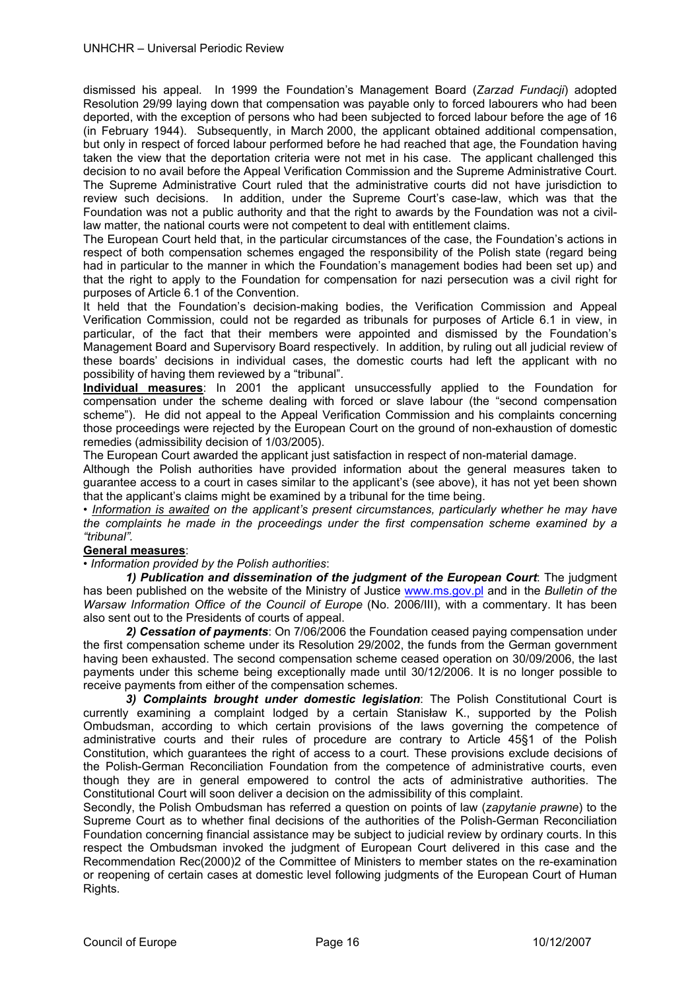dismissed his appeal. In 1999 the Foundation's Management Board (*Zarzad Fundacji*) adopted Resolution 29/99 laying down that compensation was payable only to forced labourers who had been deported, with the exception of persons who had been subjected to forced labour before the age of 16 (in February 1944). Subsequently, in March 2000, the applicant obtained additional compensation, but only in respect of forced labour performed before he had reached that age, the Foundation having taken the view that the deportation criteria were not met in his case. The applicant challenged this decision to no avail before the Appeal Verification Commission and the Supreme Administrative Court. The Supreme Administrative Court ruled that the administrative courts did not have jurisdiction to review such decisions. In addition, under the Supreme Court's case-law, which was that the Foundation was not a public authority and that the right to awards by the Foundation was not a civillaw matter, the national courts were not competent to deal with entitlement claims.

The European Court held that, in the particular circumstances of the case, the Foundation's actions in respect of both compensation schemes engaged the responsibility of the Polish state (regard being had in particular to the manner in which the Foundation's management bodies had been set up) and that the right to apply to the Foundation for compensation for nazi persecution was a civil right for purposes of Article 6.1 of the Convention.

It held that the Foundation's decision-making bodies, the Verification Commission and Appeal Verification Commission, could not be regarded as tribunals for purposes of Article 6.1 in view, in particular, of the fact that their members were appointed and dismissed by the Foundation's Management Board and Supervisory Board respectively. In addition, by ruling out all judicial review of these boards' decisions in individual cases, the domestic courts had left the applicant with no possibility of having them reviewed by a "tribunal".

**Individual measures**: In 2001 the applicant unsuccessfully applied to the Foundation for compensation under the scheme dealing with forced or slave labour (the "second compensation scheme"). He did not appeal to the Appeal Verification Commission and his complaints concerning those proceedings were rejected by the European Court on the ground of non-exhaustion of domestic remedies (admissibility decision of 1/03/2005).

The European Court awarded the applicant just satisfaction in respect of non-material damage.

Although the Polish authorities have provided information about the general measures taken to guarantee access to a court in cases similar to the applicant's (see above), it has not yet been shown that the applicant's claims might be examined by a tribunal for the time being.

*• Information is awaited on the applicant's present circumstances, particularly whether he may have the complaints he made in the proceedings under the first compensation scheme examined by a "tribunal".*

## **General measures**:

*• Information provided by the Polish authorities*:

 *1) Publication and dissemination of the judgment of the European Court*: The judgment has been published on the website of the Ministry of Justice www.ms.gov.pl and in the *Bulletin of the Warsaw Information Office of the Council of Europe (No. 2006/III), with a commentary. It has been* also sent out to the Presidents of courts of appeal.

 *2) Cessation of payments*: On 7/06/2006 the Foundation ceased paying compensation under the first compensation scheme under its Resolution 29/2002, the funds from the German government having been exhausted. The second compensation scheme ceased operation on 30/09/2006, the last payments under this scheme being exceptionally made until 30/12/2006. It is no longer possible to receive payments from either of the compensation schemes.

 *3) Complaints brought under domestic legislation*: The Polish Constitutional Court is currently examining a complaint lodged by a certain Stanisław K., supported by the Polish Ombudsman, according to which certain provisions of the laws governing the competence of administrative courts and their rules of procedure are contrary to Article 45§1 of the Polish Constitution, which guarantees the right of access to a court. These provisions exclude decisions of the Polish-German Reconciliation Foundation from the competence of administrative courts, even though they are in general empowered to control the acts of administrative authorities. The Constitutional Court will soon deliver a decision on the admissibility of this complaint.

Secondly, the Polish Ombudsman has referred a question on points of law (*zapytanie prawne*) to the Supreme Court as to whether final decisions of the authorities of the Polish-German Reconciliation Foundation concerning financial assistance may be subject to judicial review by ordinary courts. In this respect the Ombudsman invoked the judgment of European Court delivered in this case and the Recommendation Rec(2000)2 of the Committee of Ministers to member states on the re-examination or reopening of certain cases at domestic level following judgments of the European Court of Human Rights.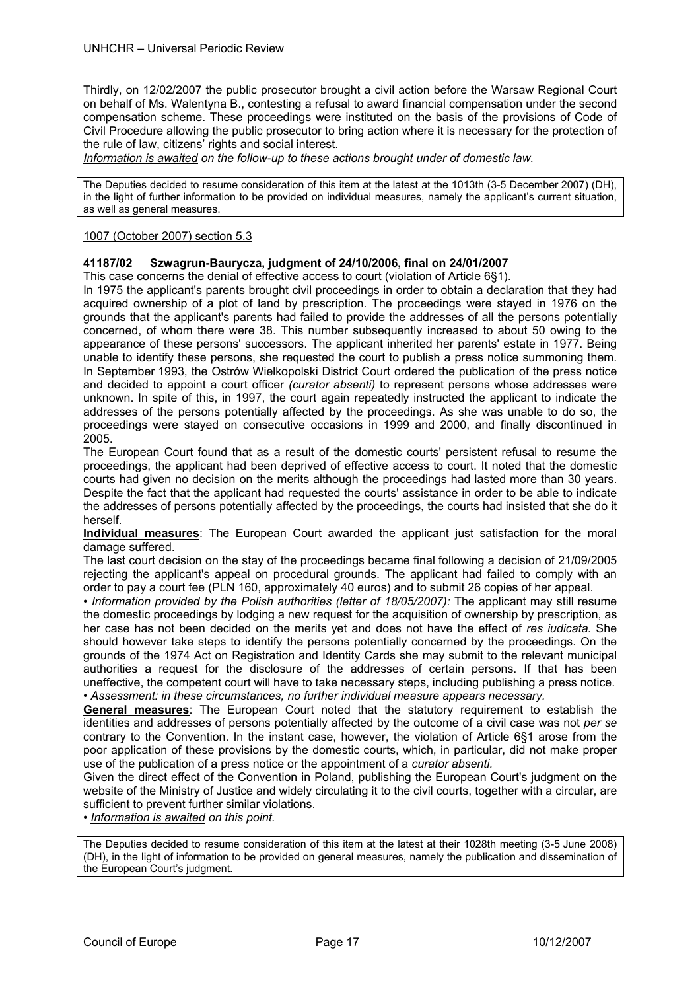Thirdly, on 12/02/2007 the public prosecutor brought a civil action before the Warsaw Regional Court on behalf of Ms. Walentyna B., contesting a refusal to award financial compensation under the second compensation scheme. These proceedings were instituted on the basis of the provisions of Code of Civil Procedure allowing the public prosecutor to bring action where it is necessary for the protection of the rule of law, citizens' rights and social interest.

*Information is awaited on the follow-up to these actions brought under of domestic law.* 

The Deputies decided to resume consideration of this item at the latest at the 1013th (3-5 December 2007) (DH), in the light of further information to be provided on individual measures, namely the applicant's current situation, as well as general measures.

## 1007 (October 2007) section 5.3

## **41187/02 Szwagrun-Baurycza, judgment of 24/10/2006, final on 24/01/2007**

This case concerns the denial of effective access to court (violation of Article 6§1).

In 1975 the applicant's parents brought civil proceedings in order to obtain a declaration that they had acquired ownership of a plot of land by prescription. The proceedings were stayed in 1976 on the grounds that the applicant's parents had failed to provide the addresses of all the persons potentially concerned, of whom there were 38. This number subsequently increased to about 50 owing to the appearance of these persons' successors. The applicant inherited her parents' estate in 1977. Being unable to identify these persons, she requested the court to publish a press notice summoning them. In September 1993, the Ostrów Wielkopolski District Court ordered the publication of the press notice and decided to appoint a court officer *(curator absenti)* to represent persons whose addresses were unknown. In spite of this, in 1997, the court again repeatedly instructed the applicant to indicate the addresses of the persons potentially affected by the proceedings. As she was unable to do so, the proceedings were stayed on consecutive occasions in 1999 and 2000, and finally discontinued in 2005.

The European Court found that as a result of the domestic courts' persistent refusal to resume the proceedings, the applicant had been deprived of effective access to court. It noted that the domestic courts had given no decision on the merits although the proceedings had lasted more than 30 years. Despite the fact that the applicant had requested the courts' assistance in order to be able to indicate the addresses of persons potentially affected by the proceedings, the courts had insisted that she do it herself.

**Individual measures**: The European Court awarded the applicant just satisfaction for the moral damage suffered.

The last court decision on the stay of the proceedings became final following a decision of 21/09/2005 rejecting the applicant's appeal on procedural grounds. The applicant had failed to comply with an order to pay a court fee (PLN 160, approximately 40 euros) and to submit 26 copies of her appeal.

• Information provided by the Polish authorities (letter of 18/05/2007): The applicant may still resume the domestic proceedings by lodging a new request for the acquisition of ownership by prescription, as her case has not been decided on the merits yet and does not have the effect of *res iudicata.* She should however take steps to identify the persons potentially concerned by the proceedings. On the grounds of the 1974 Act on Registration and Identity Cards she may submit to the relevant municipal authorities a request for the disclosure of the addresses of certain persons. If that has been uneffective, the competent court will have to take necessary steps, including publishing a press notice. *• Assessment: in these circumstances, no further individual measure appears necessary.* 

**General measures**: The European Court noted that the statutory requirement to establish the identities and addresses of persons potentially affected by the outcome of a civil case was not *per se*  contrary to the Convention. In the instant case, however, the violation of Article 6§1 arose from the poor application of these provisions by the domestic courts, which, in particular, did not make proper use of the publication of a press notice or the appointment of a *curator absenti.* 

Given the direct effect of the Convention in Poland, publishing the European Court's judgment on the website of the Ministry of Justice and widely circulating it to the civil courts, together with a circular, are sufficient to prevent further similar violations.

• *Information is awaited on this point.* 

The Deputies decided to resume consideration of this item at the latest at their 1028th meeting (3-5 June 2008) (DH), in the light of information to be provided on general measures, namely the publication and dissemination of the European Court's judgment.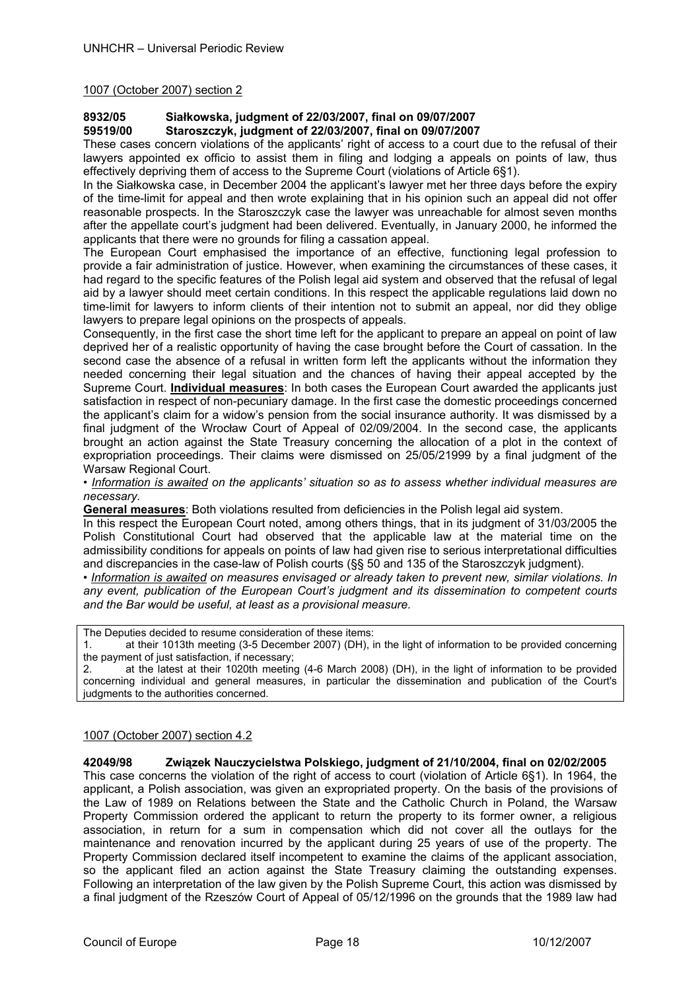1007 (October 2007) section 2

# **8932/05 Siałkowska, judgment of 22/03/2007, final on 09/07/2007**

**59519/00 Staroszczyk, judgment of 22/03/2007, final on 09/07/2007** 

These cases concern violations of the applicants' right of access to a court due to the refusal of their lawyers appointed ex officio to assist them in filing and lodging a appeals on points of law, thus effectively depriving them of access to the Supreme Court (violations of Article 6§1).

In the Siałkowska case, in December 2004 the applicant's lawyer met her three days before the expiry of the time-limit for appeal and then wrote explaining that in his opinion such an appeal did not offer reasonable prospects. In the Staroszczyk case the lawyer was unreachable for almost seven months after the appellate court's judgment had been delivered. Eventually, in January 2000, he informed the applicants that there were no grounds for filing a cassation appeal.

The European Court emphasised the importance of an effective, functioning legal profession to provide a fair administration of justice. However, when examining the circumstances of these cases, it had regard to the specific features of the Polish legal aid system and observed that the refusal of legal aid by a lawyer should meet certain conditions. In this respect the applicable regulations laid down no time-limit for lawyers to inform clients of their intention not to submit an appeal, nor did they oblige lawyers to prepare legal opinions on the prospects of appeals.

Consequently, in the first case the short time left for the applicant to prepare an appeal on point of law deprived her of a realistic opportunity of having the case brought before the Court of cassation. In the second case the absence of a refusal in written form left the applicants without the information they needed concerning their legal situation and the chances of having their appeal accepted by the Supreme Court. **Individual measures**: In both cases the European Court awarded the applicants just satisfaction in respect of non-pecuniary damage. In the first case the domestic proceedings concerned the applicant's claim for a widow's pension from the social insurance authority. It was dismissed by a final judgment of the Wrocław Court of Appeal of 02/09/2004. In the second case, the applicants brought an action against the State Treasury concerning the allocation of a plot in the context of expropriation proceedings. Their claims were dismissed on 25/05/21999 by a final judgment of the Warsaw Regional Court.

• *Information is awaited on the applicants' situation so as to assess whether individual measures are necessary.* 

**General measures**: Both violations resulted from deficiencies in the Polish legal aid system.

In this respect the European Court noted, among others things, that in its judgment of 31/03/2005 the Polish Constitutional Court had observed that the applicable law at the material time on the admissibility conditions for appeals on points of law had given rise to serious interpretational difficulties and discrepancies in the case-law of Polish courts (§§ 50 and 135 of the Staroszczyk judgment).

• *Information is awaited on measures envisaged or already taken to prevent new, similar violations. In any event, publication of the European Court's judgment and its dissemination to competent courts and the Bar would be useful, at least as a provisional measure.* 

The Deputies decided to resume consideration of these items:

1. at their 1013th meeting (3-5 December 2007) (DH), in the light of information to be provided concerning the payment of just satisfaction, if necessary;

2. at the latest at their 1020th meeting (4-6 March 2008) (DH), in the light of information to be provided concerning individual and general measures, in particular the dissemination and publication of the Court's judgments to the authorities concerned.

## 1007 (October 2007) section 4.2

**42049/98 Związek Nauczycielstwa Polskiego, judgment of 21/10/2004, final on 02/02/2005** 

This case concerns the violation of the right of access to court (violation of Article 6§1). In 1964, the applicant, a Polish association, was given an expropriated property. On the basis of the provisions of the Law of 1989 on Relations between the State and the Catholic Church in Poland, the Warsaw Property Commission ordered the applicant to return the property to its former owner, a religious association, in return for a sum in compensation which did not cover all the outlays for the maintenance and renovation incurred by the applicant during 25 years of use of the property. The Property Commission declared itself incompetent to examine the claims of the applicant association, so the applicant filed an action against the State Treasury claiming the outstanding expenses. Following an interpretation of the law given by the Polish Supreme Court, this action was dismissed by a final judgment of the Rzeszów Court of Appeal of 05/12/1996 on the grounds that the 1989 law had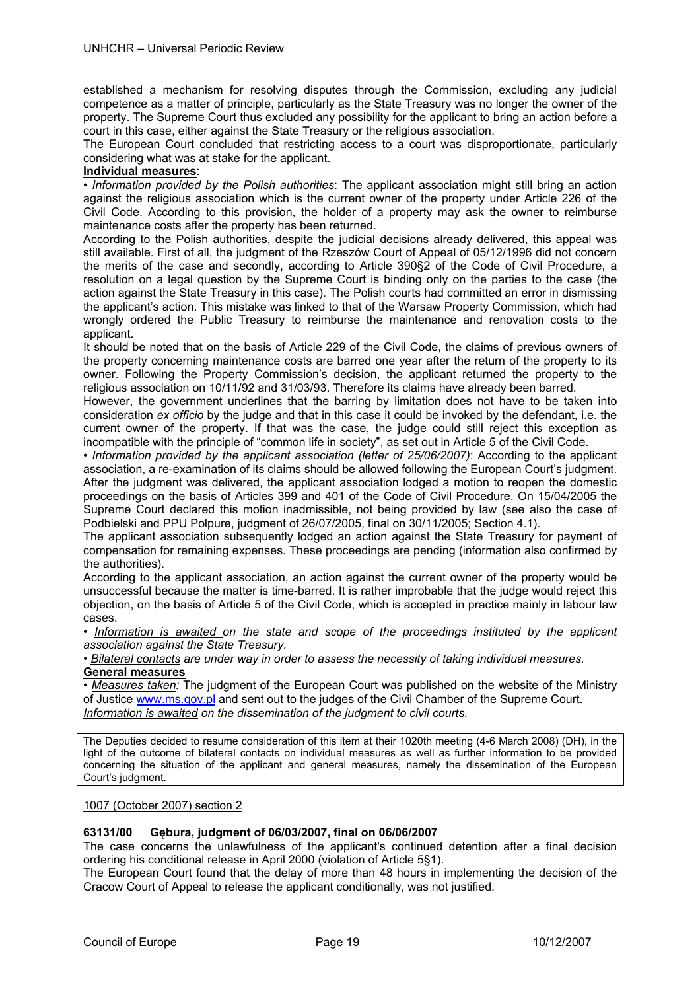established a mechanism for resolving disputes through the Commission, excluding any judicial competence as a matter of principle, particularly as the State Treasury was no longer the owner of the property. The Supreme Court thus excluded any possibility for the applicant to bring an action before a court in this case, either against the State Treasury or the religious association.

The European Court concluded that restricting access to a court was disproportionate, particularly considering what was at stake for the applicant.

## **Individual measures**:

• *Information provided by the Polish authorities*: The applicant association might still bring an action against the religious association which is the current owner of the property under Article 226 of the Civil Code. According to this provision, the holder of a property may ask the owner to reimburse maintenance costs after the property has been returned.

According to the Polish authorities, despite the judicial decisions already delivered, this appeal was still available. First of all, the judgment of the Rzeszów Court of Appeal of 05/12/1996 did not concern the merits of the case and secondly, according to Article 390§2 of the Code of Civil Procedure, a resolution on a legal question by the Supreme Court is binding only on the parties to the case (the action against the State Treasury in this case). The Polish courts had committed an error in dismissing the applicant's action. This mistake was linked to that of the Warsaw Property Commission, which had wrongly ordered the Public Treasury to reimburse the maintenance and renovation costs to the applicant.

It should be noted that on the basis of Article 229 of the Civil Code, the claims of previous owners of the property concerning maintenance costs are barred one year after the return of the property to its owner. Following the Property Commission's decision, the applicant returned the property to the religious association on 10/11/92 and 31/03/93. Therefore its claims have already been barred.

However, the government underlines that the barring by limitation does not have to be taken into consideration *ex officio* by the judge and that in this case it could be invoked by the defendant, i.e. the current owner of the property. If that was the case, the judge could still reject this exception as incompatible with the principle of "common life in society", as set out in Article 5 of the Civil Code.

*• Information provided by the applicant association (letter of 25/06/2007)*: According to the applicant association, a re-examination of its claims should be allowed following the European Court's judgment. After the judgment was delivered, the applicant association lodged a motion to reopen the domestic proceedings on the basis of Articles 399 and 401 of the Code of Civil Procedure. On 15/04/2005 the Supreme Court declared this motion inadmissible, not being provided by law (see also the case of Podbielski and PPU Polpure, judgment of 26/07/2005, final on 30/11/2005; Section 4.1).

The applicant association subsequently lodged an action against the State Treasury for payment of compensation for remaining expenses. These proceedings are pending (information also confirmed by the authorities).

According to the applicant association, an action against the current owner of the property would be unsuccessful because the matter is time-barred. It is rather improbable that the judge would reject this objection, on the basis of Article 5 of the Civil Code, which is accepted in practice mainly in labour law cases.

• Information is awaited on the state and scope of the proceedings instituted by the applicant *association against the State Treasury.* 

*• Bilateral contacts are under way in order to assess the necessity of taking individual measures.* **General measures** 

• *Measures taken:* The judgment of the European Court was published on the website of the Ministry of Justice www.ms.gov.pl and sent out to the judges of the Civil Chamber of the Supreme Court. *Information is awaited on the dissemination of the judgment to civil courts.* 

The Deputies decided to resume consideration of this item at their 1020th meeting (4-6 March 2008) (DH), in the light of the outcome of bilateral contacts on individual measures as well as further information to be provided concerning the situation of the applicant and general measures, namely the dissemination of the European Court's judgment.

## 1007 (October 2007) section 2

## **63131/00 Gębura, judgment of 06/03/2007, final on 06/06/2007**

The case concerns the unlawfulness of the applicant's continued detention after a final decision ordering his conditional release in April 2000 (violation of Article 5§1).

The European Court found that the delay of more than 48 hours in implementing the decision of the Cracow Court of Appeal to release the applicant conditionally, was not justified.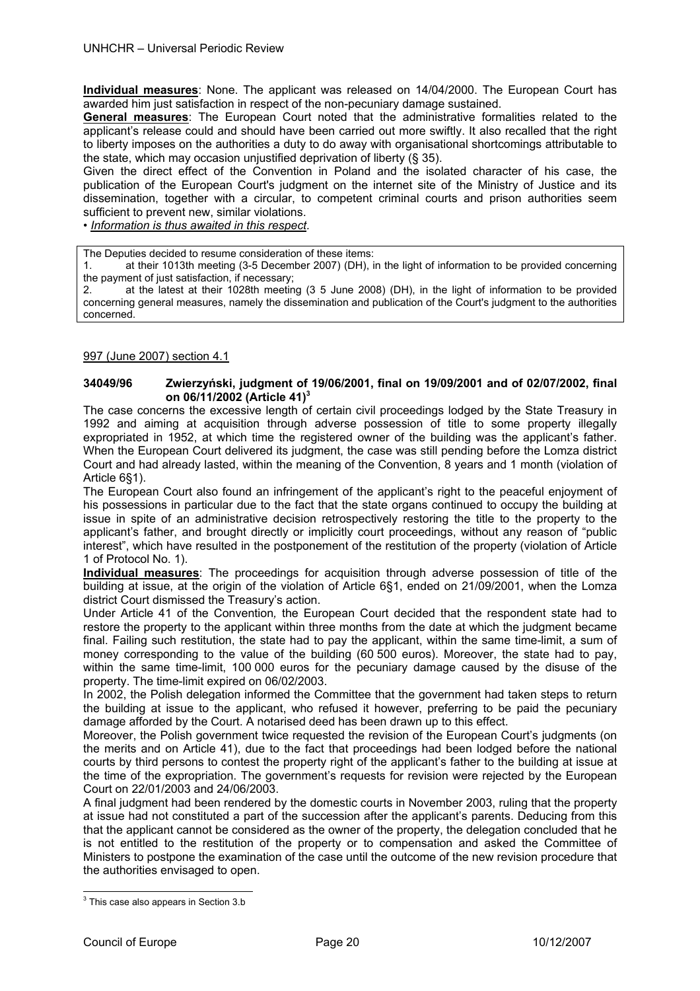**Individual measures**: None. The applicant was released on 14/04/2000. The European Court has awarded him just satisfaction in respect of the non-pecuniary damage sustained.

**General measures**: The European Court noted that the administrative formalities related to the applicant's release could and should have been carried out more swiftly. It also recalled that the right to liberty imposes on the authorities a duty to do away with organisational shortcomings attributable to the state, which may occasion unjustified deprivation of liberty (§ 35).

Given the direct effect of the Convention in Poland and the isolated character of his case, the publication of the European Court's judgment on the internet site of the Ministry of Justice and its dissemination, together with a circular, to competent criminal courts and prison authorities seem sufficient to prevent new, similar violations.

• *Information is thus awaited in this respect.* 

The Deputies decided to resume consideration of these items:

1. at their 1013th meeting (3-5 December 2007) (DH), in the light of information to be provided concerning the payment of just satisfaction, if necessary;

2. at the latest at their 1028th meeting (3 5 June 2008) (DH), in the light of information to be provided concerning general measures, namely the dissemination and publication of the Court's judgment to the authorities concerned.

## 997 (June 2007) section 4.1

## **34049/96 Zwierzyński, judgment of 19/06/2001, final on 19/09/2001 and of 02/07/2002, final on 06/11/2002 (Article 41)<sup>3</sup>**

The case concerns the excessive length of certain civil proceedings lodged by the State Treasury in 1992 and aiming at acquisition through adverse possession of title to some property illegally expropriated in 1952, at which time the registered owner of the building was the applicant's father. When the European Court delivered its judgment, the case was still pending before the Lomza district Court and had already lasted, within the meaning of the Convention, 8 years and 1 month (violation of Article 6§1).

The European Court also found an infringement of the applicant's right to the peaceful enjoyment of his possessions in particular due to the fact that the state organs continued to occupy the building at issue in spite of an administrative decision retrospectively restoring the title to the property to the applicant's father, and brought directly or implicitly court proceedings, without any reason of "public interest", which have resulted in the postponement of the restitution of the property (violation of Article 1 of Protocol No. 1).

**Individual measures**: The proceedings for acquisition through adverse possession of title of the building at issue, at the origin of the violation of Article 6§1, ended on 21/09/2001, when the Lomza district Court dismissed the Treasury's action.

Under Article 41 of the Convention*,* the European Court decided that the respondent state had to restore the property to the applicant within three months from the date at which the judgment became final. Failing such restitution, the state had to pay the applicant, within the same time-limit, a sum of money corresponding to the value of the building (60 500 euros). Moreover, the state had to pay, within the same time-limit, 100 000 euros for the pecuniary damage caused by the disuse of the property. The time-limit expired on 06/02/2003.

In 2002, the Polish delegation informed the Committee that the government had taken steps to return the building at issue to the applicant, who refused it however, preferring to be paid the pecuniary damage afforded by the Court. A notarised deed has been drawn up to this effect.

Moreover, the Polish government twice requested the revision of the European Court's judgments (on the merits and on Article 41), due to the fact that proceedings had been lodged before the national courts by third persons to contest the property right of the applicant's father to the building at issue at the time of the expropriation. The government's requests for revision were rejected by the European Court on 22/01/2003 and 24/06/2003.

A final judgment had been rendered by the domestic courts in November 2003, ruling that the property at issue had not constituted a part of the succession after the applicant's parents. Deducing from this that the applicant cannot be considered as the owner of the property, the delegation concluded that he is not entitled to the restitution of the property or to compensation and asked the Committee of Ministers to postpone the examination of the case until the outcome of the new revision procedure that the authorities envisaged to open.

l

 $3$  This case also appears in Section 3.b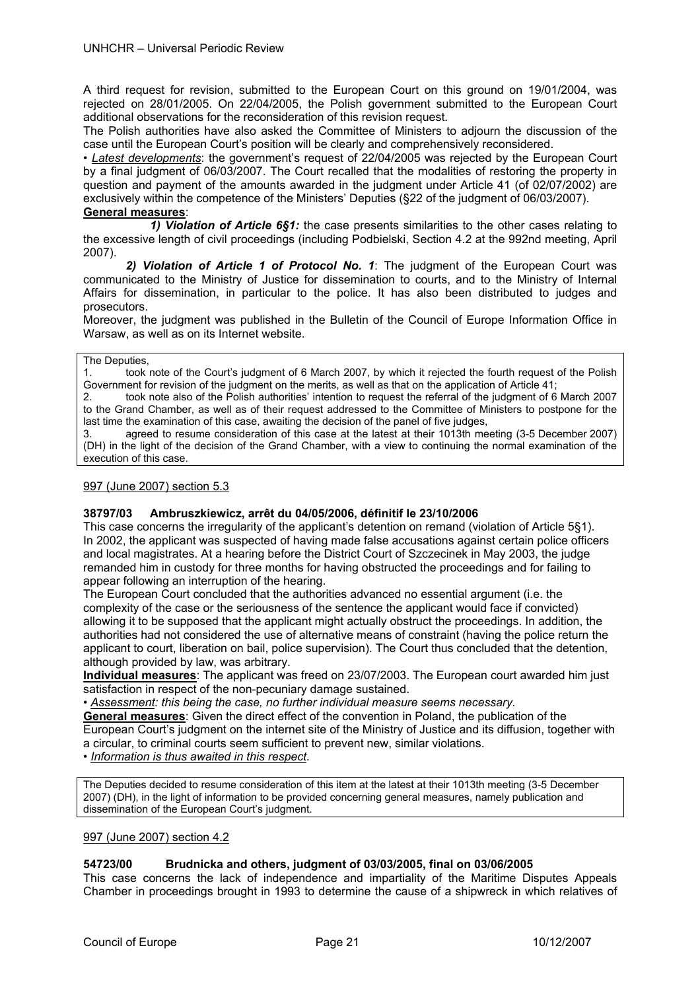A third request for revision, submitted to the European Court on this ground on 19/01/2004, was rejected on 28/01/2005. On 22/04/2005, the Polish government submitted to the European Court additional observations for the reconsideration of this revision request.

The Polish authorities have also asked the Committee of Ministers to adjourn the discussion of the case until the European Court's position will be clearly and comprehensively reconsidered.

• *Latest developments*: the government's request of 22/04/2005 was rejected by the European Court by a final judgment of 06/03/2007. The Court recalled that the modalities of restoring the property in question and payment of the amounts awarded in the judgment under Article 41 (of 02/07/2002) are exclusively within the competence of the Ministers' Deputies (§22 of the judgment of 06/03/2007). **General measures**:

 *1) Violation of Article 6§1:* the case presents similarities to the other cases relating to the excessive length of civil proceedings (including Podbielski, Section 4.2 at the 992nd meeting, April 2007).

 *2) Violation of Article 1 of Protocol No. 1*: The judgment of the European Court was communicated to the Ministry of Justice for dissemination to courts, and to the Ministry of Internal Affairs for dissemination, in particular to the police. It has also been distributed to judges and prosecutors.

Moreover, the judgment was published in the Bulletin of the Council of Europe Information Office in Warsaw, as well as on its Internet website.

#### The Deputies,

1. took note of the Court's judgment of 6 March 2007, by which it rejected the fourth request of the Polish Government for revision of the judgment on the merits, as well as that on the application of Article 41;

2. took note also of the Polish authorities' intention to request the referral of the judgment of 6 March 2007 to the Grand Chamber, as well as of their request addressed to the Committee of Ministers to postpone for the last time the examination of this case, awaiting the decision of the panel of five judges,

3. agreed to resume consideration of this case at the latest at their 1013th meeting (3-5 December 2007) (DH) in the light of the decision of the Grand Chamber, with a view to continuing the normal examination of the execution of this case.

## 997 (June 2007) section 5.3

## **38797/03 Ambruszkiewicz, arrêt du 04/05/2006, définitif le 23/10/2006**

This case concerns the irregularity of the applicant's detention on remand (violation of Article 5§1). In 2002, the applicant was suspected of having made false accusations against certain police officers and local magistrates. At a hearing before the District Court of Szczecinek in May 2003, the judge remanded him in custody for three months for having obstructed the proceedings and for failing to appear following an interruption of the hearing.

The European Court concluded that the authorities advanced no essential argument (i.e. the complexity of the case or the seriousness of the sentence the applicant would face if convicted) allowing it to be supposed that the applicant might actually obstruct the proceedings. In addition, the authorities had not considered the use of alternative means of constraint (having the police return the applicant to court, liberation on bail, police supervision). The Court thus concluded that the detention, although provided by law, was arbitrary.

**Individual measures**: The applicant was freed on 23/07/2003. The European court awarded him just satisfaction in respect of the non-pecuniary damage sustained.

• *Assessment: this being the case, no further individual measure seems necessary.* 

**General measures**: Given the direct effect of the convention in Poland, the publication of the European Court's judgment on the internet site of the Ministry of Justice and its diffusion, together with a circular, to criminal courts seem sufficient to prevent new, similar violations.

• *Information is thus awaited in this respect.* 

The Deputies decided to resume consideration of this item at the latest at their 1013th meeting (3-5 December 2007) (DH), in the light of information to be provided concerning general measures, namely publication and dissemination of the European Court's judgment.

## 997 (June 2007) section 4.2

## **54723/00 Brudnicka and others, judgment of 03/03/2005, final on 03/06/2005**

This case concerns the lack of independence and impartiality of the Maritime Disputes Appeals Chamber in proceedings brought in 1993 to determine the cause of a shipwreck in which relatives of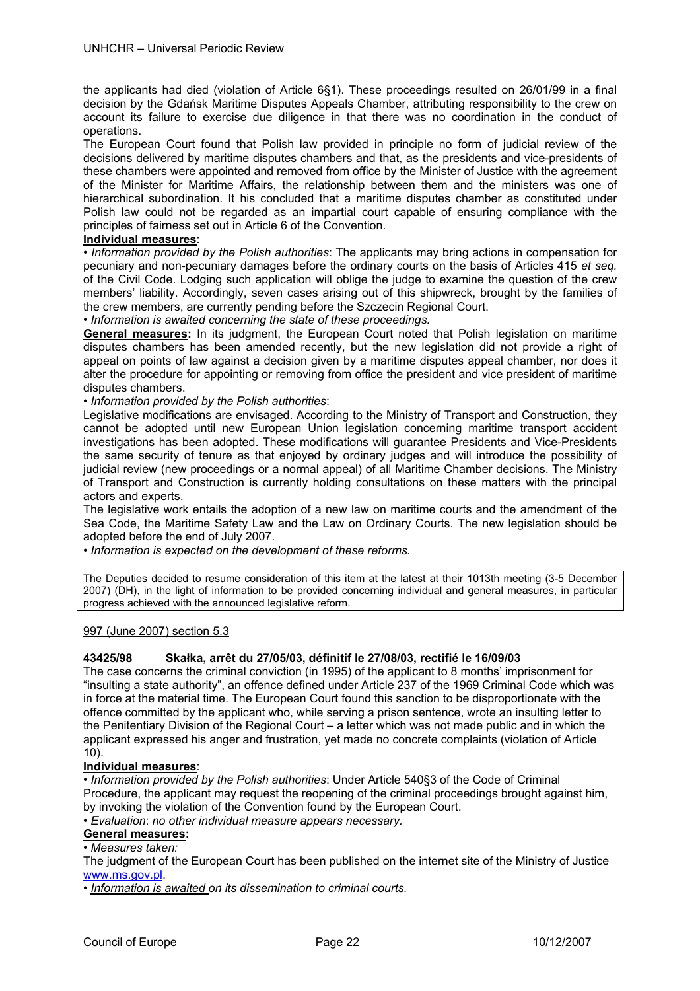the applicants had died (violation of Article 6§1). These proceedings resulted on 26/01/99 in a final decision by the Gdańsk Maritime Disputes Appeals Chamber, attributing responsibility to the crew on account its failure to exercise due diligence in that there was no coordination in the conduct of operations.

The European Court found that Polish law provided in principle no form of judicial review of the decisions delivered by maritime disputes chambers and that, as the presidents and vice-presidents of these chambers were appointed and removed from office by the Minister of Justice with the agreement of the Minister for Maritime Affairs, the relationship between them and the ministers was one of hierarchical subordination. It his concluded that a maritime disputes chamber as constituted under Polish law could not be regarded as an impartial court capable of ensuring compliance with the principles of fairness set out in Article 6 of the Convention.

## **Individual measures**:

• *Information provided by the Polish authorities*: The applicants may bring actions in compensation for pecuniary and non-pecuniary damages before the ordinary courts on the basis of Articles 415 *et seq.*  of the Civil Code. Lodging such application will oblige the judge to examine the question of the crew members' liability. Accordingly, seven cases arising out of this shipwreck, brought by the families of the crew members, are currently pending before the Szczecin Regional Court.

• *Information is awaited concerning the state of these proceedings.* 

**General measures:** In its judgment, the European Court noted that Polish legislation on maritime disputes chambers has been amended recently, but the new legislation did not provide a right of appeal on points of law against a decision given by a maritime disputes appeal chamber, nor does it alter the procedure for appointing or removing from office the president and vice president of maritime disputes chambers.

• *Information provided by the Polish authorities*:

Legislative modifications are envisaged. According to the Ministry of Transport and Construction, they cannot be adopted until new European Union legislation concerning maritime transport accident investigations has been adopted. These modifications will guarantee Presidents and Vice-Presidents the same security of tenure as that enjoyed by ordinary judges and will introduce the possibility of judicial review (new proceedings or a normal appeal) of all Maritime Chamber decisions. The Ministry of Transport and Construction is currently holding consultations on these matters with the principal actors and experts.

The legislative work entails the adoption of a new law on maritime courts and the amendment of the Sea Code, the Maritime Safety Law and the Law on Ordinary Courts. The new legislation should be adopted before the end of July 2007.

• *Information is expected on the development of these reforms.* 

The Deputies decided to resume consideration of this item at the latest at their 1013th meeting (3-5 December 2007) (DH), in the light of information to be provided concerning individual and general measures, in particular progress achieved with the announced legislative reform.

## 997 (June 2007) section 5.3

## **43425/98 Skałka, arrêt du 27/05/03, définitif le 27/08/03, rectifié le 16/09/03**

The case concerns the criminal conviction (in 1995) of the applicant to 8 months' imprisonment for "insulting a state authority", an offence defined under Article 237 of the 1969 Criminal Code which was in force at the material time. The European Court found this sanction to be disproportionate with the offence committed by the applicant who, while serving a prison sentence, wrote an insulting letter to the Penitentiary Division of the Regional Court – a letter which was not made public and in which the applicant expressed his anger and frustration, yet made no concrete complaints (violation of Article 10).

## **Individual measures**:

• *Information provided by the Polish authorities*: Under Article 540§3 of the Code of Criminal Procedure, the applicant may request the reopening of the criminal proceedings brought against him, by invoking the violation of the Convention found by the European Court.

• *Evaluation*: *no other individual measure appears necessary.* 

# **General measures:**

• *Measures taken:* 

The judgment of the European Court has been published on the internet site of the Ministry of Justice www.ms.gov.pl.

• *Information is awaited on its dissemination to criminal courts.*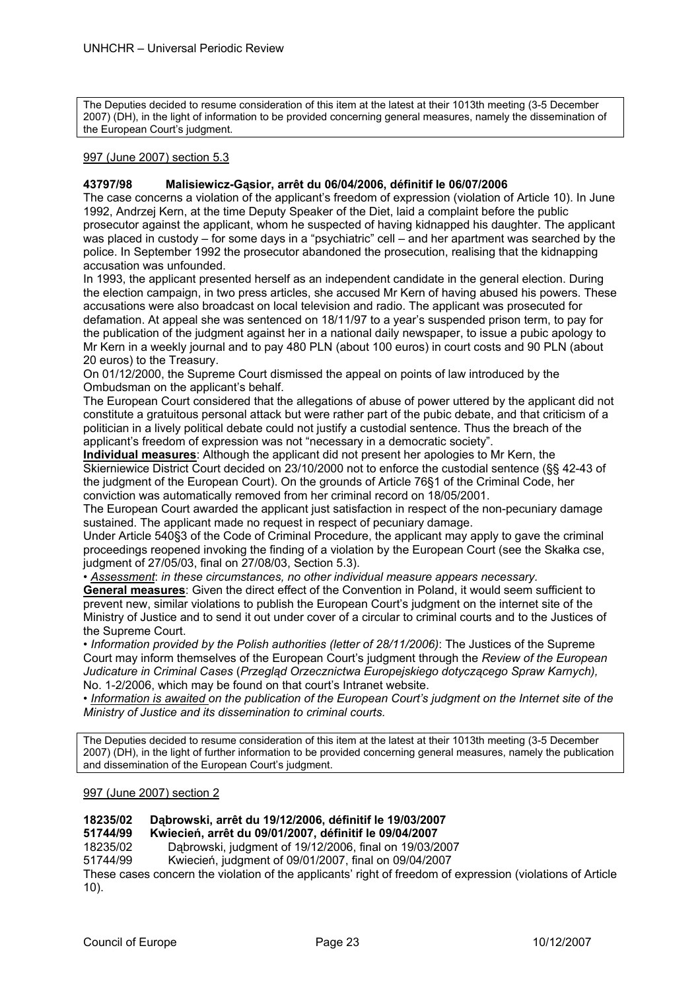The Deputies decided to resume consideration of this item at the latest at their 1013th meeting (3-5 December 2007) (DH), in the light of information to be provided concerning general measures, namely the dissemination of the European Court's judgment.

## 997 (June 2007) section 5.3

#### **43797/98 Malisiewicz-Gąsior, arrêt du 06/04/2006, définitif le 06/07/2006**

The case concerns a violation of the applicant's freedom of expression (violation of Article 10). In June 1992, Andrzej Kern, at the time Deputy Speaker of the Diet, laid a complaint before the public prosecutor against the applicant, whom he suspected of having kidnapped his daughter. The applicant was placed in custody – for some days in a "psychiatric" cell – and her apartment was searched by the police. In September 1992 the prosecutor abandoned the prosecution, realising that the kidnapping accusation was unfounded.

In 1993, the applicant presented herself as an independent candidate in the general election. During the election campaign, in two press articles, she accused Mr Kern of having abused his powers. These accusations were also broadcast on local television and radio. The applicant was prosecuted for defamation. At appeal she was sentenced on 18/11/97 to a year's suspended prison term, to pay for the publication of the judgment against her in a national daily newspaper, to issue a pubic apology to Mr Kern in a weekly journal and to pay 480 PLN (about 100 euros) in court costs and 90 PLN (about 20 euros) to the Treasury.

On 01/12/2000, the Supreme Court dismissed the appeal on points of law introduced by the Ombudsman on the applicant's behalf.

The European Court considered that the allegations of abuse of power uttered by the applicant did not constitute a gratuitous personal attack but were rather part of the pubic debate, and that criticism of a politician in a lively political debate could not justify a custodial sentence. Thus the breach of the applicant's freedom of expression was not "necessary in a democratic society".

**Individual measures**: Although the applicant did not present her apologies to Mr Kern, the Skierniewice District Court decided on 23/10/2000 not to enforce the custodial sentence (§§ 42-43 of the judgment of the European Court). On the grounds of Article 76§1 of the Criminal Code, her conviction was automatically removed from her criminal record on 18/05/2001.

The European Court awarded the applicant just satisfaction in respect of the non-pecuniary damage sustained. The applicant made no request in respect of pecuniary damage.

Under Article 540§3 of the Code of Criminal Procedure, the applicant may apply to gave the criminal proceedings reopened invoking the finding of a violation by the European Court (see the Skałka cse, judgment of 27/05/03, final on 27/08/03, Section 5.3).

*• Assessment*: *in these circumstances, no other individual measure appears necessary.* 

**General measures**: Given the direct effect of the Convention in Poland, it would seem sufficient to prevent new, similar violations to publish the European Court's judgment on the internet site of the Ministry of Justice and to send it out under cover of a circular to criminal courts and to the Justices of the Supreme Court.

• *Information provided by the Polish authorities (letter of 28/11/2006)*: The Justices of the Supreme Court may inform themselves of the European Court's judgment through the *Review of the European Judicature in Criminal Cases* (*Przegląd Orzecznictwa Europejskiego dotyczącego Spraw Karnych),*  No. 1-2/2006, which may be found on that court's Intranet website.

• *Information is awaited on the publication of the European Court's judgment on the Internet site of the Ministry of Justice and its dissemination to criminal courts.* 

The Deputies decided to resume consideration of this item at the latest at their 1013th meeting (3-5 December 2007) (DH), in the light of further information to be provided concerning general measures, namely the publication and dissemination of the European Court's judgment.

#### 997 (June 2007) section 2

# **18235/02 Dąbrowski, arrêt du 19/12/2006, définitif le 19/03/2007**

**51744/99 Kwiecień, arrêt du 09/01/2007, définitif le 09/04/2007** 

18235/02 Dąbrowski, judgment of 19/12/2006, final on 19/03/2007

51744/99 Kwiecień, judgment of 09/01/2007, final on 09/04/2007

These cases concern the violation of the applicants' right of freedom of expression (violations of Article 10).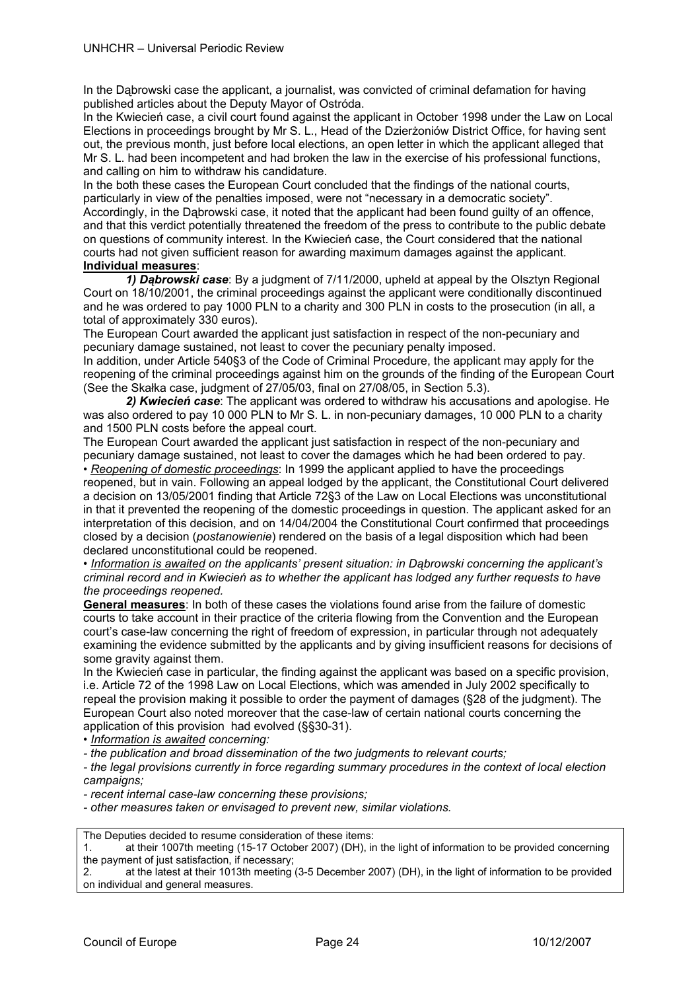In the Dąbrowski case the applicant, a journalist, was convicted of criminal defamation for having published articles about the Deputy Mayor of Ostróda.

In the Kwiecień case, a civil court found against the applicant in October 1998 under the Law on Local Elections in proceedings brought by Mr S. L., Head of the Dzierżoniów District Office, for having sent out, the previous month, just before local elections, an open letter in which the applicant alleged that Mr S. L. had been incompetent and had broken the law in the exercise of his professional functions, and calling on him to withdraw his candidature.

In the both these cases the European Court concluded that the findings of the national courts, particularly in view of the penalties imposed, were not "necessary in a democratic society". Accordingly, in the Dąbrowski case, it noted that the applicant had been found guilty of an offence, and that this verdict potentially threatened the freedom of the press to contribute to the public debate on questions of community interest. In the Kwiecień case, the Court considered that the national courts had not given sufficient reason for awarding maximum damages against the applicant. **Individual measures**:

*1) Dąbrowski case*: By a judgment of 7/11/2000, upheld at appeal by the Olsztyn Regional Court on 18/10/2001, the criminal proceedings against the applicant were conditionally discontinued and he was ordered to pay 1000 PLN to a charity and 300 PLN in costs to the prosecution (in all, a total of approximately 330 euros).

The European Court awarded the applicant just satisfaction in respect of the non-pecuniary and pecuniary damage sustained, not least to cover the pecuniary penalty imposed.

In addition, under Article 540§3 of the Code of Criminal Procedure, the applicant may apply for the reopening of the criminal proceedings against him on the grounds of the finding of the European Court (See the Skałka case, judgment of 27/05/03, final on 27/08/05, in Section 5.3).

*2) Kwiecień case*: The applicant was ordered to withdraw his accusations and apologise. He was also ordered to pay 10 000 PLN to Mr S. L. in non-pecuniary damages, 10 000 PLN to a charity and 1500 PLN costs before the appeal court.

The European Court awarded the applicant just satisfaction in respect of the non-pecuniary and pecuniary damage sustained, not least to cover the damages which he had been ordered to pay. • *Reopening of domestic proceedings*: In 1999 the applicant applied to have the proceedings

reopened, but in vain. Following an appeal lodged by the applicant, the Constitutional Court delivered a decision on 13/05/2001 finding that Article 72§3 of the Law on Local Elections was unconstitutional in that it prevented the reopening of the domestic proceedings in question. The applicant asked for an interpretation of this decision, and on 14/04/2004 the Constitutional Court confirmed that proceedings closed by a decision (*postanowienie*) rendered on the basis of a legal disposition which had been declared unconstitutional could be reopened.

• Information is awaited on the applicants' present situation: in Dąbrowski concerning the applicant's *criminal record and in Kwiecień as to whether the applicant has lodged any further requests to have the proceedings reopened.* 

**General measures**: In both of these cases the violations found arise from the failure of domestic courts to take account in their practice of the criteria flowing from the Convention and the European court's case-law concerning the right of freedom of expression, in particular through not adequately examining the evidence submitted by the applicants and by giving insufficient reasons for decisions of some gravity against them.

In the Kwiecień case in particular, the finding against the applicant was based on a specific provision, i.e. Article 72 of the 1998 Law on Local Elections, which was amended in July 2002 specifically to repeal the provision making it possible to order the payment of damages (§28 of the judgment). The European Court also noted moreover that the case-law of certain national courts concerning the application of this provision had evolved (§§30-31).

• *Information is awaited concerning:* 

*- the publication and broad dissemination of the two judgments to relevant courts;* 

*- the legal provisions currently in force regarding summary procedures in the context of local election campaigns;* 

*- recent internal case-law concerning these provisions;* 

*- other measures taken or envisaged to prevent new, similar violations.* 

The Deputies decided to resume consideration of these items:

1. at their 1007th meeting (15-17 October 2007) (DH), in the light of information to be provided concerning the payment of just satisfaction, if necessary;

2. at the latest at their 1013th meeting (3-5 December 2007) (DH), in the light of information to be provided on individual and general measures.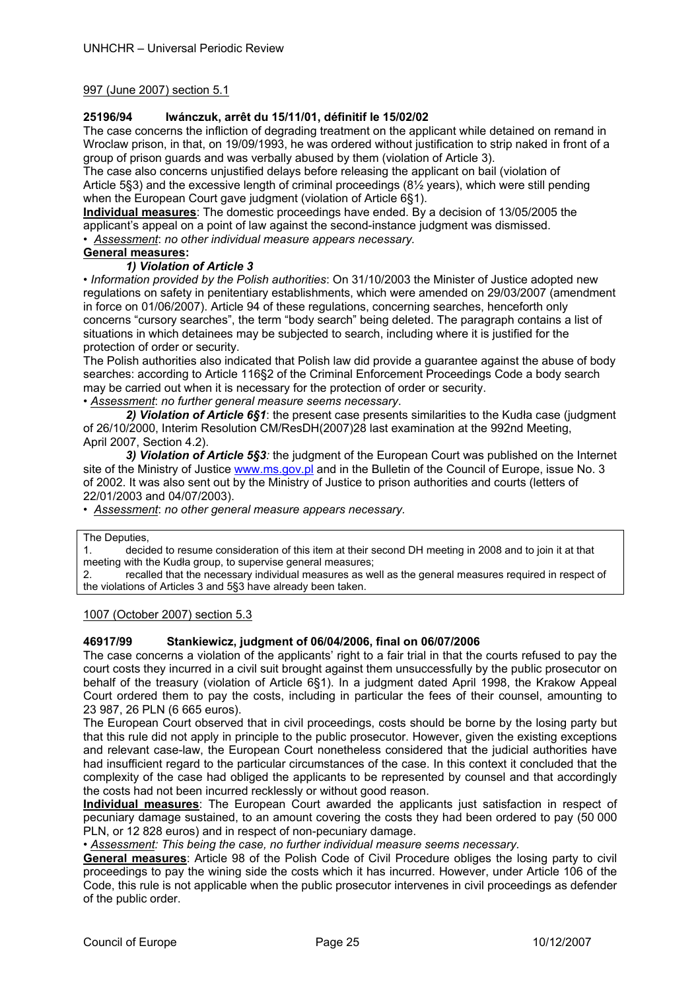## 997 (June 2007) section 5.1

## **25196/94 Iwánczuk, arrêt du 15/11/01, définitif le 15/02/02**

The case concerns the infliction of degrading treatment on the applicant while detained on remand in Wroclaw prison, in that, on 19/09/1993, he was ordered without justification to strip naked in front of a group of prison guards and was verbally abused by them (violation of Article 3).

The case also concerns unjustified delays before releasing the applicant on bail (violation of Article 5§3) and the excessive length of criminal proceedings (8½ years), which were still pending when the European Court gave judgment (violation of Article 6§1).

**Individual measures**: The domestic proceedings have ended. By a decision of 13/05/2005 the applicant's appeal on a point of law against the second-instance judgment was dismissed.

*• Assessment*: *no other individual measure appears necessary.* 

## **General measures:**

## *1) Violation of Article 3*

*• Information provided by the Polish authorities*: On 31/10/2003 the Minister of Justice adopted new regulations on safety in penitentiary establishments, which were amended on 29/03/2007 (amendment in force on 01/06/2007). Article 94 of these regulations, concerning searches, henceforth only concerns "cursory searches", the term "body search" being deleted. The paragraph contains a list of situations in which detainees may be subjected to search, including where it is justified for the protection of order or security.

The Polish authorities also indicated that Polish law did provide a guarantee against the abuse of body searches: according to Article 116§2 of the Criminal Enforcement Proceedings Code a body search may be carried out when it is necessary for the protection of order or security.

*• Assessment*: *no further general measure seems necessary*.

*2) Violation of Article 6§1*: the present case presents similarities to the Kudła case (judgment of 26/10/2000, Interim Resolution CM/ResDH(2007)28 last examination at the 992nd Meeting, April 2007, Section 4.2).

 *3) Violation of Article 5§3:* the judgment of the European Court was published on the Internet site of the Ministry of Justice www.ms.gov.pl and in the Bulletin of the Council of Europe, issue No. 3 of 2002. It was also sent out by the Ministry of Justice to prison authorities and courts (letters of 22/01/2003 and 04/07/2003).

*• Assessment*: *no other general measure appears necessary.* 

The Deputies,

1. decided to resume consideration of this item at their second DH meeting in 2008 and to join it at that meeting with the Kudła group, to supervise general measures;

2. recalled that the necessary individual measures as well as the general measures required in respect of the violations of Articles 3 and 5§3 have already been taken.

1007 (October 2007) section 5.3

## **46917/99 Stankiewicz, judgment of 06/04/2006, final on 06/07/2006**

The case concerns a violation of the applicants' right to a fair trial in that the courts refused to pay the court costs they incurred in a civil suit brought against them unsuccessfully by the public prosecutor on behalf of the treasury (violation of Article 6§1). In a judgment dated April 1998, the Krakow Appeal Court ordered them to pay the costs, including in particular the fees of their counsel, amounting to 23 987, 26 PLN (6 665 euros).

The European Court observed that in civil proceedings, costs should be borne by the losing party but that this rule did not apply in principle to the public prosecutor. However, given the existing exceptions and relevant case-law, the European Court nonetheless considered that the judicial authorities have had insufficient regard to the particular circumstances of the case. In this context it concluded that the complexity of the case had obliged the applicants to be represented by counsel and that accordingly the costs had not been incurred recklessly or without good reason.

**Individual measures**: The European Court awarded the applicants just satisfaction in respect of pecuniary damage sustained, to an amount covering the costs they had been ordered to pay (50 000 PLN, or 12 828 euros) and in respect of non-pecuniary damage.

• *Assessment: This being the case, no further individual measure seems necessary.* 

**General measures**: Article 98 of the Polish Code of Civil Procedure obliges the losing party to civil proceedings to pay the wining side the costs which it has incurred. However, under Article 106 of the Code, this rule is not applicable when the public prosecutor intervenes in civil proceedings as defender of the public order.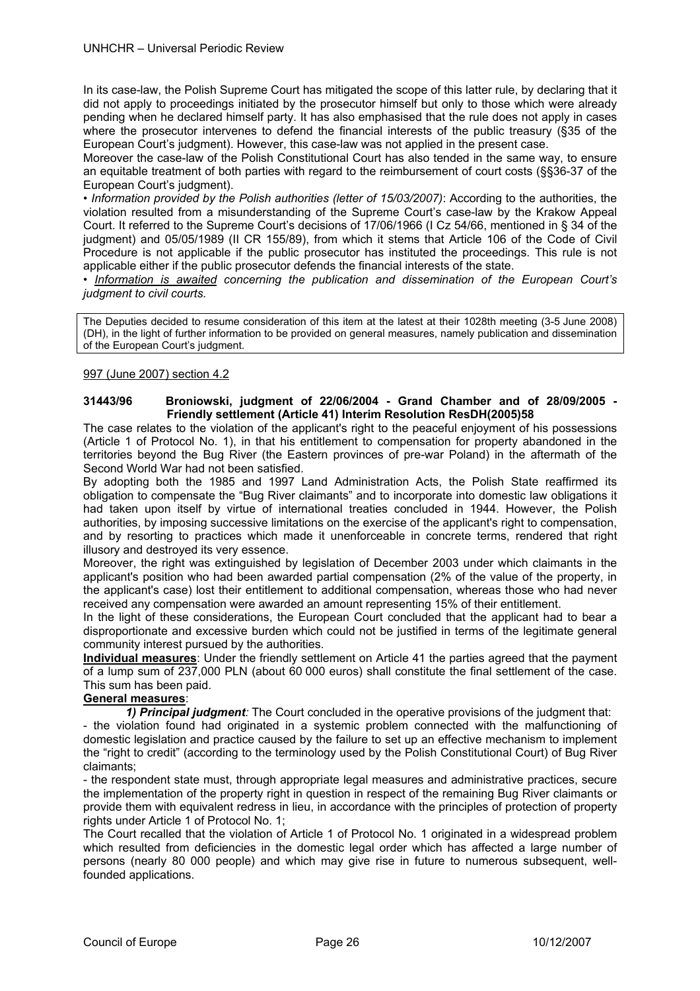In its case-law, the Polish Supreme Court has mitigated the scope of this latter rule, by declaring that it did not apply to proceedings initiated by the prosecutor himself but only to those which were already pending when he declared himself party. It has also emphasised that the rule does not apply in cases where the prosecutor intervenes to defend the financial interests of the public treasury (§35 of the European Court's judgment). However, this case-law was not applied in the present case.

Moreover the case-law of the Polish Constitutional Court has also tended in the same way, to ensure an equitable treatment of both parties with regard to the reimbursement of court costs (§§36-37 of the European Court's judgment).

*• Information provided by the Polish authorities (letter of 15/03/2007)*: According to the authorities, the violation resulted from a misunderstanding of the Supreme Court's case-law by the Krakow Appeal Court. It referred to the Supreme Court's decisions of 17/06/1966 (I Cz 54/66, mentioned in § 34 of the judgment) and 05/05/1989 (II CR 155/89), from which it stems that Article 106 of the Code of Civil Procedure is not applicable if the public prosecutor has instituted the proceedings. This rule is not applicable either if the public prosecutor defends the financial interests of the state.

• *Information is awaited concerning the publication and dissemination of the European Court's judgment to civil courts.*

The Deputies decided to resume consideration of this item at the latest at their 1028th meeting (3-5 June 2008) (DH), in the light of further information to be provided on general measures, namely publication and dissemination of the European Court's judgment.

## 997 (June 2007) section 4.2

## **31443/96 Broniowski, judgment of 22/06/2004 - Grand Chamber and of 28/09/2005 - Friendly settlement (Article 41) Interim Resolution ResDH(2005)58**

The case relates to the violation of the applicant's right to the peaceful enjoyment of his possessions (Article 1 of Protocol No. 1), in that his entitlement to compensation for property abandoned in the territories beyond the Bug River (the Eastern provinces of pre-war Poland) in the aftermath of the Second World War had not been satisfied.

By adopting both the 1985 and 1997 Land Administration Acts, the Polish State reaffirmed its obligation to compensate the "Bug River claimants" and to incorporate into domestic law obligations it had taken upon itself by virtue of international treaties concluded in 1944. However, the Polish authorities, by imposing successive limitations on the exercise of the applicant's right to compensation, and by resorting to practices which made it unenforceable in concrete terms, rendered that right illusory and destroyed its very essence.

Moreover, the right was extinguished by legislation of December 2003 under which claimants in the applicant's position who had been awarded partial compensation (2% of the value of the property, in the applicant's case) lost their entitlement to additional compensation, whereas those who had never received any compensation were awarded an amount representing 15% of their entitlement.

In the light of these considerations, the European Court concluded that the applicant had to bear a disproportionate and excessive burden which could not be justified in terms of the legitimate general community interest pursued by the authorities.

**Individual measures**: Under the friendly settlement on Article 41 the parties agreed that the payment of a lump sum of 237,000 PLN (about 60 000 euros) shall constitute the final settlement of the case. This sum has been paid.

# **General measures**:

*1) Principal judgment:* The Court concluded in the operative provisions of the judgment that:

- the violation found had originated in a systemic problem connected with the malfunctioning of domestic legislation and practice caused by the failure to set up an effective mechanism to implement the "right to credit" (according to the terminology used by the Polish Constitutional Court) of Bug River claimants;

- the respondent state must, through appropriate legal measures and administrative practices, secure the implementation of the property right in question in respect of the remaining Bug River claimants or provide them with equivalent redress in lieu, in accordance with the principles of protection of property rights under Article 1 of Protocol No. 1;

The Court recalled that the violation of Article 1 of Protocol No. 1 originated in a widespread problem which resulted from deficiencies in the domestic legal order which has affected a large number of persons (nearly 80 000 people) and which may give rise in future to numerous subsequent, wellfounded applications.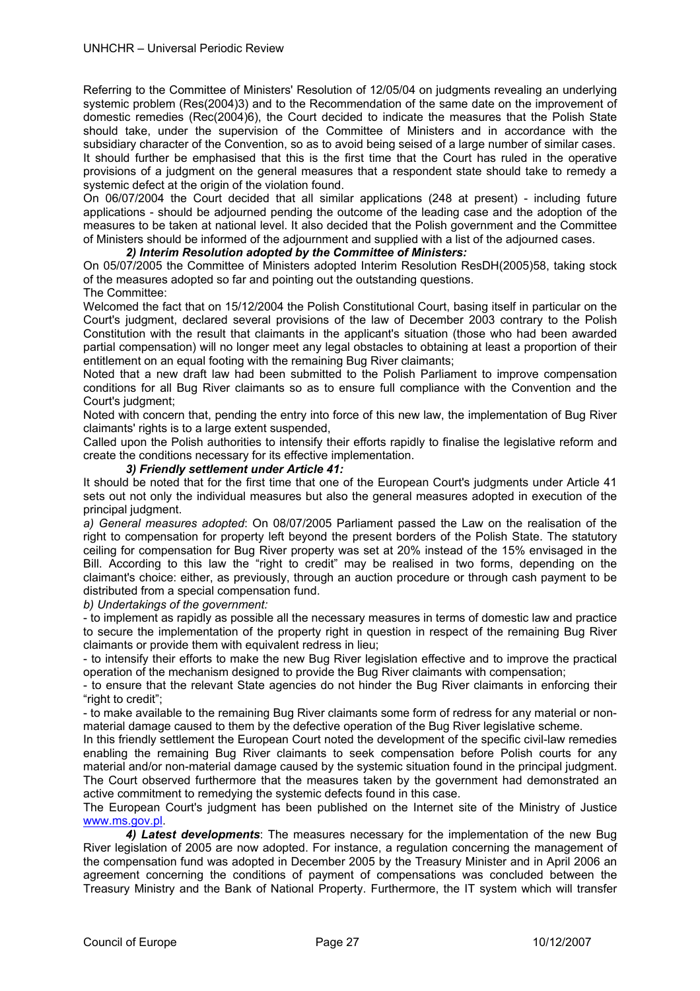Referring to the Committee of Ministers' Resolution of 12/05/04 on judgments revealing an underlying systemic problem (Res(2004)3) and to the Recommendation of the same date on the improvement of domestic remedies (Rec(2004)6), the Court decided to indicate the measures that the Polish State should take, under the supervision of the Committee of Ministers and in accordance with the subsidiary character of the Convention, so as to avoid being seised of a large number of similar cases. It should further be emphasised that this is the first time that the Court has ruled in the operative provisions of a judgment on the general measures that a respondent state should take to remedy a systemic defect at the origin of the violation found.

On 06/07/2004 the Court decided that all similar applications (248 at present) - including future applications - should be adjourned pending the outcome of the leading case and the adoption of the measures to be taken at national level. It also decided that the Polish government and the Committee of Ministers should be informed of the adjournment and supplied with a list of the adjourned cases.

## *2) Interim Resolution adopted by the Committee of Ministers:*

On 05/07/2005 the Committee of Ministers adopted Interim Resolution ResDH(2005)58, taking stock of the measures adopted so far and pointing out the outstanding questions.

## The Committee:

Welcomed the fact that on 15/12/2004 the Polish Constitutional Court, basing itself in particular on the Court's judgment, declared several provisions of the law of December 2003 contrary to the Polish Constitution with the result that claimants in the applicant's situation (those who had been awarded partial compensation) will no longer meet any legal obstacles to obtaining at least a proportion of their entitlement on an equal footing with the remaining Bug River claimants;

Noted that a new draft law had been submitted to the Polish Parliament to improve compensation conditions for all Bug River claimants so as to ensure full compliance with the Convention and the Court's judgment;

Noted with concern that, pending the entry into force of this new law, the implementation of Bug River claimants' rights is to a large extent suspended,

Called upon the Polish authorities to intensify their efforts rapidly to finalise the legislative reform and create the conditions necessary for its effective implementation.

## *3) Friendly settlement under Article 41:*

It should be noted that for the first time that one of the European Court's judgments under Article 41 sets out not only the individual measures but also the general measures adopted in execution of the principal judgment.

*a) General measures adopted*: On 08/07/2005 Parliament passed the Law on the realisation of the right to compensation for property left beyond the present borders of the Polish State. The statutory ceiling for compensation for Bug River property was set at 20% instead of the 15% envisaged in the Bill. According to this law the "right to credit" may be realised in two forms, depending on the claimant's choice: either, as previously, through an auction procedure or through cash payment to be distributed from a special compensation fund.

*b) Undertakings of the government:* 

- to implement as rapidly as possible all the necessary measures in terms of domestic law and practice to secure the implementation of the property right in question in respect of the remaining Bug River claimants or provide them with equivalent redress in lieu;

- to intensify their efforts to make the new Bug River legislation effective and to improve the practical operation of the mechanism designed to provide the Bug River claimants with compensation;

- to ensure that the relevant State agencies do not hinder the Bug River claimants in enforcing their "right to credit";

- to make available to the remaining Bug River claimants some form of redress for any material or nonmaterial damage caused to them by the defective operation of the Bug River legislative scheme.

In this friendly settlement the European Court noted the development of the specific civil-law remedies enabling the remaining Bug River claimants to seek compensation before Polish courts for any material and/or non-material damage caused by the systemic situation found in the principal judgment. The Court observed furthermore that the measures taken by the government had demonstrated an active commitment to remedying the systemic defects found in this case.

The European Court's judgment has been published on the Internet site of the Ministry of Justice www.ms.gov.pl.

 *4) Latest developments*: The measures necessary for the implementation of the new Bug River legislation of 2005 are now adopted. For instance, a regulation concerning the management of the compensation fund was adopted in December 2005 by the Treasury Minister and in April 2006 an agreement concerning the conditions of payment of compensations was concluded between the Treasury Ministry and the Bank of National Property. Furthermore, the IT system which will transfer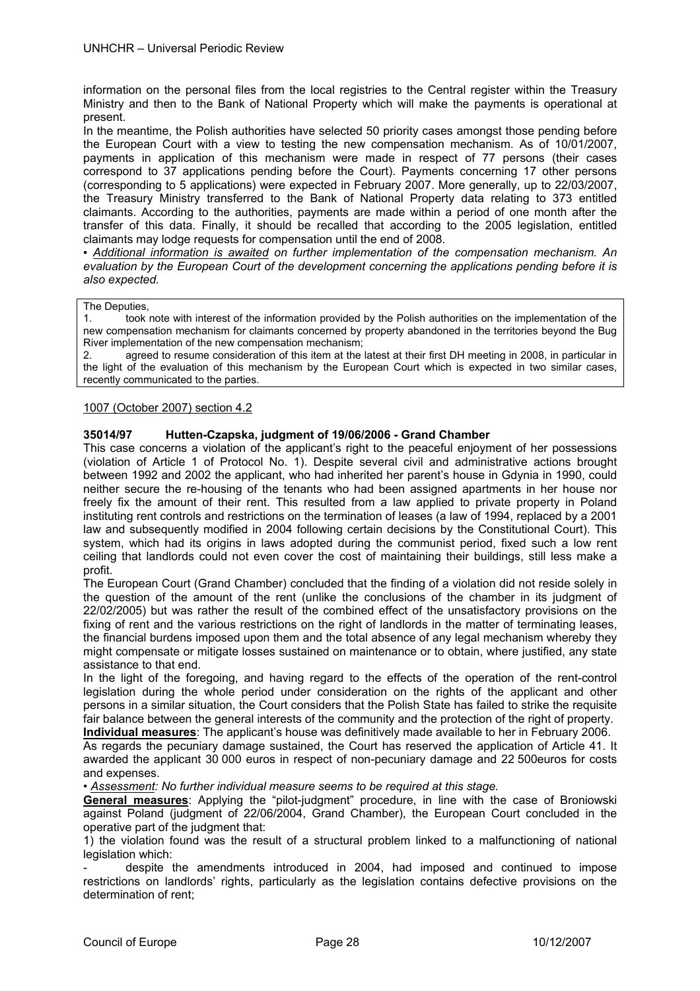information on the personal files from the local registries to the Central register within the Treasury Ministry and then to the Bank of National Property which will make the payments is operational at present.

In the meantime, the Polish authorities have selected 50 priority cases amongst those pending before the European Court with a view to testing the new compensation mechanism. As of 10/01/2007, payments in application of this mechanism were made in respect of 77 persons (their cases correspond to 37 applications pending before the Court). Payments concerning 17 other persons (corresponding to 5 applications) were expected in February 2007. More generally, up to 22/03/2007, the Treasury Ministry transferred to the Bank of National Property data relating to 373 entitled claimants. According to the authorities, payments are made within a period of one month after the transfer of this data. Finally, it should be recalled that according to the 2005 legislation, entitled claimants may lodge requests for compensation until the end of 2008.

*▪ Additional information is awaited on further implementation of the compensation mechanism. An evaluation by the European Court of the development concerning the applications pending before it is also expected.* 

The Deputies,

1. took note with interest of the information provided by the Polish authorities on the implementation of the new compensation mechanism for claimants concerned by property abandoned in the territories beyond the Bug River implementation of the new compensation mechanism;

2. agreed to resume consideration of this item at the latest at their first DH meeting in 2008, in particular in the light of the evaluation of this mechanism by the European Court which is expected in two similar cases, recently communicated to the parties.

## 1007 (October 2007) section 4.2

## **35014/97 Hutten-Czapska, judgment of 19/06/2006 - Grand Chamber**

This case concerns a violation of the applicant's right to the peaceful enjoyment of her possessions (violation of Article 1 of Protocol No. 1). Despite several civil and administrative actions brought between 1992 and 2002 the applicant, who had inherited her parent's house in Gdynia in 1990, could neither secure the re-housing of the tenants who had been assigned apartments in her house nor freely fix the amount of their rent. This resulted from a law applied to private property in Poland instituting rent controls and restrictions on the termination of leases (a law of 1994, replaced by a 2001 law and subsequently modified in 2004 following certain decisions by the Constitutional Court). This system, which had its origins in laws adopted during the communist period, fixed such a low rent ceiling that landlords could not even cover the cost of maintaining their buildings, still less make a profit.

The European Court (Grand Chamber) concluded that the finding of a violation did not reside solely in the question of the amount of the rent (unlike the conclusions of the chamber in its judgment of 22/02/2005) but was rather the result of the combined effect of the unsatisfactory provisions on the fixing of rent and the various restrictions on the right of landlords in the matter of terminating leases, the financial burdens imposed upon them and the total absence of any legal mechanism whereby they might compensate or mitigate losses sustained on maintenance or to obtain, where justified, any state assistance to that end.

In the light of the foregoing, and having regard to the effects of the operation of the rent-control legislation during the whole period under consideration on the rights of the applicant and other persons in a similar situation, the Court considers that the Polish State has failed to strike the requisite fair balance between the general interests of the community and the protection of the right of property.

**Individual measures**: The applicant's house was definitively made available to her in February 2006. As regards the pecuniary damage sustained, the Court has reserved the application of Article 41. It awarded the applicant 30 000 euros in respect of non-pecuniary damage and 22 500euros for costs and expenses.

*• Assessment: No further individual measure seems to be required at this stage.* 

**General measures**: Applying the "pilot-judgment" procedure, in line with the case of Broniowski against Poland (judgment of 22/06/2004, Grand Chamber), the European Court concluded in the operative part of the judgment that:

1) the violation found was the result of a structural problem linked to a malfunctioning of national legislation which:

- despite the amendments introduced in 2004, had imposed and continued to impose restrictions on landlords' rights, particularly as the legislation contains defective provisions on the determination of rent;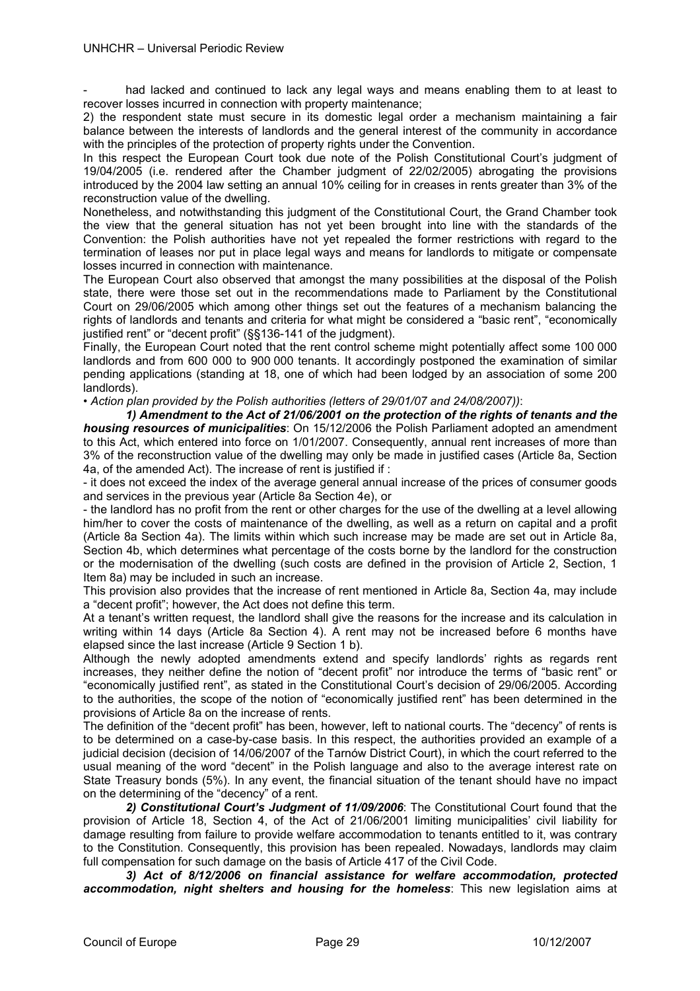had lacked and continued to lack any legal ways and means enabling them to at least to recover losses incurred in connection with property maintenance;

2) the respondent state must secure in its domestic legal order a mechanism maintaining a fair balance between the interests of landlords and the general interest of the community in accordance with the principles of the protection of property rights under the Convention.

In this respect the European Court took due note of the Polish Constitutional Court's judgment of 19/04/2005 (i.e. rendered after the Chamber judgment of 22/02/2005) abrogating the provisions introduced by the 2004 law setting an annual 10% ceiling for in creases in rents greater than 3% of the reconstruction value of the dwelling.

Nonetheless, and notwithstanding this judgment of the Constitutional Court, the Grand Chamber took the view that the general situation has not yet been brought into line with the standards of the Convention: the Polish authorities have not yet repealed the former restrictions with regard to the termination of leases nor put in place legal ways and means for landlords to mitigate or compensate losses incurred in connection with maintenance.

The European Court also observed that amongst the many possibilities at the disposal of the Polish state, there were those set out in the recommendations made to Parliament by the Constitutional Court on 29/06/2005 which among other things set out the features of a mechanism balancing the rights of landlords and tenants and criteria for what might be considered a "basic rent", "economically justified rent" or "decent profit" (§§136-141 of the judgment).

Finally, the European Court noted that the rent control scheme might potentially affect some 100 000 landlords and from 600 000 to 900 000 tenants. It accordingly postponed the examination of similar pending applications (standing at 18, one of which had been lodged by an association of some 200 landlords).

*• Action plan provided by the Polish authorities (letters of 29/01/07 and 24/08/2007))*:

 *1) Amendment to the Act of 21/06/2001 on the protection of the rights of tenants and the housing resources of municipalities*: On 15/12/2006 the Polish Parliament adopted an amendment to this Act, which entered into force on 1/01/2007. Consequently, annual rent increases of more than 3% of the reconstruction value of the dwelling may only be made in justified cases (Article 8a, Section 4a, of the amended Act). The increase of rent is justified if :

- it does not exceed the index of the average general annual increase of the prices of consumer goods and services in the previous year (Article 8a Section 4e), or

- the landlord has no profit from the rent or other charges for the use of the dwelling at a level allowing him/her to cover the costs of maintenance of the dwelling, as well as a return on capital and a profit (Article 8a Section 4a). The limits within which such increase may be made are set out in Article 8a, Section 4b, which determines what percentage of the costs borne by the landlord for the construction or the modernisation of the dwelling (such costs are defined in the provision of Article 2, Section, 1 Item 8a) may be included in such an increase.

This provision also provides that the increase of rent mentioned in Article 8a, Section 4a, may include a "decent profit"; however, the Act does not define this term.

At a tenant's written request, the landlord shall give the reasons for the increase and its calculation in writing within 14 days (Article 8a Section 4). A rent may not be increased before 6 months have elapsed since the last increase (Article 9 Section 1 b).

Although the newly adopted amendments extend and specify landlords' rights as regards rent increases, they neither define the notion of "decent profit" nor introduce the terms of "basic rent" or "economically justified rent", as stated in the Constitutional Court's decision of 29/06/2005. According to the authorities, the scope of the notion of "economically justified rent" has been determined in the provisions of Article 8a on the increase of rents.

The definition of the "decent profit" has been, however, left to national courts. The "decency" of rents is to be determined on a case-by-case basis. In this respect, the authorities provided an example of a judicial decision (decision of 14/06/2007 of the Tarnów District Court), in which the court referred to the usual meaning of the word "decent" in the Polish language and also to the average interest rate on State Treasury bonds (5%). In any event, the financial situation of the tenant should have no impact on the determining of the "decency" of a rent.

*2) Constitutional Court's Judgment of 11/09/2006*: The Constitutional Court found that the provision of Article 18, Section 4, of the Act of 21/06/2001 limiting municipalities' civil liability for damage resulting from failure to provide welfare accommodation to tenants entitled to it, was contrary to the Constitution. Consequently, this provision has been repealed. Nowadays, landlords may claim full compensation for such damage on the basis of Article 417 of the Civil Code.

*3) Act of 8/12/2006 on financial assistance for welfare accommodation, protected accommodation, night shelters and housing for the homeless*: This new legislation aims at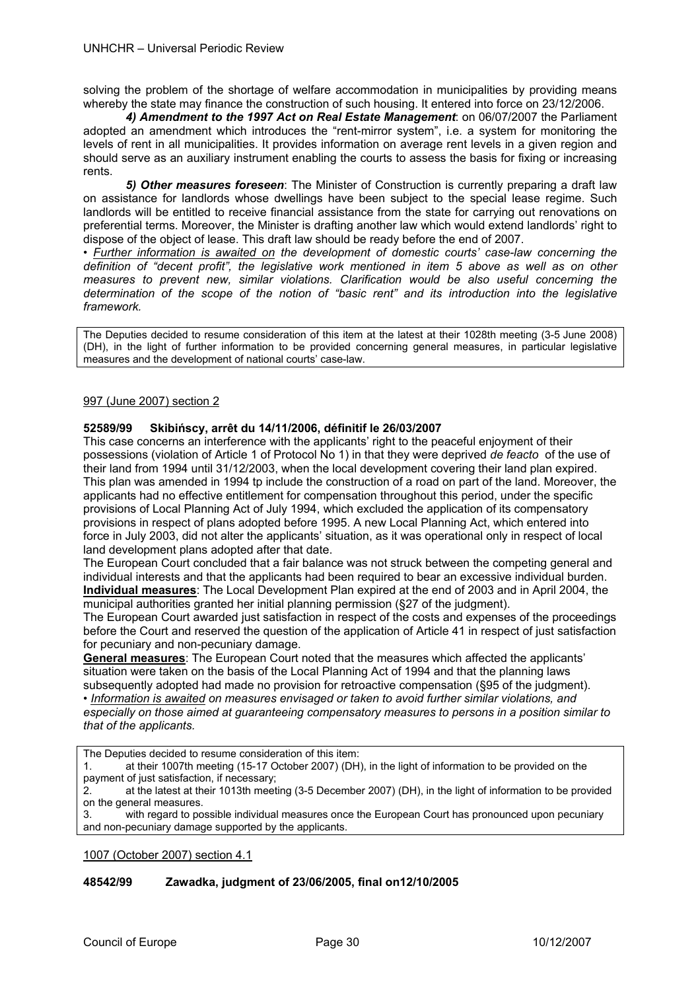solving the problem of the shortage of welfare accommodation in municipalities by providing means whereby the state may finance the construction of such housing. It entered into force on 23/12/2006.

*4) Amendment to the 1997 Act on Real Estate Management*: on 06/07/2007 the Parliament adopted an amendment which introduces the "rent-mirror system", i.e. a system for monitoring the levels of rent in all municipalities. It provides information on average rent levels in a given region and should serve as an auxiliary instrument enabling the courts to assess the basis for fixing or increasing rents.

*5) Other measures foreseen*: The Minister of Construction is currently preparing a draft law on assistance for landlords whose dwellings have been subject to the special lease regime. Such landlords will be entitled to receive financial assistance from the state for carrying out renovations on preferential terms. Moreover, the Minister is drafting another law which would extend landlords' right to dispose of the object of lease. This draft law should be ready before the end of 2007.

*• Further information is awaited on the development of domestic courts' case-law concerning the definition of "decent profit", the legislative work mentioned in item 5 above as well as on other measures to prevent new, similar violations. Clarification would be also useful concerning the determination of the scope of the notion of "basic rent" and its introduction into the legislative framework.* 

The Deputies decided to resume consideration of this item at the latest at their 1028th meeting (3-5 June 2008) (DH), in the light of further information to be provided concerning general measures, in particular legislative measures and the development of national courts' case-law.

## 997 (June 2007) section 2

## **52589/99 Skibińscy, arrêt du 14/11/2006, définitif le 26/03/2007**

This case concerns an interference with the applicants' right to the peaceful enjoyment of their possessions (violation of Article 1 of Protocol No 1) in that they were deprived *de feacto* of the use of their land from 1994 until 31/12/2003, when the local development covering their land plan expired. This plan was amended in 1994 tp include the construction of a road on part of the land. Moreover, the applicants had no effective entitlement for compensation throughout this period, under the specific provisions of Local Planning Act of July 1994, which excluded the application of its compensatory provisions in respect of plans adopted before 1995. A new Local Planning Act, which entered into force in July 2003, did not alter the applicants' situation, as it was operational only in respect of local land development plans adopted after that date.

The European Court concluded that a fair balance was not struck between the competing general and individual interests and that the applicants had been required to bear an excessive individual burden. **Individual measures**: The Local Development Plan expired at the end of 2003 and in April 2004, the municipal authorities granted her initial planning permission (§27 of the judgment).

The European Court awarded just satisfaction in respect of the costs and expenses of the proceedings before the Court and reserved the question of the application of Article 41 in respect of just satisfaction for pecuniary and non-pecuniary damage.

**General measures**: The European Court noted that the measures which affected the applicants' situation were taken on the basis of the Local Planning Act of 1994 and that the planning laws subsequently adopted had made no provision for retroactive compensation (§95 of the judgment). • *Information is awaited on measures envisaged or taken to avoid further similar violations, and especially on those aimed at guaranteeing compensatory measures to persons in a position similar to that of the applicants.* 

The Deputies decided to resume consideration of this item:

1. at their 1007th meeting (15-17 October 2007) (DH), in the light of information to be provided on the payment of just satisfaction, if necessary;

2. at the latest at their 1013th meeting (3-5 December 2007) (DH), in the light of information to be provided on the general measures.

3. with regard to possible individual measures once the European Court has pronounced upon pecuniary and non-pecuniary damage supported by the applicants.

1007 (October 2007) section 4.1

## **48542/99 Zawadka, judgment of 23/06/2005, final on12/10/2005**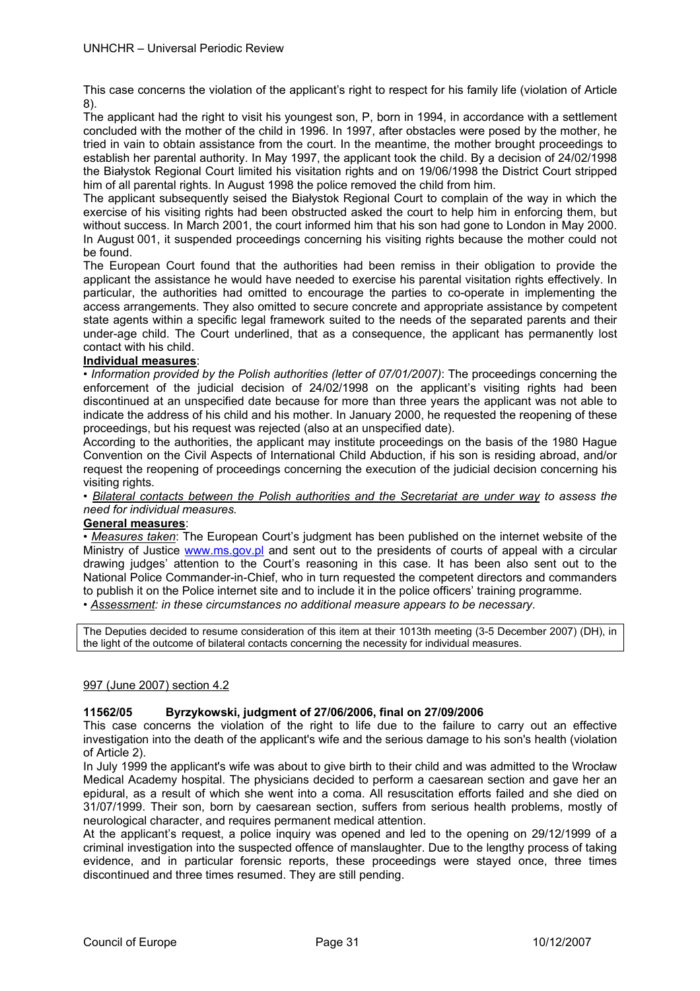This case concerns the violation of the applicant's right to respect for his family life (violation of Article 8).

The applicant had the right to visit his youngest son, P, born in 1994, in accordance with a settlement concluded with the mother of the child in 1996. In 1997, after obstacles were posed by the mother, he tried in vain to obtain assistance from the court. In the meantime, the mother brought proceedings to establish her parental authority. In May 1997, the applicant took the child. By a decision of 24/02/1998 the Białystok Regional Court limited his visitation rights and on 19/06/1998 the District Court stripped him of all parental rights. In August 1998 the police removed the child from him.

The applicant subsequently seised the Białystok Regional Court to complain of the way in which the exercise of his visiting rights had been obstructed asked the court to help him in enforcing them, but without success. In March 2001, the court informed him that his son had gone to London in May 2000. In August 001, it suspended proceedings concerning his visiting rights because the mother could not be found.

The European Court found that the authorities had been remiss in their obligation to provide the applicant the assistance he would have needed to exercise his parental visitation rights effectively. In particular, the authorities had omitted to encourage the parties to co-operate in implementing the access arrangements. They also omitted to secure concrete and appropriate assistance by competent state agents within a specific legal framework suited to the needs of the separated parents and their under-age child. The Court underlined, that as a consequence, the applicant has permanently lost contact with his child.

## **Individual measures**:

• *Information provided by the Polish authorities (letter of 07/01/2007)*: The proceedings concerning the enforcement of the judicial decision of 24/02/1998 on the applicant's visiting rights had been discontinued at an unspecified date because for more than three years the applicant was not able to indicate the address of his child and his mother. In January 2000, he requested the reopening of these proceedings, but his request was rejected (also at an unspecified date).

According to the authorities, the applicant may institute proceedings on the basis of the 1980 Hague Convention on the Civil Aspects of International Child Abduction, if his son is residing abroad, and/or request the reopening of proceedings concerning the execution of the judicial decision concerning his visiting rights.

*• Bilateral contacts between the Polish authorities and the Secretariat are under way to assess the need for individual measures.* 

## **General measures**:

*• Measures taken*: The European Court's judgment has been published on the internet website of the Ministry of Justice www.ms.gov.pl and sent out to the presidents of courts of appeal with a circular drawing judges' attention to the Court's reasoning in this case. It has been also sent out to the National Police Commander-in-Chief, who in turn requested the competent directors and commanders to publish it on the Police internet site and to include it in the police officers' training programme.

*• Assessment: in these circumstances no additional measure appears to be necessary*.

The Deputies decided to resume consideration of this item at their 1013th meeting (3-5 December 2007) (DH), in the light of the outcome of bilateral contacts concerning the necessity for individual measures.

## 997 (June 2007) section 4.2

## **11562/05 Byrzykowski, judgment of 27/06/2006, final on 27/09/2006**

This case concerns the violation of the right to life due to the failure to carry out an effective investigation into the death of the applicant's wife and the serious damage to his son's health (violation of Article 2).

In July 1999 the applicant's wife was about to give birth to their child and was admitted to the Wrocław Medical Academy hospital. The physicians decided to perform a caesarean section and gave her an epidural, as a result of which she went into a coma. All resuscitation efforts failed and she died on 31/07/1999. Their son, born by caesarean section, suffers from serious health problems, mostly of neurological character, and requires permanent medical attention.

At the applicant's request, a police inquiry was opened and led to the opening on 29/12/1999 of a criminal investigation into the suspected offence of manslaughter. Due to the lengthy process of taking evidence, and in particular forensic reports, these proceedings were stayed once, three times discontinued and three times resumed. They are still pending.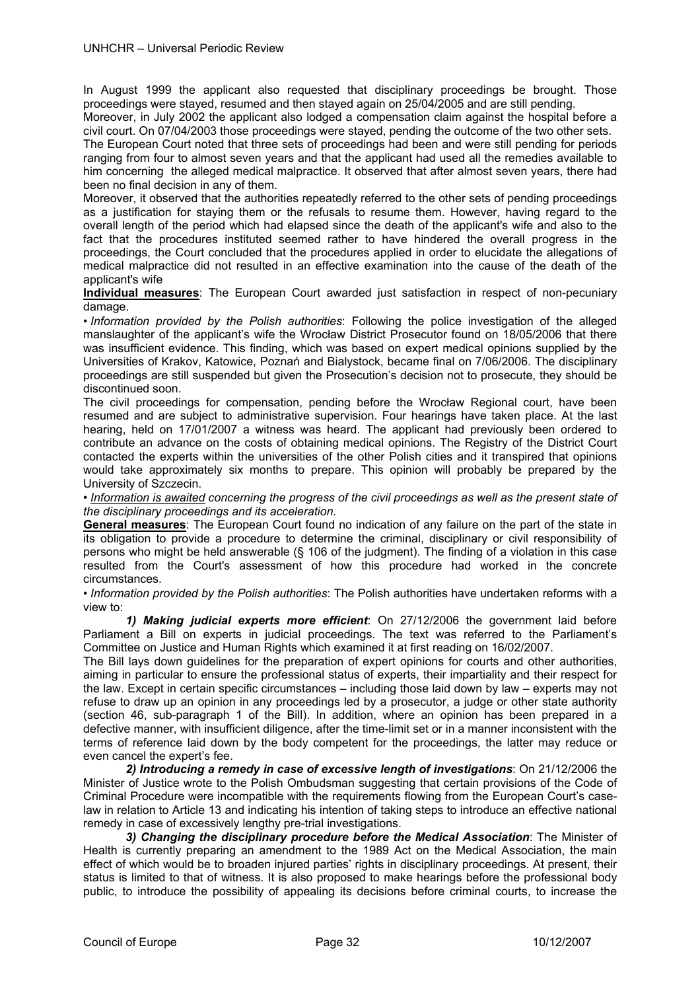In August 1999 the applicant also requested that disciplinary proceedings be brought. Those proceedings were stayed, resumed and then stayed again on 25/04/2005 and are still pending.

Moreover, in July 2002 the applicant also lodged a compensation claim against the hospital before a civil court. On 07/04/2003 those proceedings were stayed, pending the outcome of the two other sets.

The European Court noted that three sets of proceedings had been and were still pending for periods ranging from four to almost seven years and that the applicant had used all the remedies available to him concerning the alleged medical malpractice. It observed that after almost seven years, there had been no final decision in any of them.

Moreover, it observed that the authorities repeatedly referred to the other sets of pending proceedings as a justification for staying them or the refusals to resume them. However, having regard to the overall length of the period which had elapsed since the death of the applicant's wife and also to the fact that the procedures instituted seemed rather to have hindered the overall progress in the proceedings, the Court concluded that the procedures applied in order to elucidate the allegations of medical malpractice did not resulted in an effective examination into the cause of the death of the applicant's wife

**Individual measures**: The European Court awarded just satisfaction in respect of non-pecuniary damage.

• *Information provided by the Polish authorities*: Following the police investigation of the alleged manslaughter of the applicant's wife the Wrocław District Prosecutor found on 18/05/2006 that there was insufficient evidence. This finding, which was based on expert medical opinions supplied by the Universities of Krakov, Katowice, Poznań and Bialystock, became final on 7/06/2006. The disciplinary proceedings are still suspended but given the Prosecution's decision not to prosecute, they should be discontinued soon.

The civil proceedings for compensation, pending before the Wrocław Regional court, have been resumed and are subject to administrative supervision. Four hearings have taken place. At the last hearing, held on 17/01/2007 a witness was heard. The applicant had previously been ordered to contribute an advance on the costs of obtaining medical opinions. The Registry of the District Court contacted the experts within the universities of the other Polish cities and it transpired that opinions would take approximately six months to prepare. This opinion will probably be prepared by the University of Szczecin.

• *Information is awaited concerning the progress of the civil proceedings as well as the present state of the disciplinary proceedings and its acceleration.* 

**General measures**: The European Court found no indication of any failure on the part of the state in its obligation to provide a procedure to determine the criminal, disciplinary or civil responsibility of persons who might be held answerable (§ 106 of the judgment). The finding of a violation in this case resulted from the Court's assessment of how this procedure had worked in the concrete circumstances.

• *Information provided by the Polish authorities*: The Polish authorities have undertaken reforms with a view to:

*1) Making judicial experts more efficient*: On 27/12/2006 the government laid before Parliament a Bill on experts in judicial proceedings. The text was referred to the Parliament's Committee on Justice and Human Rights which examined it at first reading on 16/02/2007.

The Bill lays down guidelines for the preparation of expert opinions for courts and other authorities, aiming in particular to ensure the professional status of experts, their impartiality and their respect for the law. Except in certain specific circumstances – including those laid down by law – experts may not refuse to draw up an opinion in any proceedings led by a prosecutor, a judge or other state authority (section 46, sub-paragraph 1 of the Bill). In addition, where an opinion has been prepared in a defective manner, with insufficient diligence, after the time-limit set or in a manner inconsistent with the terms of reference laid down by the body competent for the proceedings, the latter may reduce or even cancel the expert's fee.

*2) Introducing a remedy in case of excessive length of investigations*: On 21/12/2006 the Minister of Justice wrote to the Polish Ombudsman suggesting that certain provisions of the Code of Criminal Procedure were incompatible with the requirements flowing from the European Court's caselaw in relation to Article 13 and indicating his intention of taking steps to introduce an effective national remedy in case of excessively lengthy pre-trial investigations.

*3) Changing the disciplinary procedure before the Medical Association*: The Minister of Health is currently preparing an amendment to the 1989 Act on the Medical Association, the main effect of which would be to broaden injured parties' rights in disciplinary proceedings. At present, their status is limited to that of witness. It is also proposed to make hearings before the professional body public, to introduce the possibility of appealing its decisions before criminal courts, to increase the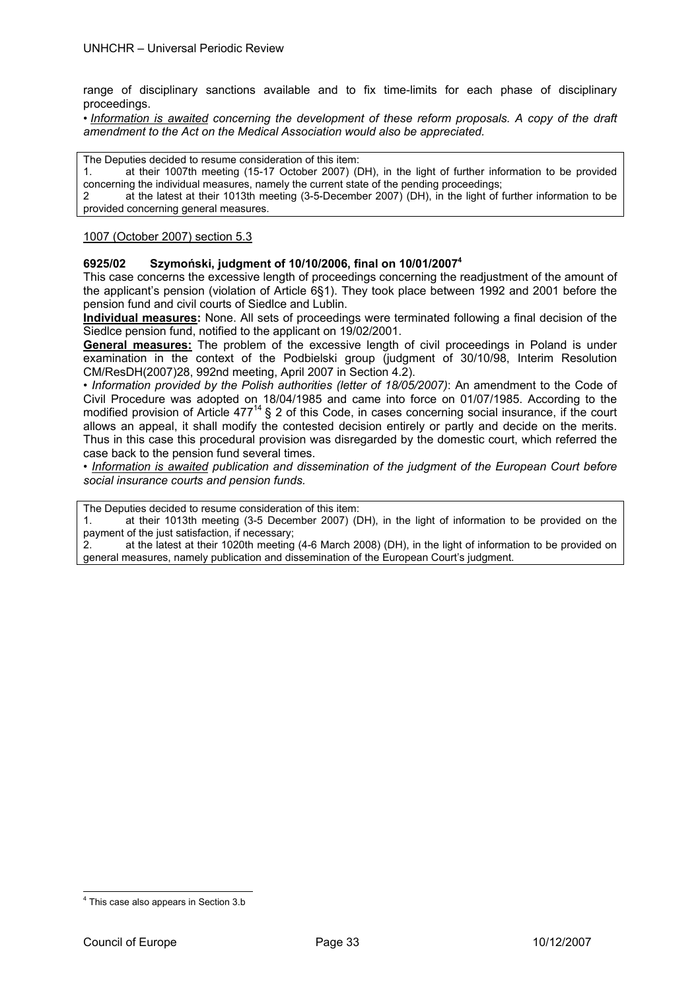range of disciplinary sanctions available and to fix time-limits for each phase of disciplinary proceedings.

• *Information is awaited concerning the development of these reform proposals. A copy of the draft amendment to the Act on the Medical Association would also be appreciated.*

The Deputies decided to resume consideration of this item:

1. at their 1007th meeting (15-17 October 2007) (DH), in the light of further information to be provided concerning the individual measures, namely the current state of the pending proceedings;

2 at the latest at their 1013th meeting (3-5-December 2007) (DH), in the light of further information to be provided concerning general measures.

#### 1007 (October 2007) section 5.3

#### **6925/02 Szymoński, judgment of 10/10/2006, final on 10/01/20074**

This case concerns the excessive length of proceedings concerning the readjustment of the amount of the applicant's pension (violation of Article 6§1). They took place between 1992 and 2001 before the pension fund and civil courts of Siedlce and Lublin.

**Individual measures:** None. All sets of proceedings were terminated following a final decision of the Siedlce pension fund, notified to the applicant on 19/02/2001.

**General measures:** The problem of the excessive length of civil proceedings in Poland is under examination in the context of the Podbielski group (judgment of 30/10/98, Interim Resolution CM/ResDH(2007)28, 992nd meeting, April 2007 in Section 4.2).

*• Information provided by the Polish authorities (letter of 18/05/2007)*: An amendment to the Code of Civil Procedure was adopted on 18/04/1985 and came into force on 01/07/1985. According to the modified provision of Article 477<sup>14</sup> § 2 of this Code, in cases concerning social insurance, if the court allows an appeal, it shall modify the contested decision entirely or partly and decide on the merits. Thus in this case this procedural provision was disregarded by the domestic court, which referred the case back to the pension fund several times.

**• Information is awaited publication and dissemination of the judgment of the European Court before** *social insurance courts and pension funds.* 

The Deputies decided to resume consideration of this item:

1. at their 1013th meeting (3-5 December 2007) (DH), in the light of information to be provided on the payment of the just satisfaction, if necessary;

2. at the latest at their 1020th meeting (4-6 March 2008) (DH), in the light of information to be provided on general measures, namely publication and dissemination of the European Court's judgment.

1

<sup>&</sup>lt;sup>4</sup> This case also appears in Section 3.b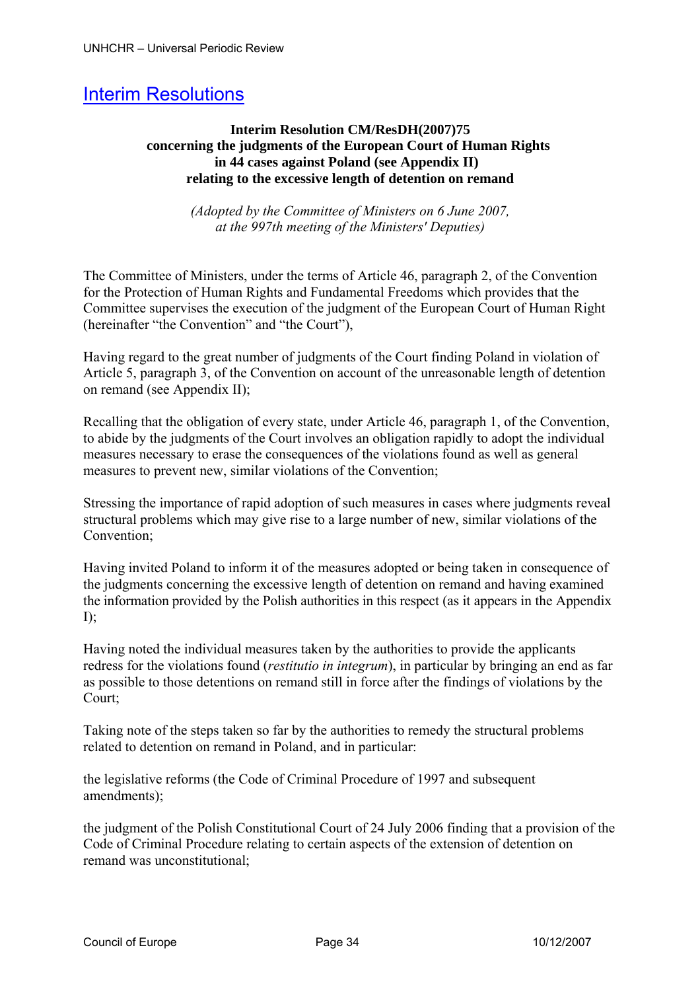# Interim Resolutions

# **Interim Resolution CM/ResDH(2007)75 concerning the judgments of the European Court of Human Rights in 44 cases against Poland (see Appendix II) relating to the excessive length of detention on remand**

*(Adopted by the Committee of Ministers on 6 June 2007, at the 997th meeting of the Ministers' Deputies)* 

The Committee of Ministers, under the terms of Article 46, paragraph 2, of the Convention for the Protection of Human Rights and Fundamental Freedoms which provides that the Committee supervises the execution of the judgment of the European Court of Human Right (hereinafter "the Convention" and "the Court"),

Having regard to the great number of judgments of the Court finding Poland in violation of Article 5, paragraph 3, of the Convention on account of the unreasonable length of detention on remand (see Appendix II);

Recalling that the obligation of every state, under Article 46, paragraph 1, of the Convention, to abide by the judgments of the Court involves an obligation rapidly to adopt the individual measures necessary to erase the consequences of the violations found as well as general measures to prevent new, similar violations of the Convention;

Stressing the importance of rapid adoption of such measures in cases where judgments reveal structural problems which may give rise to a large number of new, similar violations of the Convention;

Having invited Poland to inform it of the measures adopted or being taken in consequence of the judgments concerning the excessive length of detention on remand and having examined the information provided by the Polish authorities in this respect (as it appears in the Appendix  $I$ :

Having noted the individual measures taken by the authorities to provide the applicants redress for the violations found (*restitutio in integrum*), in particular by bringing an end as far as possible to those detentions on remand still in force after the findings of violations by the Court;

Taking note of the steps taken so far by the authorities to remedy the structural problems related to detention on remand in Poland, and in particular:

the legislative reforms (the Code of Criminal Procedure of 1997 and subsequent amendments);

the judgment of the Polish Constitutional Court of 24 July 2006 finding that a provision of the Code of Criminal Procedure relating to certain aspects of the extension of detention on remand was unconstitutional;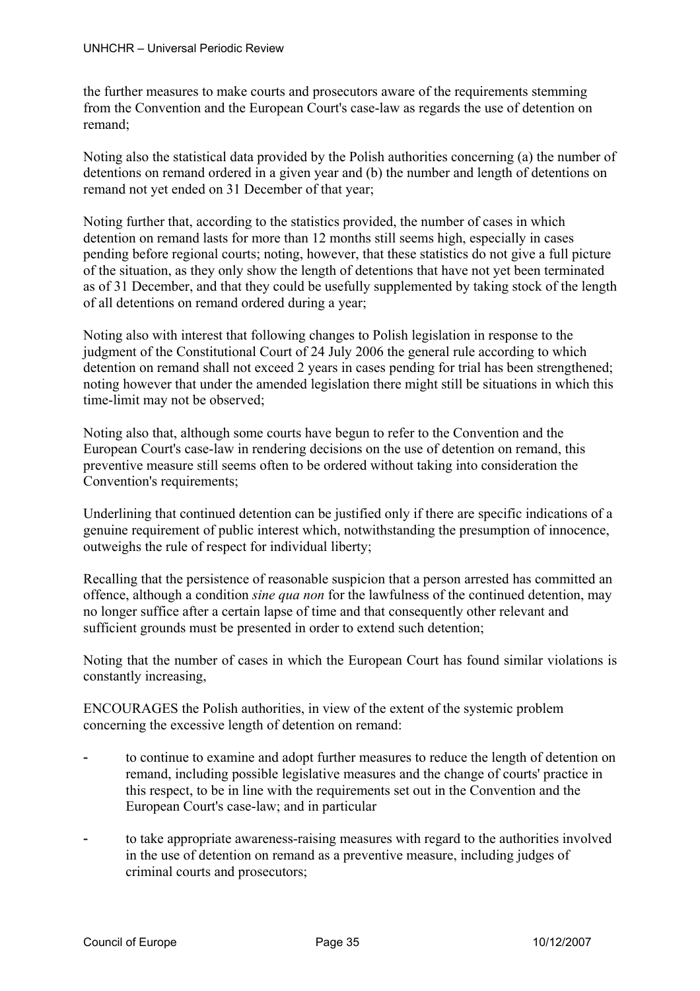the further measures to make courts and prosecutors aware of the requirements stemming from the Convention and the European Court's case-law as regards the use of detention on remand;

Noting also the statistical data provided by the Polish authorities concerning (a) the number of detentions on remand ordered in a given year and (b) the number and length of detentions on remand not yet ended on 31 December of that year;

Noting further that, according to the statistics provided, the number of cases in which detention on remand lasts for more than 12 months still seems high, especially in cases pending before regional courts; noting, however, that these statistics do not give a full picture of the situation, as they only show the length of detentions that have not yet been terminated as of 31 December, and that they could be usefully supplemented by taking stock of the length of all detentions on remand ordered during a year;

Noting also with interest that following changes to Polish legislation in response to the judgment of the Constitutional Court of 24 July 2006 the general rule according to which detention on remand shall not exceed 2 years in cases pending for trial has been strengthened; noting however that under the amended legislation there might still be situations in which this time-limit may not be observed;

Noting also that, although some courts have begun to refer to the Convention and the European Court's case-law in rendering decisions on the use of detention on remand, this preventive measure still seems often to be ordered without taking into consideration the Convention's requirements;

Underlining that continued detention can be justified only if there are specific indications of a genuine requirement of public interest which, notwithstanding the presumption of innocence, outweighs the rule of respect for individual liberty;

Recalling that the persistence of reasonable suspicion that a person arrested has committed an offence, although a condition *sine qua non* for the lawfulness of the continued detention, may no longer suffice after a certain lapse of time and that consequently other relevant and sufficient grounds must be presented in order to extend such detention;

Noting that the number of cases in which the European Court has found similar violations is constantly increasing,

ENCOURAGES the Polish authorities, in view of the extent of the systemic problem concerning the excessive length of detention on remand:

- to continue to examine and adopt further measures to reduce the length of detention on remand, including possible legislative measures and the change of courts' practice in this respect, to be in line with the requirements set out in the Convention and the European Court's case-law; and in particular
- to take appropriate awareness-raising measures with regard to the authorities involved in the use of detention on remand as a preventive measure, including judges of criminal courts and prosecutors;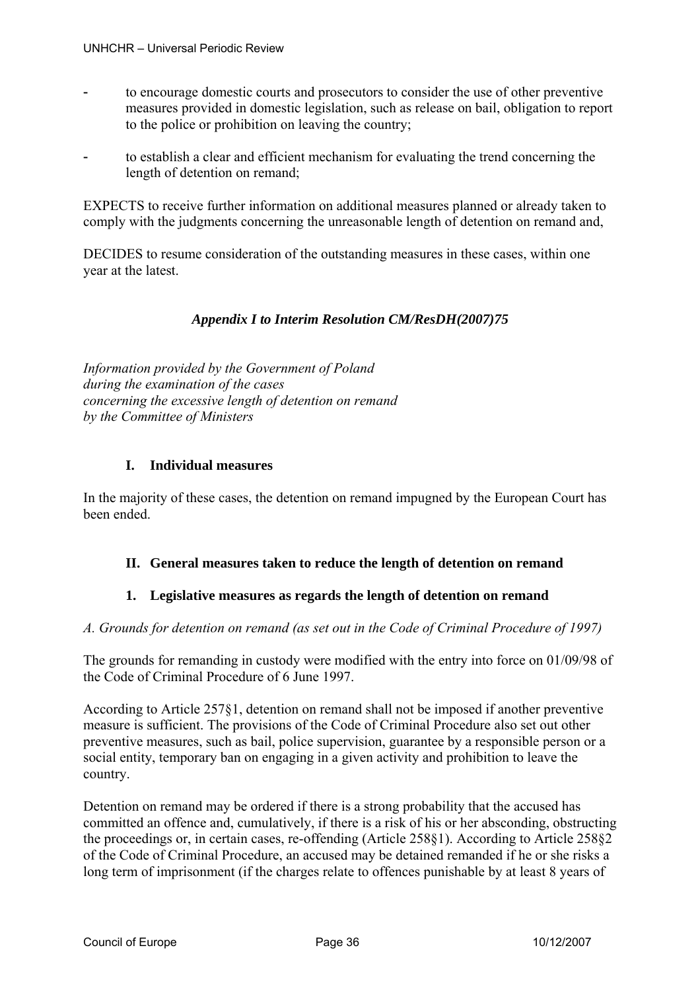- to encourage domestic courts and prosecutors to consider the use of other preventive measures provided in domestic legislation, such as release on bail, obligation to report to the police or prohibition on leaving the country;
- to establish a clear and efficient mechanism for evaluating the trend concerning the length of detention on remand;

EXPECTS to receive further information on additional measures planned or already taken to comply with the judgments concerning the unreasonable length of detention on remand and,

DECIDES to resume consideration of the outstanding measures in these cases, within one year at the latest.

# *Appendix I to Interim Resolution CM/ResDH(2007)75*

*Information provided by the Government of Poland during the examination of the cases concerning the excessive length of detention on remand by the Committee of Ministers* 

# **I. Individual measures**

In the majority of these cases, the detention on remand impugned by the European Court has been ended.

# **II. General measures taken to reduce the length of detention on remand**

# **1. Legislative measures as regards the length of detention on remand**

# *A. Grounds for detention on remand (as set out in the Code of Criminal Procedure of 1997)*

The grounds for remanding in custody were modified with the entry into force on 01/09/98 of the Code of Criminal Procedure of 6 June 1997.

According to Article 257§1, detention on remand shall not be imposed if another preventive measure is sufficient. The provisions of the Code of Criminal Procedure also set out other preventive measures, such as bail, police supervision, guarantee by a responsible person or a social entity, temporary ban on engaging in a given activity and prohibition to leave the country.

Detention on remand may be ordered if there is a strong probability that the accused has committed an offence and, cumulatively, if there is a risk of his or her absconding, obstructing the proceedings or, in certain cases, re-offending (Article 258§1). According to Article 258§2 of the Code of Criminal Procedure, an accused may be detained remanded if he or she risks a long term of imprisonment (if the charges relate to offences punishable by at least 8 years of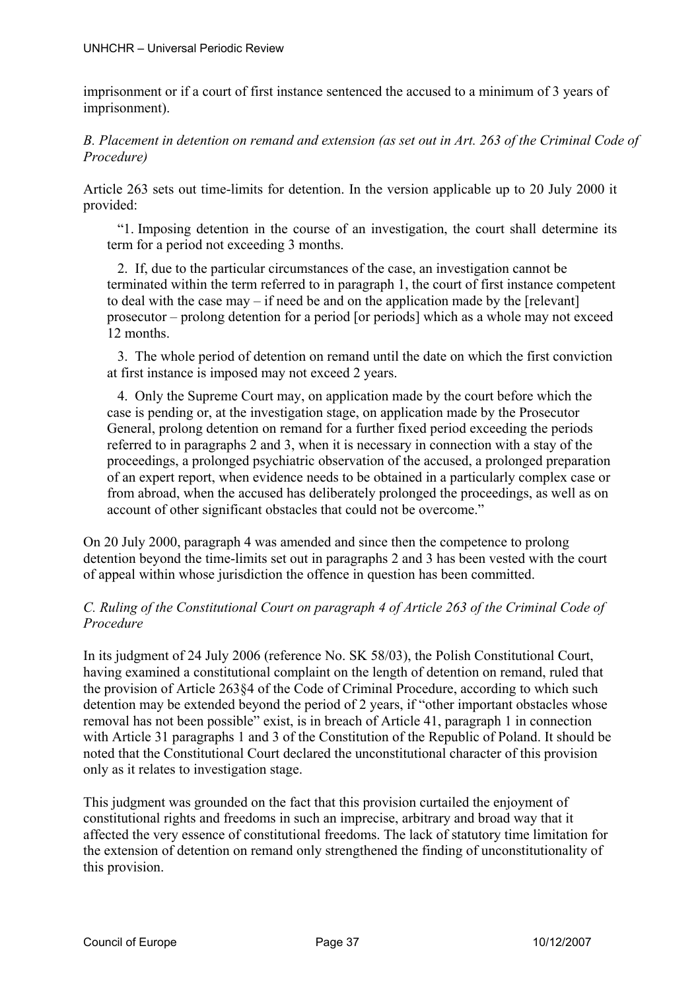imprisonment or if a court of first instance sentenced the accused to a minimum of 3 years of imprisonment).

*B. Placement in detention on remand and extension (as set out in Art. 263 of the Criminal Code of Procedure)* 

Article 263 sets out time-limits for detention. In the version applicable up to 20 July 2000 it provided:

"1. Imposing detention in the course of an investigation, the court shall determine its term for a period not exceeding 3 months.

2. If, due to the particular circumstances of the case, an investigation cannot be terminated within the term referred to in paragraph 1, the court of first instance competent to deal with the case may – if need be and on the application made by the [relevant] prosecutor – prolong detention for a period [or periods] which as a whole may not exceed 12 months.

3. The whole period of detention on remand until the date on which the first conviction at first instance is imposed may not exceed 2 years.

4. Only the Supreme Court may, on application made by the court before which the case is pending or, at the investigation stage, on application made by the Prosecutor General, prolong detention on remand for a further fixed period exceeding the periods referred to in paragraphs 2 and 3, when it is necessary in connection with a stay of the proceedings, a prolonged psychiatric observation of the accused, a prolonged preparation of an expert report, when evidence needs to be obtained in a particularly complex case or from abroad, when the accused has deliberately prolonged the proceedings, as well as on account of other significant obstacles that could not be overcome."

On 20 July 2000, paragraph 4 was amended and since then the competence to prolong detention beyond the time-limits set out in paragraphs 2 and 3 has been vested with the court of appeal within whose jurisdiction the offence in question has been committed.

# *C. Ruling of the Constitutional Court on paragraph 4 of Article 263 of the Criminal Code of Procedure*

In its judgment of 24 July 2006 (reference No. SK 58/03), the Polish Constitutional Court, having examined a constitutional complaint on the length of detention on remand, ruled that the provision of Article 263§4 of the Code of Criminal Procedure, according to which such detention may be extended beyond the period of 2 years, if "other important obstacles whose removal has not been possible" exist, is in breach of Article 41, paragraph 1 in connection with Article 31 paragraphs 1 and 3 of the Constitution of the Republic of Poland. It should be noted that the Constitutional Court declared the unconstitutional character of this provision only as it relates to investigation stage.

This judgment was grounded on the fact that this provision curtailed the enjoyment of constitutional rights and freedoms in such an imprecise, arbitrary and broad way that it affected the very essence of constitutional freedoms. The lack of statutory time limitation for the extension of detention on remand only strengthened the finding of unconstitutionality of this provision.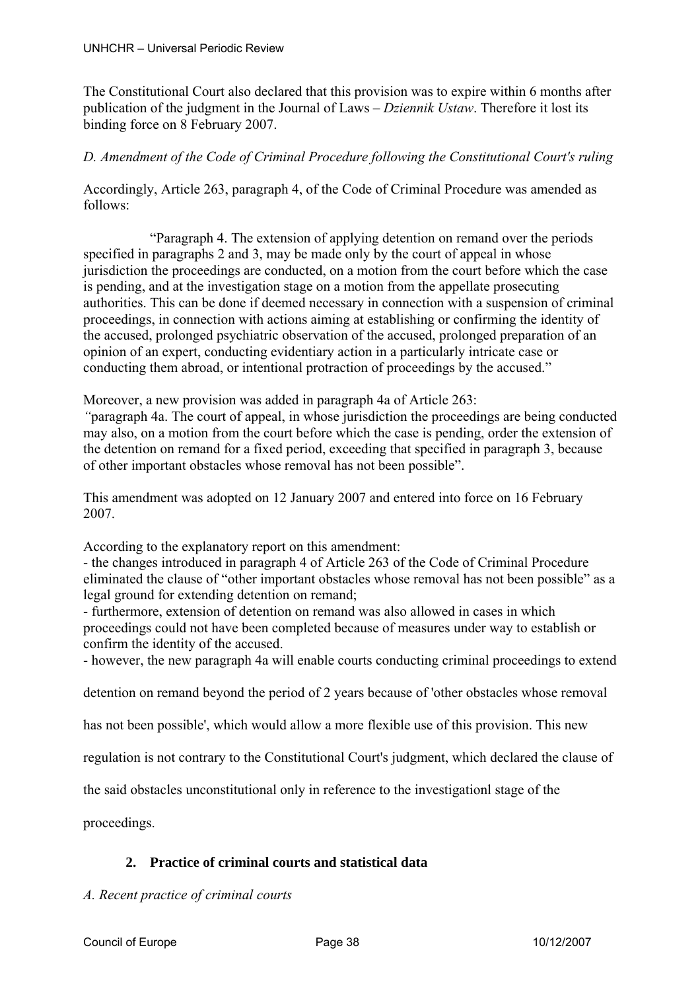The Constitutional Court also declared that this provision was to expire within 6 months after publication of the judgment in the Journal of Laws – *Dziennik Ustaw*. Therefore it lost its binding force on 8 February 2007.

# *D. Amendment of the Code of Criminal Procedure following the Constitutional Court's ruling*

Accordingly, Article 263, paragraph 4, of the Code of Criminal Procedure was amended as follows:

 "Paragraph 4. The extension of applying detention on remand over the periods specified in paragraphs 2 and 3, may be made only by the court of appeal in whose jurisdiction the proceedings are conducted, on a motion from the court before which the case is pending, and at the investigation stage on a motion from the appellate prosecuting authorities. This can be done if deemed necessary in connection with a suspension of criminal proceedings, in connection with actions aiming at establishing or confirming the identity of the accused, prolonged psychiatric observation of the accused, prolonged preparation of an opinion of an expert, conducting evidentiary action in a particularly intricate case or conducting them abroad, or intentional protraction of proceedings by the accused."

Moreover, a new provision was added in paragraph 4a of Article 263:

*"*paragraph 4a. The court of appeal, in whose jurisdiction the proceedings are being conducted may also, on a motion from the court before which the case is pending, order the extension of the detention on remand for a fixed period, exceeding that specified in paragraph 3, because of other important obstacles whose removal has not been possible".

This amendment was adopted on 12 January 2007 and entered into force on 16 February 2007.

According to the explanatory report on this amendment:

- the changes introduced in paragraph 4 of Article 263 of the Code of Criminal Procedure eliminated the clause of "other important obstacles whose removal has not been possible" as a legal ground for extending detention on remand;

- furthermore, extension of detention on remand was also allowed in cases in which proceedings could not have been completed because of measures under way to establish or confirm the identity of the accused.

- however, the new paragraph 4a will enable courts conducting criminal proceedings to extend

detention on remand beyond the period of 2 years because of 'other obstacles whose removal

has not been possible', which would allow a more flexible use of this provision. This new

regulation is not contrary to the Constitutional Court's judgment, which declared the clause of

the said obstacles unconstitutional only in reference to the investigationl stage of the

proceedings.

# **2. Practice of criminal courts and statistical data**

# *A. Recent practice of criminal courts*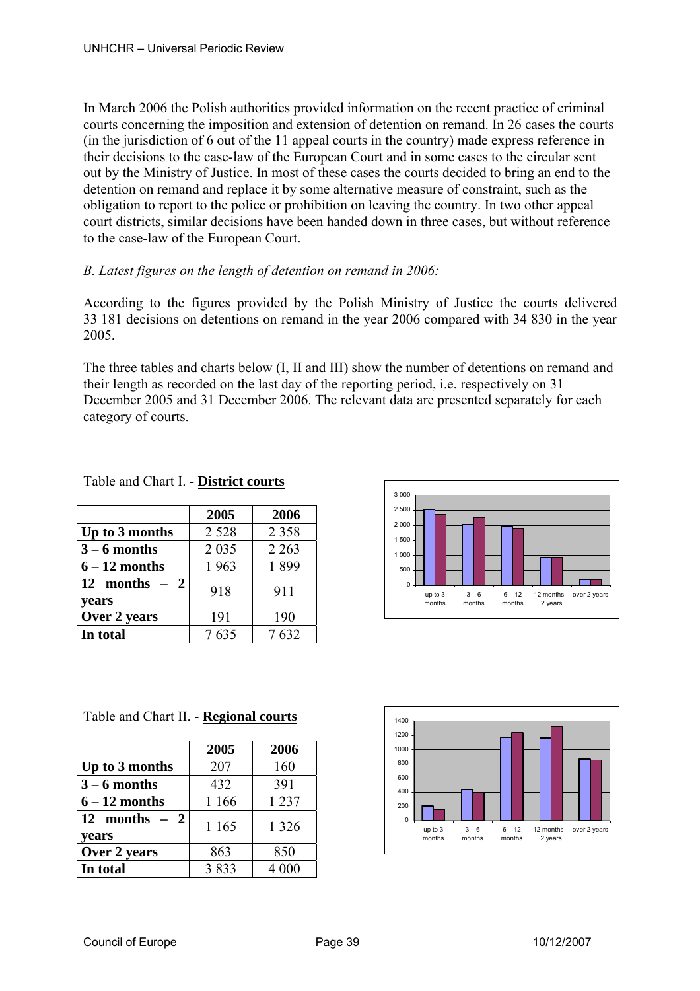In March 2006 the Polish authorities provided information on the recent practice of criminal courts concerning the imposition and extension of detention on remand. In 26 cases the courts (in the jurisdiction of 6 out of the 11 appeal courts in the country) made express reference in their decisions to the case-law of the European Court and in some cases to the circular sent out by the Ministry of Justice. In most of these cases the courts decided to bring an end to the detention on remand and replace it by some alternative measure of constraint, such as the obligation to report to the police or prohibition on leaving the country. In two other appeal court districts, similar decisions have been handed down in three cases, but without reference to the case-law of the European Court.

# *B. Latest figures on the length of detention on remand in 2006:*

According to the figures provided by the Polish Ministry of Justice the courts delivered 33 181 decisions on detentions on remand in the year 2006 compared with 34 830 in the year 2005.

The three tables and charts below (I, II and III) show the number of detentions on remand and their length as recorded on the last day of the reporting period, i.e. respectively on 31 December 2005 and 31 December 2006. The relevant data are presented separately for each category of courts.

|                         | 2005    | 2006    |
|-------------------------|---------|---------|
| Up to 3 months          | 2 5 2 8 | 2 3 5 8 |
| $3 - 6$ months          | 2 0 3 5 | 2 2 6 3 |
| $6 - 12$ months         | 1963    | 1899    |
| 12 months $-2$<br>vears | 918     | 911     |
| Over 2 years            | 191     | 190     |
| In total                | 7635    | 7632    |

Table and Chart I. - **District courts**



Table and Chart II. - **Regional courts**

|                         | 2005    | 2006    |
|-------------------------|---------|---------|
| Up to 3 months          | 207     | 160     |
| $3 - 6$ months          | 432     | 391     |
| $6 - 12$ months         | 1 1 6 6 | 1 2 3 7 |
| 12 months $-2$<br>years | 1 1 6 5 | 1 3 2 6 |
| Over 2 years            | 863     | 850     |
| In total                | 3833    | 4 000   |

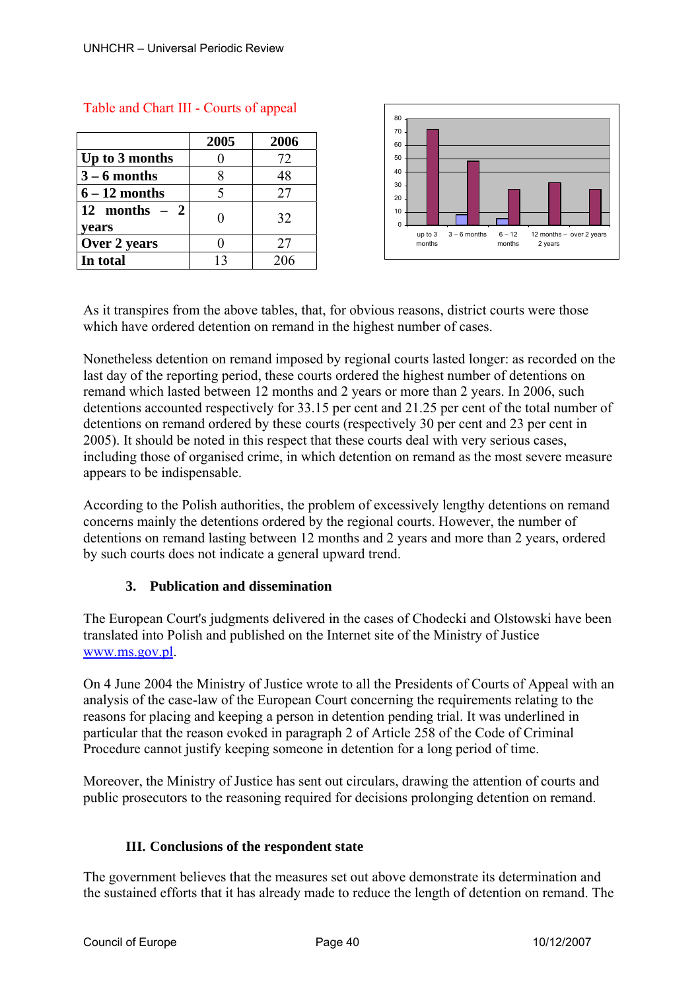|                           | 2005 | 2006 |
|---------------------------|------|------|
| Up to 3 months            |      | 72   |
| $3 - 6$ months            |      | 48   |
| $6 - 12$ months           |      | 27   |
| $12$ months $-2$<br>years |      | 32   |
| Over 2 years              |      | 27   |
| In total                  | 13   | 206  |



# Table and Chart III - Courts of appeal

As it transpires from the above tables, that, for obvious reasons, district courts were those which have ordered detention on remand in the highest number of cases.

Nonetheless detention on remand imposed by regional courts lasted longer: as recorded on the last day of the reporting period, these courts ordered the highest number of detentions on remand which lasted between 12 months and 2 years or more than 2 years. In 2006, such detentions accounted respectively for 33.15 per cent and 21.25 per cent of the total number of detentions on remand ordered by these courts (respectively 30 per cent and 23 per cent in 2005). It should be noted in this respect that these courts deal with very serious cases, including those of organised crime, in which detention on remand as the most severe measure appears to be indispensable.

According to the Polish authorities, the problem of excessively lengthy detentions on remand concerns mainly the detentions ordered by the regional courts. However, the number of detentions on remand lasting between 12 months and 2 years and more than 2 years, ordered by such courts does not indicate a general upward trend.

# **3. Publication and dissemination**

The European Court's judgments delivered in the cases of Chodecki and Olstowski have been translated into Polish and published on the Internet site of the Ministry of Justice www.ms.gov.pl.

On 4 June 2004 the Ministry of Justice wrote to all the Presidents of Courts of Appeal with an analysis of the case-law of the European Court concerning the requirements relating to the reasons for placing and keeping a person in detention pending trial. It was underlined in particular that the reason evoked in paragraph 2 of Article 258 of the Code of Criminal Procedure cannot justify keeping someone in detention for a long period of time.

Moreover, the Ministry of Justice has sent out circulars, drawing the attention of courts and public prosecutors to the reasoning required for decisions prolonging detention on remand.

# **III. Conclusions of the respondent state**

The government believes that the measures set out above demonstrate its determination and the sustained efforts that it has already made to reduce the length of detention on remand. The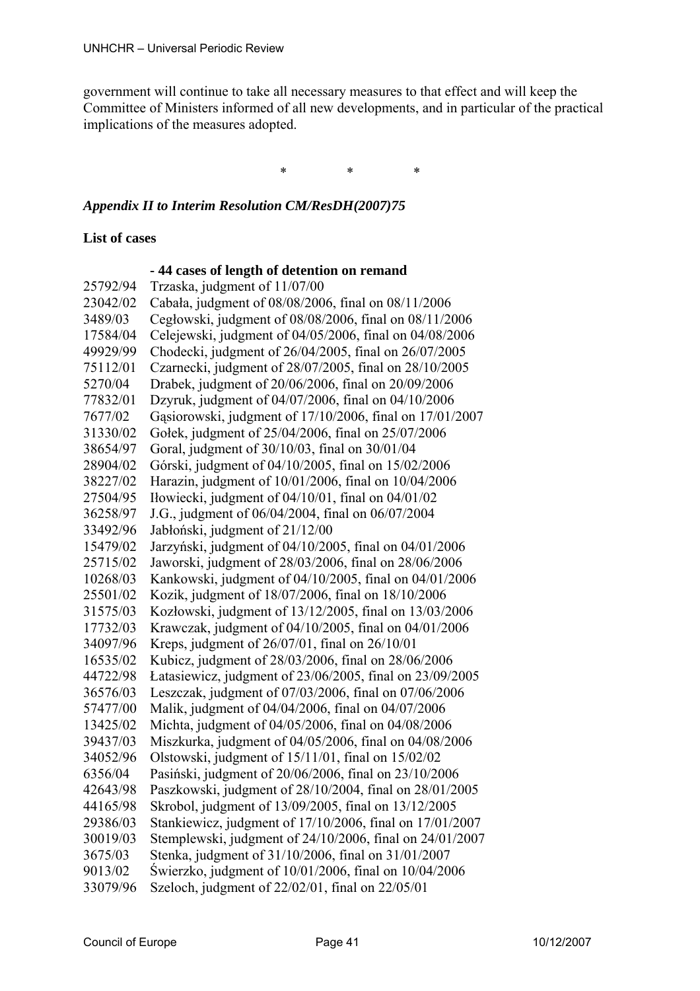government will continue to take all necessary measures to that effect and will keep the Committee of Ministers informed of all new developments, and in particular of the practical implications of the measures adopted.

\* \* \*

## *Appendix II to Interim Resolution CM/ResDH(2007)75*

## **List of cases**

 **- 44 cases of length of detention on remand** 

25792/94 Trzaska, judgment of 11/07/00 23042/02 Cabała, judgment of 08/08/2006, final on 08/11/2006 3489/03 Cegłowski, judgment of 08/08/2006, final on 08/11/2006 17584/04 Celejewski, judgment of 04/05/2006, final on 04/08/2006 49929/99 Chodecki, judgment of 26/04/2005, final on 26/07/2005 75112/01 Czarnecki, judgment of 28/07/2005, final on 28/10/2005 5270/04 Drabek, judgment of 20/06/2006, final on 20/09/2006 77832/01 Dzyruk, judgment of 04/07/2006, final on 04/10/2006 7677/02 Gąsiorowski, judgment of 17/10/2006, final on 17/01/2007 31330/02 Gołek, judgment of 25/04/2006, final on 25/07/2006 38654/97 Goral, judgment of 30/10/03, final on 30/01/04 28904/02 Górski, judgment of 04/10/2005, final on 15/02/2006 38227/02 Harazin, judgment of 10/01/2006, final on 10/04/2006 27504/95 Iłowiecki, judgment of 04/10/01, final on 04/01/02 36258/97 J.G., judgment of 06/04/2004, final on 06/07/2004 33492/96 Jabłoński, judgment of 21/12/00 15479/02 Jarzyński, judgment of 04/10/2005, final on 04/01/2006 25715/02 Jaworski, judgment of 28/03/2006, final on 28/06/2006 10268/03 Kankowski, judgment of 04/10/2005, final on 04/01/2006 25501/02 Kozik, judgment of 18/07/2006, final on 18/10/2006 31575/03 Kozłowski, judgment of 13/12/2005, final on 13/03/2006 17732/03 Krawczak, judgment of 04/10/2005, final on 04/01/2006 34097/96 Kreps, judgment of 26/07/01, final on 26/10/01 16535/02 Kubicz, judgment of 28/03/2006, final on 28/06/2006 44722/98 Łatasiewicz, judgment of 23/06/2005, final on 23/09/2005 36576/03 Leszczak, judgment of 07/03/2006, final on 07/06/2006 57477/00 Malik, judgment of 04/04/2006, final on 04/07/2006 13425/02 Michta, judgment of 04/05/2006, final on 04/08/2006 39437/03 Miszkurka, judgment of 04/05/2006, final on 04/08/2006 34052/96 Olstowski, judgment of 15/11/01, final on 15/02/02 6356/04 Pasiński, judgment of 20/06/2006, final on 23/10/2006 42643/98 Paszkowski, judgment of 28/10/2004, final on 28/01/2005 44165/98 Skrobol, judgment of 13/09/2005, final on 13/12/2005 29386/03 Stankiewicz, judgment of 17/10/2006, final on 17/01/2007 30019/03 Stemplewski, judgment of 24/10/2006, final on 24/01/2007 3675/03 Stenka, judgment of 31/10/2006, final on 31/01/2007 9013/02 Świerzko, judgment of 10/01/2006, final on 10/04/2006 33079/96 Szeloch, judgment of 22/02/01, final on 22/05/01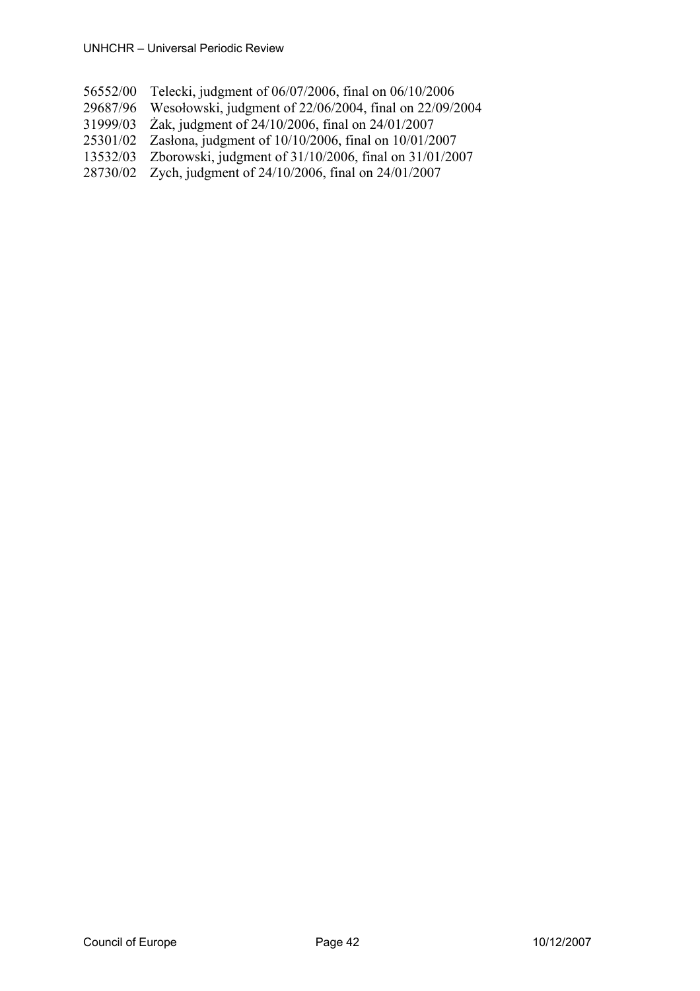- 56552/00 Telecki, judgment of 06/07/2006, final on 06/10/2006
- 29687/96 Wesołowski, judgment of 22/06/2004, final on 22/09/2004
- 31999/03 Żak, judgment of 24/10/2006, final on 24/01/2007
- 25301/02 Zasłona, judgment of 10/10/2006, final on 10/01/2007
- 13532/03 Zborowski, judgment of 31/10/2006, final on 31/01/2007
- 28730/02 Zych, judgment of 24/10/2006, final on 24/01/2007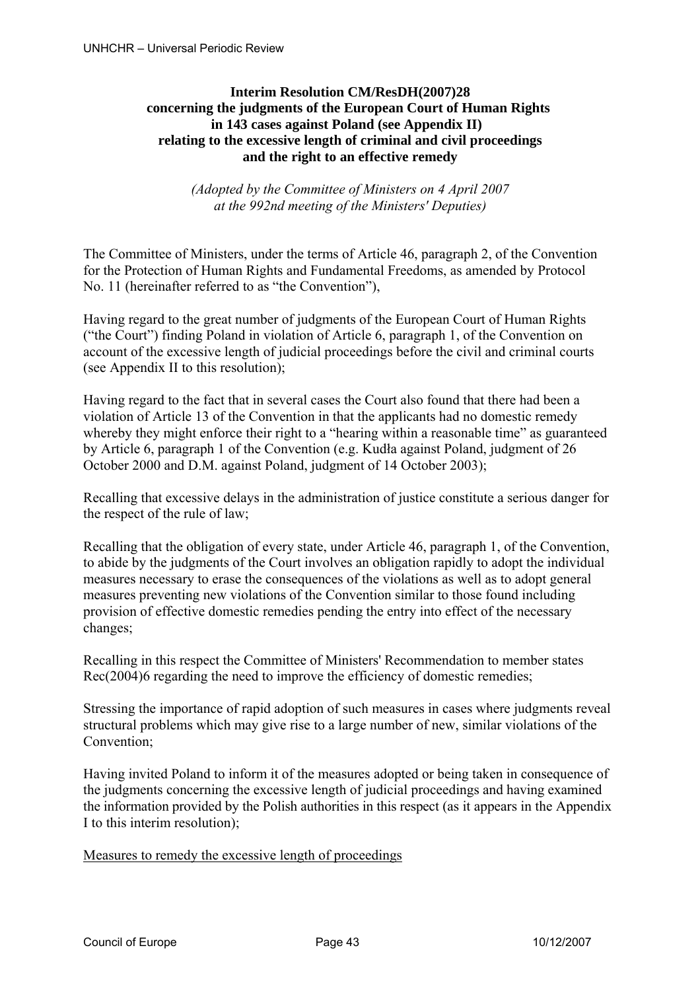# **Interim Resolution CM/ResDH(2007)28 concerning the judgments of the European Court of Human Rights in 143 cases against Poland (see Appendix II) relating to the excessive length of criminal and civil proceedings and the right to an effective remedy**

*(Adopted by the Committee of Ministers on 4 April 2007 at the 992nd meeting of the Ministers' Deputies)* 

The Committee of Ministers, under the terms of Article 46, paragraph 2, of the Convention for the Protection of Human Rights and Fundamental Freedoms, as amended by Protocol No. 11 (hereinafter referred to as "the Convention"),

Having regard to the great number of judgments of the European Court of Human Rights ("the Court") finding Poland in violation of Article 6, paragraph 1, of the Convention on account of the excessive length of judicial proceedings before the civil and criminal courts (see Appendix II to this resolution);

Having regard to the fact that in several cases the Court also found that there had been a violation of Article 13 of the Convention in that the applicants had no domestic remedy whereby they might enforce their right to a "hearing within a reasonable time" as guaranteed by Article 6, paragraph 1 of the Convention (e.g. Kudła against Poland, judgment of 26 October 2000 and D.M. against Poland, judgment of 14 October 2003);

Recalling that excessive delays in the administration of justice constitute a serious danger for the respect of the rule of law;

Recalling that the obligation of every state, under Article 46, paragraph 1, of the Convention, to abide by the judgments of the Court involves an obligation rapidly to adopt the individual measures necessary to erase the consequences of the violations as well as to adopt general measures preventing new violations of the Convention similar to those found including provision of effective domestic remedies pending the entry into effect of the necessary changes;

Recalling in this respect the Committee of Ministers' Recommendation to member states Rec(2004)6 regarding the need to improve the efficiency of domestic remedies;

Stressing the importance of rapid adoption of such measures in cases where judgments reveal structural problems which may give rise to a large number of new, similar violations of the Convention;

Having invited Poland to inform it of the measures adopted or being taken in consequence of the judgments concerning the excessive length of judicial proceedings and having examined the information provided by the Polish authorities in this respect (as it appears in the Appendix I to this interim resolution);

Measures to remedy the excessive length of proceedings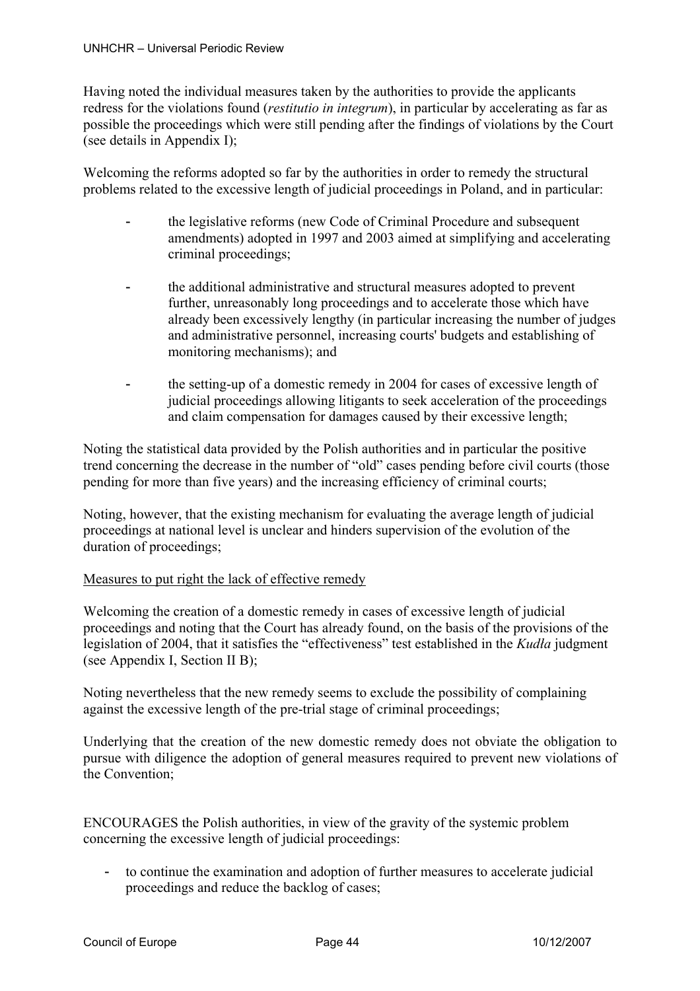Having noted the individual measures taken by the authorities to provide the applicants redress for the violations found (*restitutio in integrum*), in particular by accelerating as far as possible the proceedings which were still pending after the findings of violations by the Court (see details in Appendix I);

Welcoming the reforms adopted so far by the authorities in order to remedy the structural problems related to the excessive length of judicial proceedings in Poland, and in particular:

- the legislative reforms (new Code of Criminal Procedure and subsequent amendments) adopted in 1997 and 2003 aimed at simplifying and accelerating criminal proceedings;
- the additional administrative and structural measures adopted to prevent further, unreasonably long proceedings and to accelerate those which have already been excessively lengthy (in particular increasing the number of judges and administrative personnel, increasing courts' budgets and establishing of monitoring mechanisms); and
- the setting-up of a domestic remedy in 2004 for cases of excessive length of judicial proceedings allowing litigants to seek acceleration of the proceedings and claim compensation for damages caused by their excessive length;

Noting the statistical data provided by the Polish authorities and in particular the positive trend concerning the decrease in the number of "old" cases pending before civil courts (those pending for more than five years) and the increasing efficiency of criminal courts;

Noting, however, that the existing mechanism for evaluating the average length of judicial proceedings at national level is unclear and hinders supervision of the evolution of the duration of proceedings;

# Measures to put right the lack of effective remedy

Welcoming the creation of a domestic remedy in cases of excessive length of judicial proceedings and noting that the Court has already found, on the basis of the provisions of the legislation of 2004, that it satisfies the "effectiveness" test established in the *Kudła* judgment (see Appendix I, Section II B);

Noting nevertheless that the new remedy seems to exclude the possibility of complaining against the excessive length of the pre-trial stage of criminal proceedings;

Underlying that the creation of the new domestic remedy does not obviate the obligation to pursue with diligence the adoption of general measures required to prevent new violations of the Convention;

ENCOURAGES the Polish authorities, in view of the gravity of the systemic problem concerning the excessive length of judicial proceedings:

- to continue the examination and adoption of further measures to accelerate judicial proceedings and reduce the backlog of cases;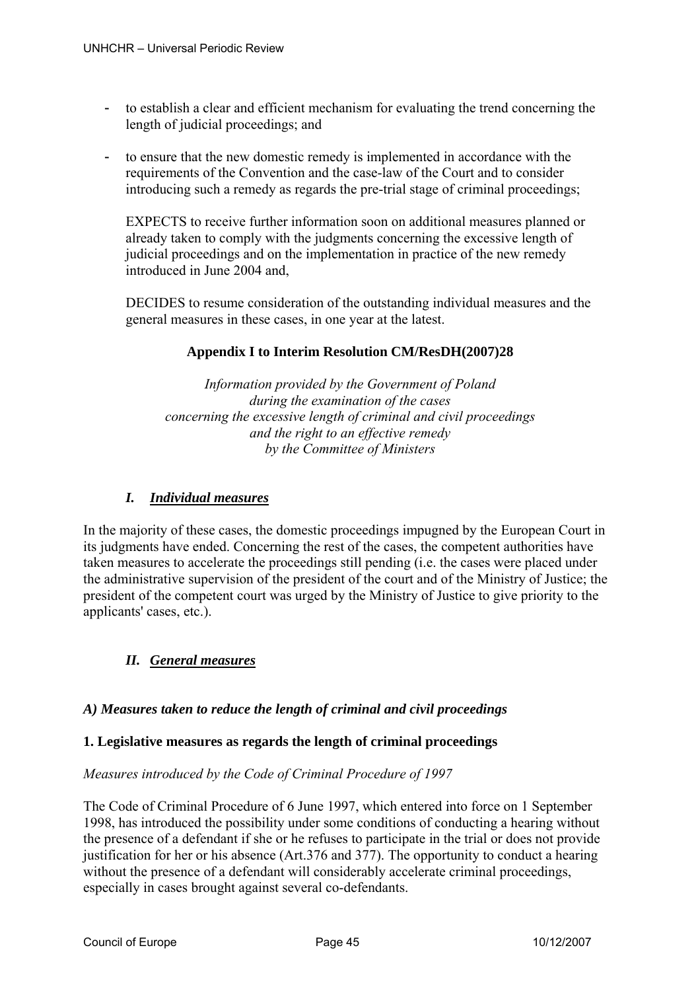- to establish a clear and efficient mechanism for evaluating the trend concerning the length of judicial proceedings; and
- to ensure that the new domestic remedy is implemented in accordance with the requirements of the Convention and the case-law of the Court and to consider introducing such a remedy as regards the pre-trial stage of criminal proceedings;

EXPECTS to receive further information soon on additional measures planned or already taken to comply with the judgments concerning the excessive length of judicial proceedings and on the implementation in practice of the new remedy introduced in June 2004 and,

DECIDES to resume consideration of the outstanding individual measures and the general measures in these cases, in one year at the latest.

# **Appendix I to Interim Resolution CM/ResDH(2007)28**

*Information provided by the Government of Poland during the examination of the cases concerning the excessive length of criminal and civil proceedings and the right to an effective remedy by the Committee of Ministers* 

# *I. Individual measures*

In the majority of these cases, the domestic proceedings impugned by the European Court in its judgments have ended. Concerning the rest of the cases, the competent authorities have taken measures to accelerate the proceedings still pending (i.e. the cases were placed under the administrative supervision of the president of the court and of the Ministry of Justice; the president of the competent court was urged by the Ministry of Justice to give priority to the applicants' cases, etc.).

# *II. General measures*

# *A) Measures taken to reduce the length of criminal and civil proceedings*

# **1. Legislative measures as regards the length of criminal proceedings**

# *Measures introduced by the Code of Criminal Procedure of 1997*

The Code of Criminal Procedure of 6 June 1997, which entered into force on 1 September 1998, has introduced the possibility under some conditions of conducting a hearing without the presence of a defendant if she or he refuses to participate in the trial or does not provide justification for her or his absence (Art.376 and 377). The opportunity to conduct a hearing without the presence of a defendant will considerably accelerate criminal proceedings, especially in cases brought against several co-defendants.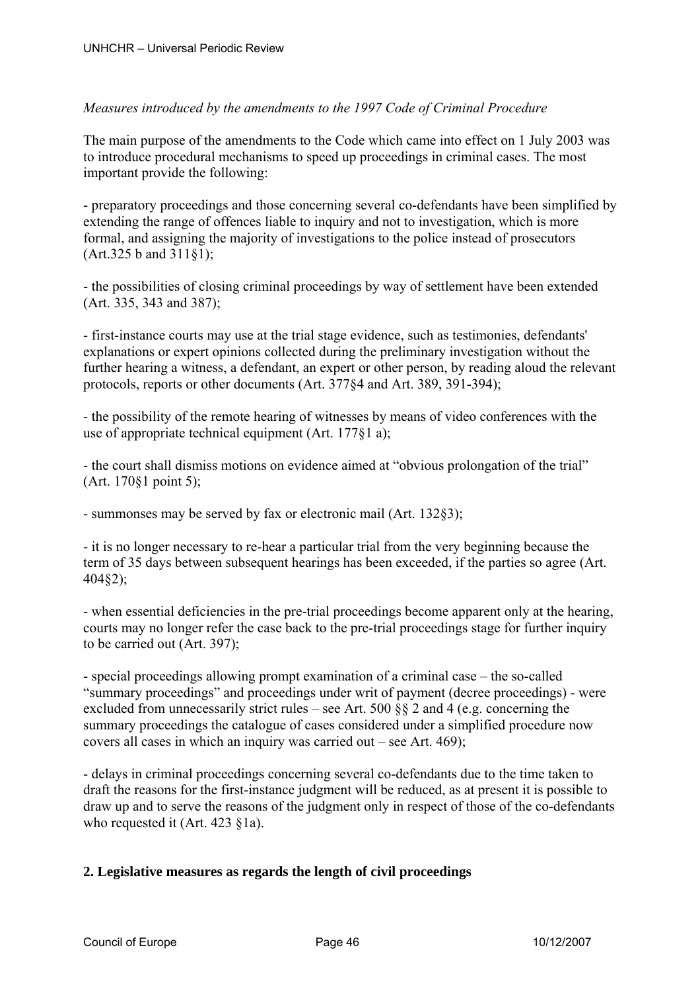# *Measures introduced by the amendments to the 1997 Code of Criminal Procedure*

The main purpose of the amendments to the Code which came into effect on 1 July 2003 was to introduce procedural mechanisms to speed up proceedings in criminal cases. The most important provide the following:

- preparatory proceedings and those concerning several co-defendants have been simplified by extending the range of offences liable to inquiry and not to investigation, which is more formal, and assigning the majority of investigations to the police instead of prosecutors (Art.325 b and 311§1);

- the possibilities of closing criminal proceedings by way of settlement have been extended (Art. 335, 343 and 387);

- first-instance courts may use at the trial stage evidence, such as testimonies, defendants' explanations or expert opinions collected during the preliminary investigation without the further hearing a witness, a defendant, an expert or other person, by reading aloud the relevant protocols, reports or other documents (Art. 377§4 and Art. 389, 391-394);

- the possibility of the remote hearing of witnesses by means of video conferences with the use of appropriate technical equipment (Art. 177§1 a);

- the court shall dismiss motions on evidence aimed at "obvious prolongation of the trial" (Art. 170§1 point 5);

- summonses may be served by fax or electronic mail (Art. 132§3);

- it is no longer necessary to re-hear a particular trial from the very beginning because the term of 35 days between subsequent hearings has been exceeded, if the parties so agree (Art. 404§2);

- when essential deficiencies in the pre-trial proceedings become apparent only at the hearing, courts may no longer refer the case back to the pre-trial proceedings stage for further inquiry to be carried out (Art. 397);

- special proceedings allowing prompt examination of a criminal case – the so-called "summary proceedings" and proceedings under writ of payment (decree proceedings) - were excluded from unnecessarily strict rules – see Art. 500 §§ 2 and 4 (e.g. concerning the summary proceedings the catalogue of cases considered under a simplified procedure now covers all cases in which an inquiry was carried out – see Art. 469);

- delays in criminal proceedings concerning several co-defendants due to the time taken to draft the reasons for the first-instance judgment will be reduced, as at present it is possible to draw up and to serve the reasons of the judgment only in respect of those of the co-defendants who requested it (Art. 423 §1a).

# **2. Legislative measures as regards the length of civil proceedings**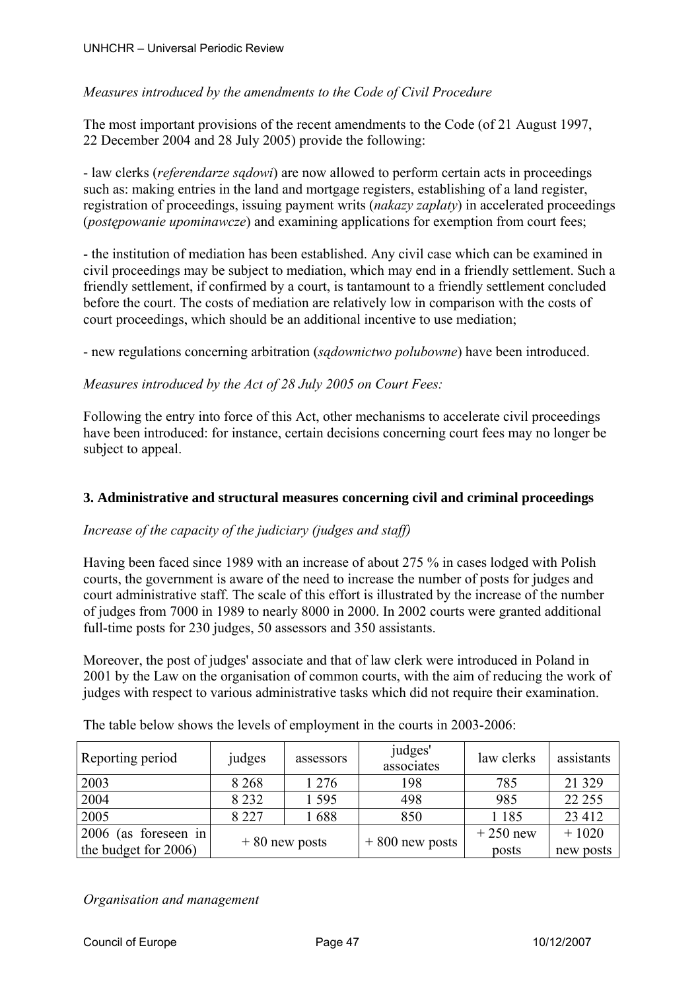# *Measures introduced by the amendments to the Code of Civil Procedure*

The most important provisions of the recent amendments to the Code (of 21 August 1997, 22 December 2004 and 28 July 2005) provide the following:

- law clerks (*referendarze sądowi*) are now allowed to perform certain acts in proceedings such as: making entries in the land and mortgage registers, establishing of a land register, registration of proceedings, issuing payment writs (*nakazy zapłaty*) in accelerated proceedings (*postępowanie upominawcze*) and examining applications for exemption from court fees;

- the institution of mediation has been established. Any civil case which can be examined in civil proceedings may be subject to mediation, which may end in a friendly settlement. Such a friendly settlement, if confirmed by a court, is tantamount to a friendly settlement concluded before the court. The costs of mediation are relatively low in comparison with the costs of court proceedings, which should be an additional incentive to use mediation;

- new regulations concerning arbitration (*sądownictwo polubowne*) have been introduced.

# *Measures introduced by the Act of 28 July 2005 on Court Fees:*

Following the entry into force of this Act, other mechanisms to accelerate civil proceedings have been introduced: for instance, certain decisions concerning court fees may no longer be subject to appeal.

# **3. Administrative and structural measures concerning civil and criminal proceedings**

# *Increase of the capacity of the judiciary (judges and staff)*

Having been faced since 1989 with an increase of about 275 % in cases lodged with Polish courts, the government is aware of the need to increase the number of posts for judges and court administrative staff. The scale of this effort is illustrated by the increase of the number of judges from 7000 in 1989 to nearly 8000 in 2000. In 2002 courts were granted additional full-time posts for 230 judges, 50 assessors and 350 assistants.

Moreover, the post of judges' associate and that of law clerk were introduced in Poland in 2001 by the Law on the organisation of common courts, with the aim of reducing the work of judges with respect to various administrative tasks which did not require their examination.

| Reporting period        | judges          | assessors | judges'<br>associates | law clerks | assistants |
|-------------------------|-----------------|-----------|-----------------------|------------|------------|
| 2003                    | 8 2 6 8         | 1 2 7 6   | 198                   | 785        | 21 3 29    |
| 2004                    | 8 2 3 2         | 1595      | 498                   | 985        | 22 2 5 5   |
| 2005                    | 8 2 2 7         | 1688      | 850                   | 1 1 8 5    | 23 4 12    |
| (as foreseen in<br>2006 | $+80$ new posts |           | $+800$ new posts      | $+250$ new | $+1020$    |
| the budget for 2006)    |                 |           |                       | posts      | new posts  |

The table below shows the levels of employment in the courts in 2003-2006:

*Organisation and management*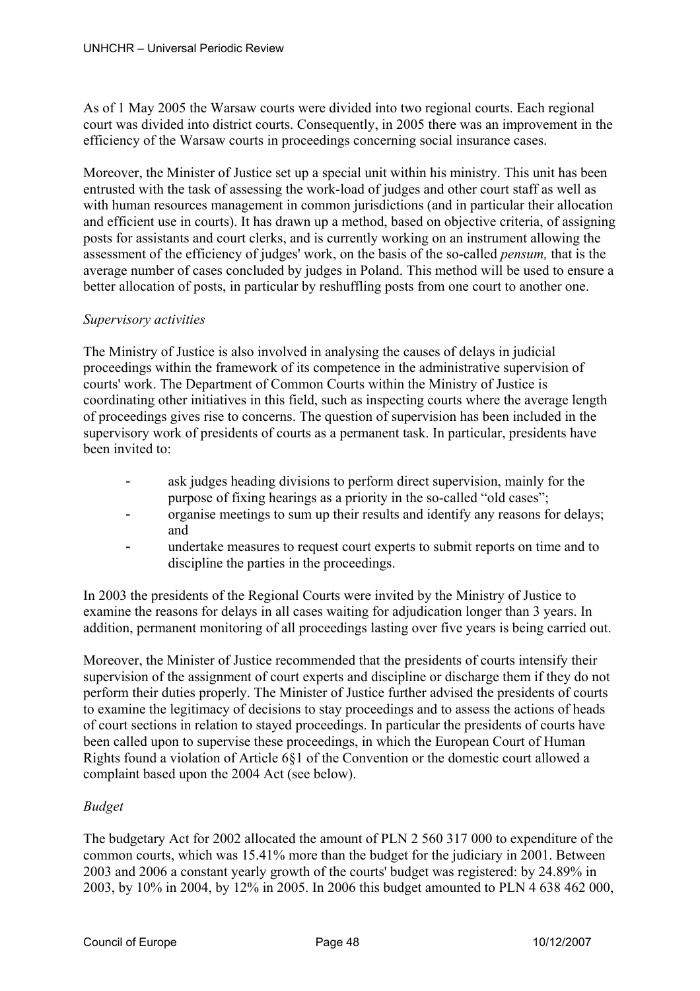As of 1 May 2005 the Warsaw courts were divided into two regional courts. Each regional court was divided into district courts. Consequently, in 2005 there was an improvement in the efficiency of the Warsaw courts in proceedings concerning social insurance cases.

Moreover, the Minister of Justice set up a special unit within his ministry. This unit has been entrusted with the task of assessing the work-load of judges and other court staff as well as with human resources management in common jurisdictions (and in particular their allocation and efficient use in courts). It has drawn up a method, based on objective criteria, of assigning posts for assistants and court clerks, and is currently working on an instrument allowing the assessment of the efficiency of judges' work, on the basis of the so-called *pensum,* that is the average number of cases concluded by judges in Poland. This method will be used to ensure a better allocation of posts, in particular by reshuffling posts from one court to another one.

# *Supervisory activities*

The Ministry of Justice is also involved in analysing the causes of delays in judicial proceedings within the framework of its competence in the administrative supervision of courts' work. The Department of Common Courts within the Ministry of Justice is coordinating other initiatives in this field, such as inspecting courts where the average length of proceedings gives rise to concerns. The question of supervision has been included in the supervisory work of presidents of courts as a permanent task. In particular, presidents have been invited to:

- ask judges heading divisions to perform direct supervision, mainly for the purpose of fixing hearings as a priority in the so-called "old cases";
- organise meetings to sum up their results and identify any reasons for delays; and
- undertake measures to request court experts to submit reports on time and to discipline the parties in the proceedings.

In 2003 the presidents of the Regional Courts were invited by the Ministry of Justice to examine the reasons for delays in all cases waiting for adjudication longer than 3 years. In addition, permanent monitoring of all proceedings lasting over five years is being carried out.

Moreover, the Minister of Justice recommended that the presidents of courts intensify their supervision of the assignment of court experts and discipline or discharge them if they do not perform their duties properly. The Minister of Justice further advised the presidents of courts to examine the legitimacy of decisions to stay proceedings and to assess the actions of heads of court sections in relation to stayed proceedings. In particular the presidents of courts have been called upon to supervise these proceedings, in which the European Court of Human Rights found a violation of Article 6§1 of the Convention or the domestic court allowed a complaint based upon the 2004 Act (see below).

# *Budget*

The budgetary Act for 2002 allocated the amount of PLN 2 560 317 000 to expenditure of the common courts, which was 15.41% more than the budget for the judiciary in 2001. Between 2003 and 2006 a constant yearly growth of the courts' budget was registered: by 24.89% in 2003, by 10% in 2004, by 12% in 2005. In 2006 this budget amounted to PLN 4 638 462 000,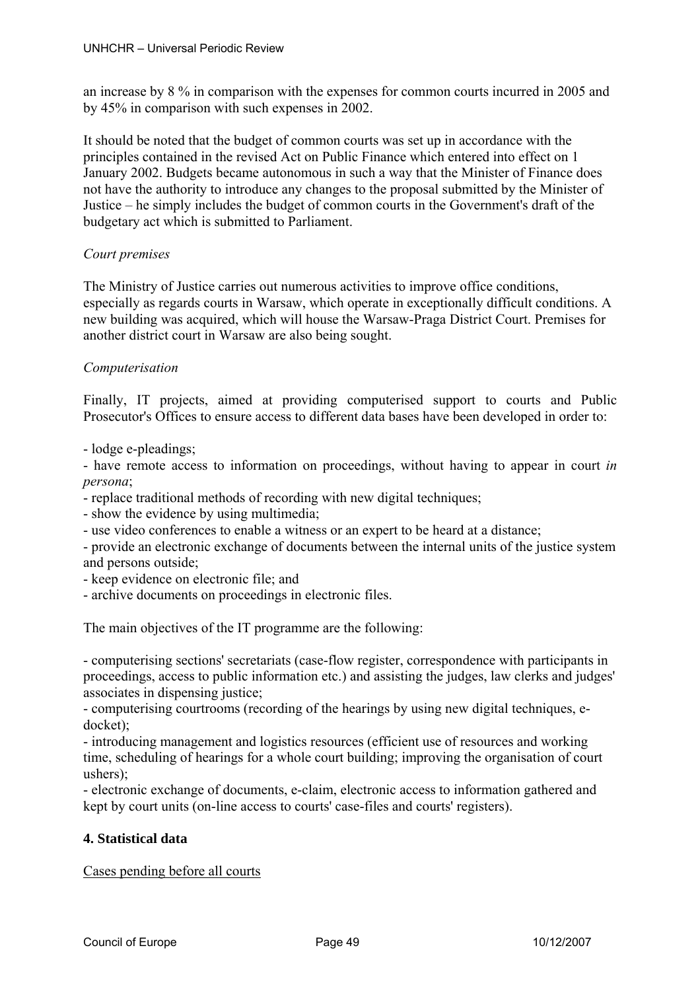an increase by 8 % in comparison with the expenses for common courts incurred in 2005 and by 45% in comparison with such expenses in 2002.

It should be noted that the budget of common courts was set up in accordance with the principles contained in the revised Act on Public Finance which entered into effect on 1 January 2002. Budgets became autonomous in such a way that the Minister of Finance does not have the authority to introduce any changes to the proposal submitted by the Minister of Justice – he simply includes the budget of common courts in the Government's draft of the budgetary act which is submitted to Parliament.

# *Court premises*

The Ministry of Justice carries out numerous activities to improve office conditions, especially as regards courts in Warsaw, which operate in exceptionally difficult conditions. A new building was acquired, which will house the Warsaw-Praga District Court. Premises for another district court in Warsaw are also being sought.

# *Computerisation*

Finally, IT projects, aimed at providing computerised support to courts and Public Prosecutor's Offices to ensure access to different data bases have been developed in order to:

- lodge e-pleadings;

- have remote access to information on proceedings, without having to appear in court *in persona*;

- replace traditional methods of recording with new digital techniques;

- show the evidence by using multimedia;

- use video conferences to enable a witness or an expert to be heard at a distance;

- provide an electronic exchange of documents between the internal units of the justice system and persons outside;

- keep evidence on electronic file; and

- archive documents on proceedings in electronic files.

The main objectives of the IT programme are the following:

- computerising sections' secretariats (case-flow register, correspondence with participants in proceedings, access to public information etc.) and assisting the judges, law clerks and judges' associates in dispensing justice;

- computerising courtrooms (recording of the hearings by using new digital techniques, edocket);

- introducing management and logistics resources (efficient use of resources and working time, scheduling of hearings for a whole court building; improving the organisation of court ushers);

- electronic exchange of documents, e-claim, electronic access to information gathered and kept by court units (on-line access to courts' case-files and courts' registers).

# **4. Statistical data**

Cases pending before all courts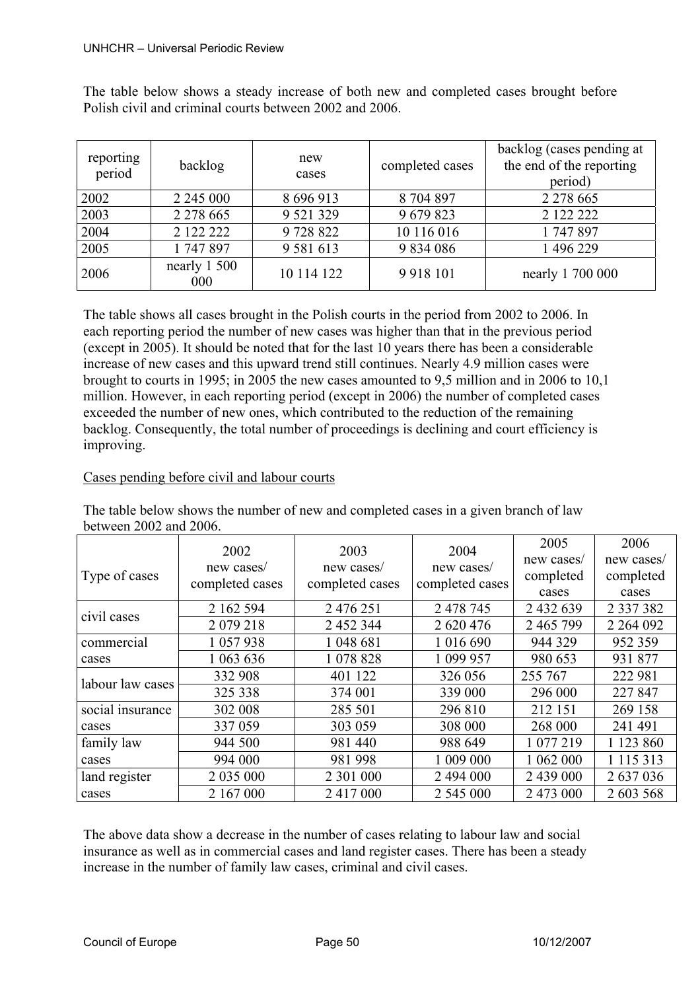The table below shows a steady increase of both new and completed cases brought before Polish civil and criminal courts between 2002 and 2006.

| reporting<br>period | backlog             | new<br>cases  | completed cases | backlog (cases pending at<br>the end of the reporting<br>period) |
|---------------------|---------------------|---------------|-----------------|------------------------------------------------------------------|
| 2002                | 2 2 4 5 0 0 0       | 8 696 913     | 8704897         | 2 2 7 8 6 6 5                                                    |
| 2003                | 2 2 7 8 6 6 5       | 9 5 21 3 29   | 9 679 823       | 2 122 222                                                        |
| 2004                | 2 122 222           | 9 728 822     | 10 116 016      | 1747897                                                          |
| 2005                | 1747897             | 9 5 8 1 6 1 3 | 9 834 086       | 1 496 229                                                        |
| 2006                | nearly 1 500<br>000 | 10 114 122    | 9918101         | nearly 1 700 000                                                 |

The table shows all cases brought in the Polish courts in the period from 2002 to 2006. In each reporting period the number of new cases was higher than that in the previous period (except in 2005). It should be noted that for the last 10 years there has been a considerable increase of new cases and this upward trend still continues. Nearly 4.9 million cases were brought to courts in 1995; in 2005 the new cases amounted to 9,5 million and in 2006 to 10,1 million. However, in each reporting period (except in 2006) the number of completed cases exceeded the number of new ones, which contributed to the reduction of the remaining backlog. Consequently, the total number of proceedings is declining and court efficiency is improving.

# Cases pending before civil and labour courts

The table below shows the number of new and completed cases in a given branch of law between 2002 and 2006.

| Type of cases    | 2002<br>new cases/<br>completed cases | 2003<br>new cases/<br>completed cases | 2004<br>new cases/<br>completed cases | 2005<br>new cases/<br>completed<br>cases | 2006<br>new cases/<br>completed<br>cases |
|------------------|---------------------------------------|---------------------------------------|---------------------------------------|------------------------------------------|------------------------------------------|
| civil cases      | 2 162 594                             | 2 476 251                             | 2 478 745                             | 2 432 639                                | 2 3 3 7 3 8 2                            |
|                  | 2 0 79 2 18                           | 2 452 344                             | 2 620 476                             | 2 465 799                                | 2 2 64 0 92                              |
| commercial       | 1 057 938                             | 1 048 681                             | 1 016 690                             | 944 329                                  | 952 359                                  |
| cases            | 1 063 636                             | 1 078 828                             | 1 099 957                             | 980 653                                  | 931 877                                  |
| labour law cases | 332 908                               | 401 122                               | 326 056                               | 255 767                                  | 222 981                                  |
|                  | 325 338                               | 374 001                               | 339 000                               | 296 000                                  | 227 847                                  |
| social insurance | 302 008                               | 285 501                               | 296 810                               | 212 151                                  | 269 158                                  |
| cases            | 337 059                               | 303 059                               | 308 000                               | 268 000                                  | 241 491                                  |
| family law       | 944 500                               | 981 440                               | 988 649                               | 1 077 219                                | 1 123 860                                |
| cases            | 994 000                               | 981 998                               | 1 009 000                             | 1 062 000                                | 1 1 1 5 3 1 3                            |
| land register    | 2 035 000                             | 2 301 000                             | 2 494 000                             | 2 439 000                                | 2 637 036                                |
| cases            | 2 167 000                             | 2 417 000                             | 2 545 000                             | 2 473 000                                | 2 603 568                                |

The above data show a decrease in the number of cases relating to labour law and social insurance as well as in commercial cases and land register cases. There has been a steady increase in the number of family law cases, criminal and civil cases.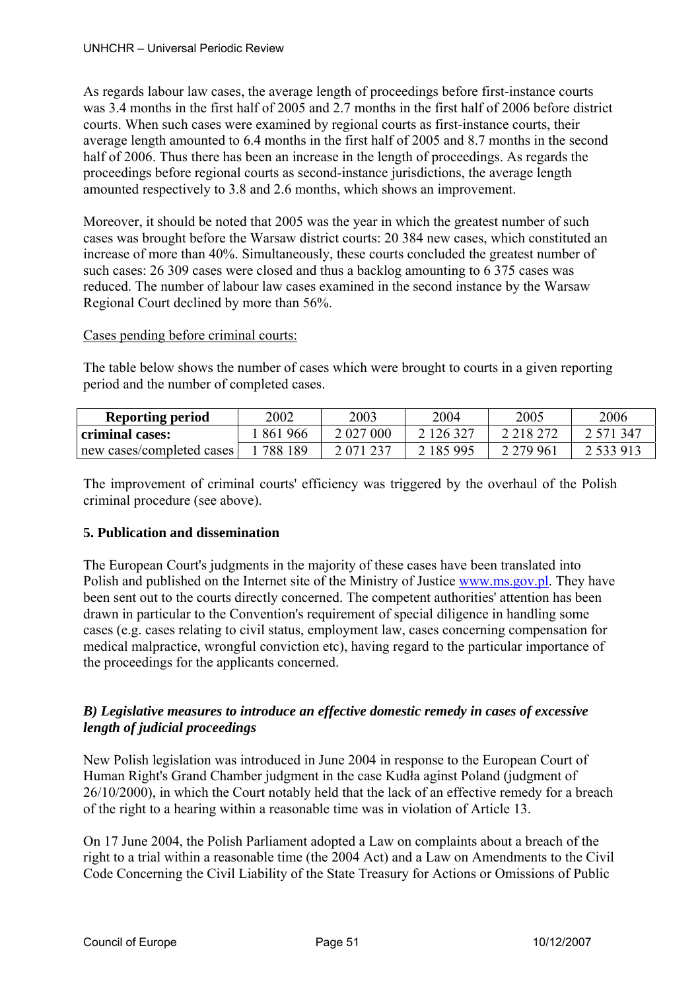As regards labour law cases, the average length of proceedings before first-instance courts was 3.4 months in the first half of 2005 and 2.7 months in the first half of 2006 before district courts. When such cases were examined by regional courts as first-instance courts, their average length amounted to 6.4 months in the first half of 2005 and 8.7 months in the second half of 2006. Thus there has been an increase in the length of proceedings. As regards the proceedings before regional courts as second-instance jurisdictions, the average length amounted respectively to 3.8 and 2.6 months, which shows an improvement.

Moreover, it should be noted that 2005 was the year in which the greatest number of such cases was brought before the Warsaw district courts: 20 384 new cases, which constituted an increase of more than 40%. Simultaneously, these courts concluded the greatest number of such cases: 26 309 cases were closed and thus a backlog amounting to 6 375 cases was reduced. The number of labour law cases examined in the second instance by the Warsaw Regional Court declined by more than 56%.

# Cases pending before criminal courts:

The table below shows the number of cases which were brought to courts in a given reporting period and the number of completed cases.

| <b>Reporting period</b>   | 2002    | 2003          | 2004      | 2005        | 2006          |
|---------------------------|---------|---------------|-----------|-------------|---------------|
| criminal cases:           | 861966  | 2 027 000     | 2 126 327 | 2 2 18 2 72 | 2.571.347     |
| new cases/completed cases | 788 189 | 2 0 7 1 2 3 7 | 2 185 995 | 2 2 7 9 9 6 | 2 5 3 9 9 1 3 |

The improvement of criminal courts' efficiency was triggered by the overhaul of the Polish criminal procedure (see above).

# **5. Publication and dissemination**

The European Court's judgments in the majority of these cases have been translated into Polish and published on the Internet site of the Ministry of Justice www.ms.gov.pl. They have been sent out to the courts directly concerned. The competent authorities' attention has been drawn in particular to the Convention's requirement of special diligence in handling some cases (e.g. cases relating to civil status, employment law, cases concerning compensation for medical malpractice, wrongful conviction etc), having regard to the particular importance of the proceedings for the applicants concerned.

# *B) Legislative measures to introduce an effective domestic remedy in cases of excessive length of judicial proceedings*

New Polish legislation was introduced in June 2004 in response to the European Court of Human Right's Grand Chamber judgment in the case Kudła aginst Poland (judgment of 26/10/2000), in which the Court notably held that the lack of an effective remedy for a breach of the right to a hearing within a reasonable time was in violation of Article 13.

On 17 June 2004, the Polish Parliament adopted a Law on complaints about a breach of the right to a trial within a reasonable time (the 2004 Act) and a Law on Amendments to the Civil Code Concerning the Civil Liability of the State Treasury for Actions or Omissions of Public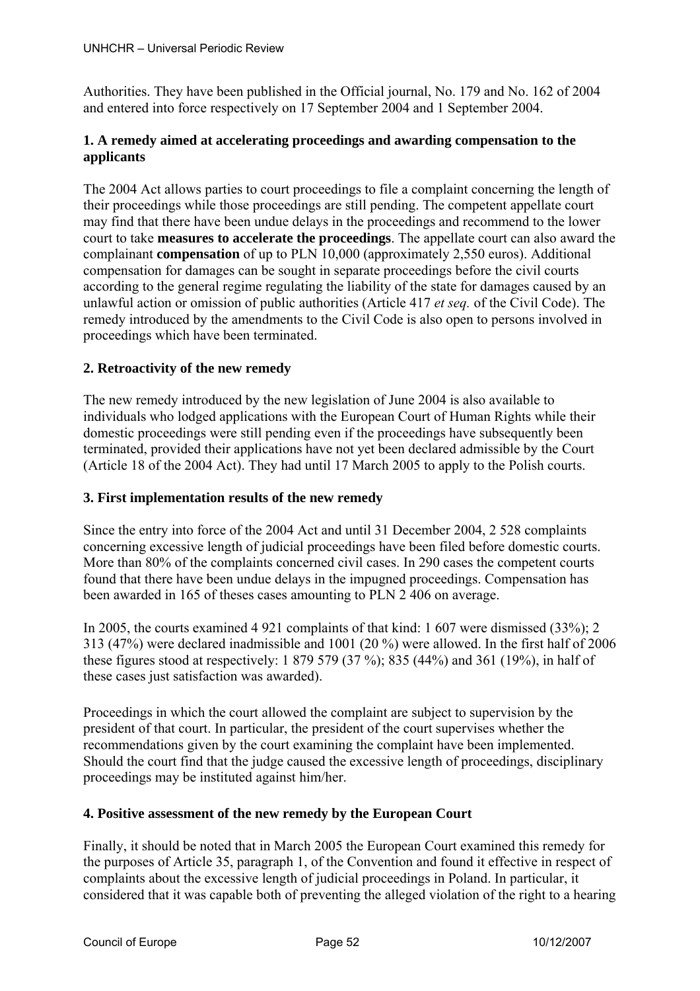Authorities. They have been published in the Official journal, No. 179 and No. 162 of 2004 and entered into force respectively on 17 September 2004 and 1 September 2004.

# **1. A remedy aimed at accelerating proceedings and awarding compensation to the applicants**

The 2004 Act allows parties to court proceedings to file a complaint concerning the length of their proceedings while those proceedings are still pending. The competent appellate court may find that there have been undue delays in the proceedings and recommend to the lower court to take **measures to accelerate the proceedings**. The appellate court can also award the complainant **compensation** of up to PLN 10,000 (approximately 2,550 euros). Additional compensation for damages can be sought in separate proceedings before the civil courts according to the general regime regulating the liability of the state for damages caused by an unlawful action or omission of public authorities (Article 417 *et seq.* of the Civil Code). The remedy introduced by the amendments to the Civil Code is also open to persons involved in proceedings which have been terminated.

# **2. Retroactivity of the new remedy**

The new remedy introduced by the new legislation of June 2004 is also available to individuals who lodged applications with the European Court of Human Rights while their domestic proceedings were still pending even if the proceedings have subsequently been terminated, provided their applications have not yet been declared admissible by the Court (Article 18 of the 2004 Act). They had until 17 March 2005 to apply to the Polish courts.

# **3. First implementation results of the new remedy**

Since the entry into force of the 2004 Act and until 31 December 2004, 2 528 complaints concerning excessive length of judicial proceedings have been filed before domestic courts. More than 80% of the complaints concerned civil cases. In 290 cases the competent courts found that there have been undue delays in the impugned proceedings. Compensation has been awarded in 165 of theses cases amounting to PLN 2 406 on average.

In 2005, the courts examined 4 921 complaints of that kind: 1 607 were dismissed (33%); 2 313 (47%) were declared inadmissible and 1001 (20 %) were allowed. In the first half of 2006 these figures stood at respectively: 1 879 579 (37 %); 835 (44%) and 361 (19%), in half of these cases just satisfaction was awarded).

Proceedings in which the court allowed the complaint are subject to supervision by the president of that court. In particular, the president of the court supervises whether the recommendations given by the court examining the complaint have been implemented. Should the court find that the judge caused the excessive length of proceedings, disciplinary proceedings may be instituted against him/her.

# **4. Positive assessment of the new remedy by the European Court**

Finally, it should be noted that in March 2005 the European Court examined this remedy for the purposes of Article 35, paragraph 1, of the Convention and found it effective in respect of complaints about the excessive length of judicial proceedings in Poland. In particular, it considered that it was capable both of preventing the alleged violation of the right to a hearing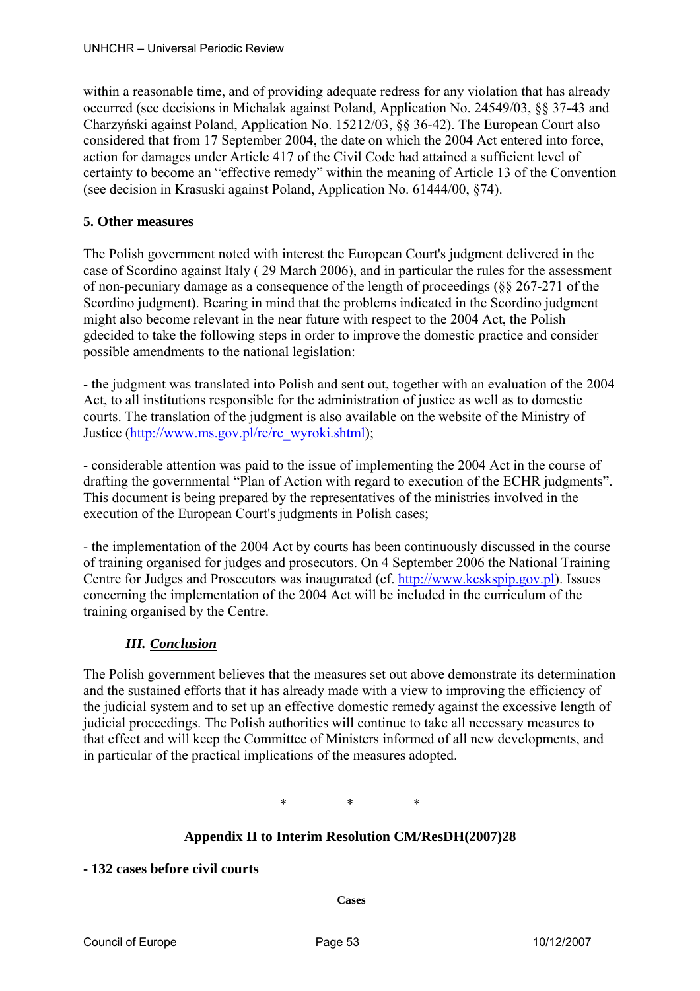within a reasonable time, and of providing adequate redress for any violation that has already occurred (see decisions in Michalak against Poland, Application No. 24549/03, §§ 37-43 and Charzyński against Poland, Application No. 15212/03, §§ 36-42). The European Court also considered that from 17 September 2004, the date on which the 2004 Act entered into force, action for damages under Article 417 of the Civil Code had attained a sufficient level of certainty to become an "effective remedy" within the meaning of Article 13 of the Convention (see decision in Krasuski against Poland, Application No. 61444/00, §74).

# **5. Other measures**

The Polish government noted with interest the European Court's judgment delivered in the case of Scordino against Italy ( 29 March 2006), and in particular the rules for the assessment of non-pecuniary damage as a consequence of the length of proceedings (§§ 267-271 of the Scordino judgment). Bearing in mind that the problems indicated in the Scordino judgment might also become relevant in the near future with respect to the 2004 Act, the Polish gdecided to take the following steps in order to improve the domestic practice and consider possible amendments to the national legislation:

- the judgment was translated into Polish and sent out, together with an evaluation of the 2004 Act, to all institutions responsible for the administration of justice as well as to domestic courts. The translation of the judgment is also available on the website of the Ministry of Justice (http://www.ms.gov.pl/re/re\_wyroki.shtml);

- considerable attention was paid to the issue of implementing the 2004 Act in the course of drafting the governmental "Plan of Action with regard to execution of the ECHR judgments". This document is being prepared by the representatives of the ministries involved in the execution of the European Court's judgments in Polish cases;

- the implementation of the 2004 Act by courts has been continuously discussed in the course of training organised for judges and prosecutors. On 4 September 2006 the National Training Centre for Judges and Prosecutors was inaugurated (cf. http://www.kcskspip.gov.pl). Issues concerning the implementation of the 2004 Act will be included in the curriculum of the training organised by the Centre.

# *III. Conclusion*

The Polish government believes that the measures set out above demonstrate its determination and the sustained efforts that it has already made with a view to improving the efficiency of the judicial system and to set up an effective domestic remedy against the excessive length of judicial proceedings. The Polish authorities will continue to take all necessary measures to that effect and will keep the Committee of Ministers informed of all new developments, and in particular of the practical implications of the measures adopted.

\* \* \*

# **Appendix II to Interim Resolution CM/ResDH(2007)28**

# **- 132 cases before civil courts**

**Cases**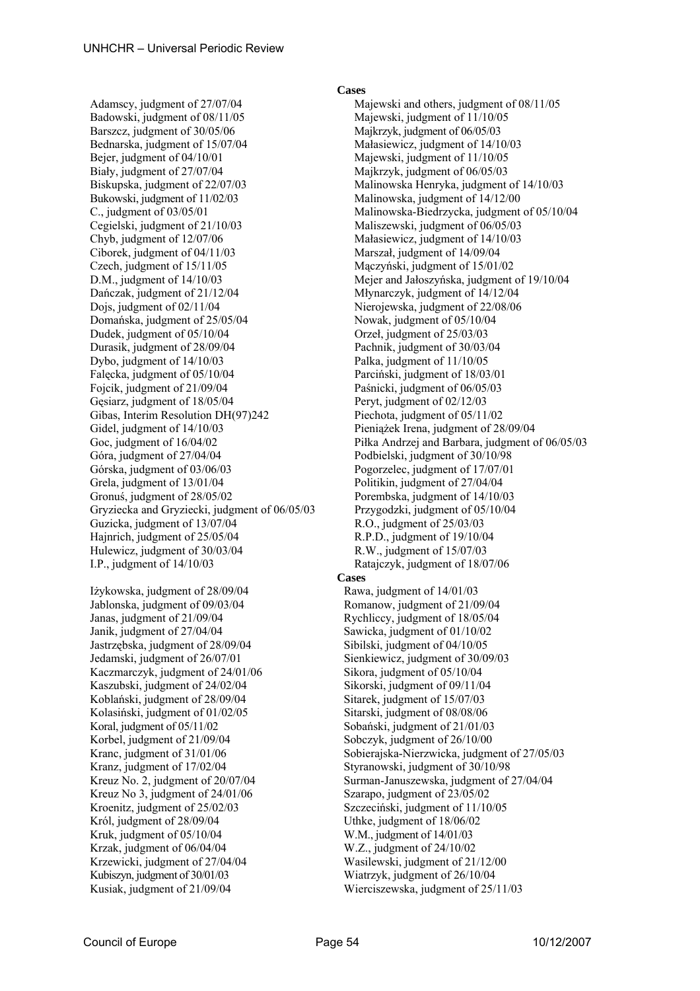Adamscy, judgment of 27/07/04 Majewski and others, judgment of 08/11/05 Badowski, judgment of 08/11/05 Majewski, judgment of 11/10/05 Barszcz, judgment of 30/05/06 Majkrzyk, judgment of 06/05/03 Bednarska, judgment of 15/07/04 Małasiewicz, judgment of 14/10/03 Bejer, judgment of 04/10/01 Majewski, judgment of 11/10/05 Biały, judgment of 27/07/04 Majkrzyk, judgment of 06/05/03 Biskupska, judgment of 22/07/03 Malinowska Henryka, judgment of 14/10/03 Bukowski, judgment of 11/02/03 Malinowska, judgment of 14/12/00 Cegielski, judgment of 21/10/03 Maliszewski, judgment of 06/05/03 Chyb, judgment of  $12/07/06$  Małasiewicz, judgment of  $14/10/03$ Ciborek, judgment of 04/11/03 Marszał, judgment of 14/09/04 Czech, judgment of 15/11/05 Mączyński, judgment of 15/01/02 Dańczak, judgment of 21/12/04 Młynarczyk, judgment of 14/12/04 Dojs, judgment of 02/11/04 Nierojewska, judgment of 22/08/06 Domańska, judgment of 25/05/04 Nowak, judgment of 05/10/04 Dudek, judgment of 05/10/04 Orzeł, judgment of 25/03/03 Durasik, judgment of 28/09/04 Pachnik, judgment of 30/03/04 Dybo, judgment of 14/10/03 Palka, judgment of 11/10/05 Falęcka, judgment of 05/10/04 Parciński, judgment of 18/03/01 Fojcik, judgment of 21/09/04 Paśnicki, judgment of 06/05/03 Gęsiarz, judgment of 18/05/04 Peryt, judgment of 02/12/03 Gibas, Interim Resolution DH(97)242 Piechota, judgment of 05/11/02 Gidel, judgment of  $14/10/03$  Pieniążek Irena, judgment of 28/09/04 Góra, judgment of 27/04/04 Podbielski, judgment of 30/10/98 Górska, judgment of 03/06/03 Pogorzelec, judgment of 17/07/01 Grela, judgment of 13/01/04 Politikin, judgment of 27/04/04 Gronuś, judgment of  $28/05/02$  Porembska, judgment of  $14/10/03$ Gryziecka and Gryziecki, judgment of 06/05/03 Przygodzki, judgment of 05/10/04 Guzicka, judgment of 13/07/04 R.O., judgment of 25/03/03 Hajnrich, judgment of 25/05/04 R.P.D., judgment of 19/10/04 Hulewicz, judgment of 30/03/04 R.W., judgment of 15/07/03 I.P., judgment of 14/10/03 Ratajczyk, judgment of 18/07/06

Iżykowska, judgment of 28/09/04 Rawa, judgment of 14/01/03 Jablonska, judgment of 09/03/04 Romanow, judgment of 21/09/04 Janas, judgment of 21/09/04 Rychliccy, judgment of 18/05/04 Janik, judgment of 27/04/04 Sawicka, judgment of 01/10/02 Jastrzębska, judgment of 28/09/04 Sibilski, judgment of 04/10/05 Jedamski, judgment of 26/07/01 Sienkiewicz, judgment of 30/09/03 Kaczmarczyk, judgment of 24/01/06 Sikora, judgment of 05/10/04 Kaszubski, judgment of 24/02/04 Sikorski, judgment of 09/11/04 Koblański, judgment of 28/09/04 Sitarek, judgment of 15/07/03 Kolasiński, judgment of 01/02/05 Sitarski, judgment of 08/08/06 Koral, judgment of 05/11/02 Sobański, judgment of 21/01/03 Korbel, judgment of  $21/09/04$  Sobczyk, judgment of  $26/10/00$ Kranz, judgment of 17/02/04 Styranowski, judgment of 30/10/98 Kreuz No 3, judgment of 24/01/06 Szarapo, judgment of 23/05/02 Kroenitz, judgment of  $25/02/03$  Szczeciński, judgment of  $11/10/05$ Król, judgment of 28/09/04 Uthke, judgment of 18/06/02 Kruk, judgment of 05/10/04 W.M., judgment of 14/01/03 Krzak, judgment of 06/04/04 W.Z., judgment of 24/10/02 Krzewicki, judgment of 27/04/04 Wasilewski, judgment of 21/12/00 Kubiszyn, judgment of 30/01/03 Wiatrzyk, judgment of 26/10/04 Kusiak, judgment of 21/09/04 Wierciszewska, judgment of 25/11/03

#### **Cases**

C., judgment of 03/05/01 Malinowska-Biedrzycka, judgment of 05/10/04 D.M., judgment of 14/10/03 Mejer and Jałoszyńska, judgment of 19/10/04 Goc, judgment of 16/04/02 Piłka Andrzej and Barbara, judgment of 06/05/03 **Cases**  Kranc, judgment of 31/01/06 Sobierajska-Nierzwicka, judgment of 27/05/03 Kreuz No. 2, judgment of 20/07/04 Surman-Januszewska, judgment of 27/04/04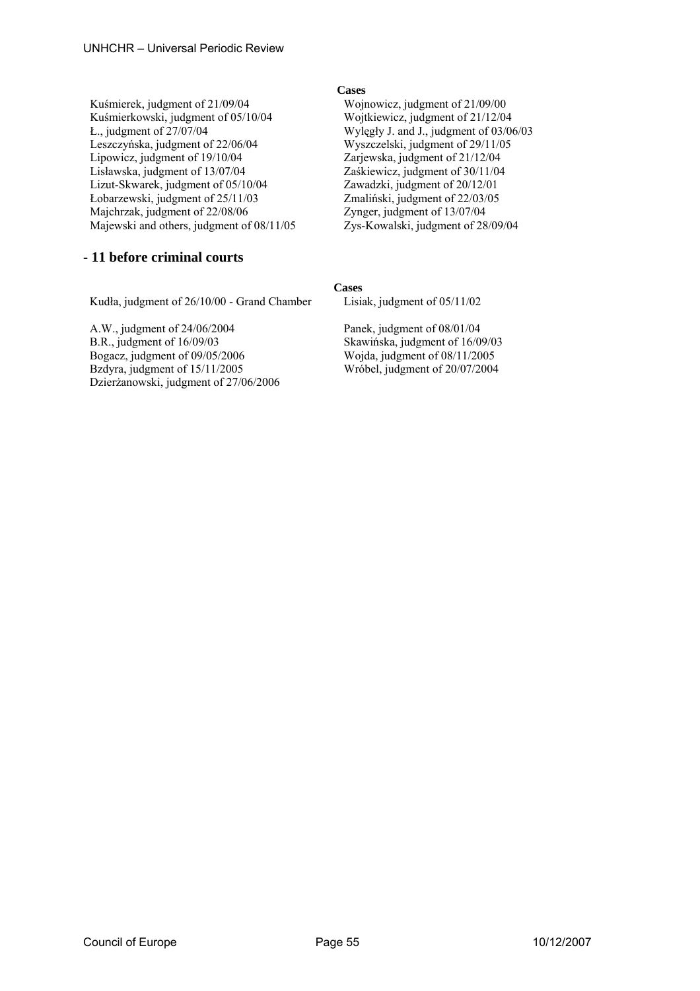Kuśmierek, judgment of 21/09/04 Wojnowicz, judgment of 21/09/00 Kuśmierkowski, judgment of 05/10/04 Wojtkiewicz, judgment of 21/12/04 Ł., judgment of 27/07/04 Wylęgły J. and J., judgment of 03/06/03 Leszczyńska, judgment of 22/06/04 Wyszczelski, judgment of 29/11/05 Lipowicz, judgment of 19/10/04 Zarjewska, judgment of 21/12/04 Lisławska, judgment of 13/07/04 Zaśkiewicz, judgment of 30/11/04 Lizut-Skwarek, judgment of 05/10/04 Zawadzki, judgment of 20/12/01 Łobarzewski, judgment of 25/11/03 Zmaliński, judgment of 22/03/05 Majchrzak, judgment of 22/08/06 Majewski and others, judgment of 08/11/05 Zys-Kowalski, judgment of 28/09/04

# **- 11 before criminal courts**

Kudła, judgment of 26/10/00 - Grand Chamber Lisiak, judgment of 05/11/02

A.W., judgment of 24/06/2004 Panek, judgment of 08/01/04 B.R., judgment of 16/09/03 Skawińska, judgment of 16/09/03 Bogacz, judgment of 09/05/2006 Wojda, judgment of 08/11/2005 Bzdyra, judgment of 15/11/2005 Wróbel, judgment of 20/07/2004 Dzierżanowski, judgment of 27/06/2006

## **Cases**

## **Cases**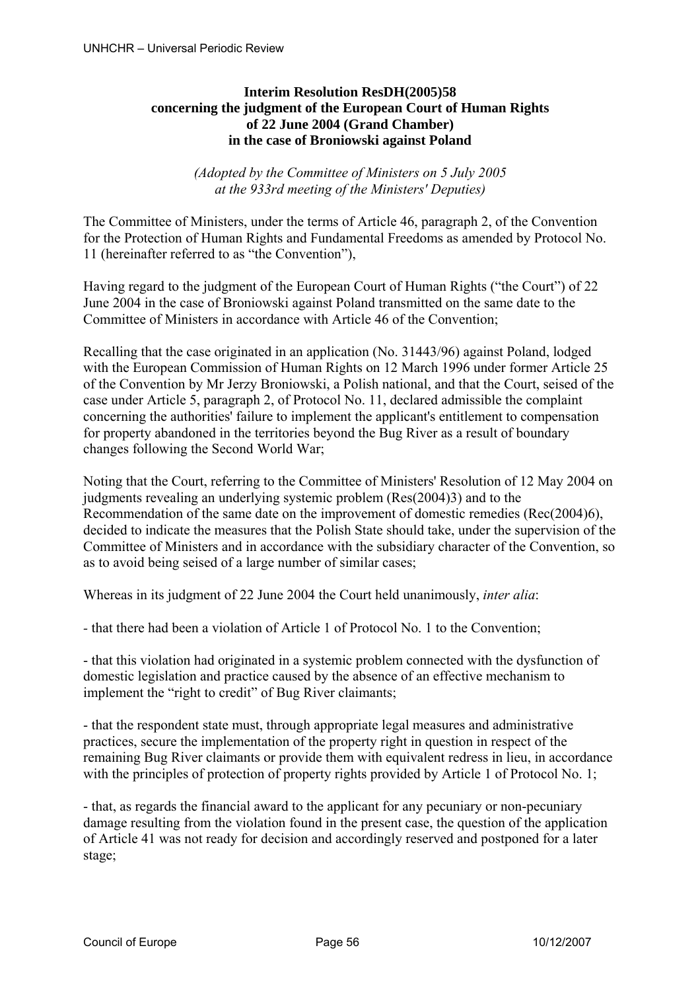# **Interim Resolution ResDH(2005)58 concerning the judgment of the European Court of Human Rights of 22 June 2004 (Grand Chamber) in the case of Broniowski against Poland**

*(Adopted by the Committee of Ministers on 5 July 2005 at the 933rd meeting of the Ministers' Deputies)* 

The Committee of Ministers, under the terms of Article 46, paragraph 2, of the Convention for the Protection of Human Rights and Fundamental Freedoms as amended by Protocol No. 11 (hereinafter referred to as "the Convention"),

Having regard to the judgment of the European Court of Human Rights ("the Court") of 22 June 2004 in the case of Broniowski against Poland transmitted on the same date to the Committee of Ministers in accordance with Article 46 of the Convention;

Recalling that the case originated in an application (No. 31443/96) against Poland, lodged with the European Commission of Human Rights on 12 March 1996 under former Article 25 of the Convention by Mr Jerzy Broniowski, a Polish national, and that the Court, seised of the case under Article 5, paragraph 2, of Protocol No. 11, declared admissible the complaint concerning the authorities' failure to implement the applicant's entitlement to compensation for property abandoned in the territories beyond the Bug River as a result of boundary changes following the Second World War;

Noting that the Court, referring to the Committee of Ministers' Resolution of 12 May 2004 on judgments revealing an underlying systemic problem (Res(2004)3) and to the Recommendation of the same date on the improvement of domestic remedies (Rec(2004)6), decided to indicate the measures that the Polish State should take, under the supervision of the Committee of Ministers and in accordance with the subsidiary character of the Convention, so as to avoid being seised of a large number of similar cases;

Whereas in its judgment of 22 June 2004 the Court held unanimously, *inter alia*:

*-* that there had been a violation of Article 1 of Protocol No. 1 to the Convention;

- that this violation had originated in a systemic problem connected with the dysfunction of domestic legislation and practice caused by the absence of an effective mechanism to implement the "right to credit" of Bug River claimants;

- that the respondent state must, through appropriate legal measures and administrative practices, secure the implementation of the property right in question in respect of the remaining Bug River claimants or provide them with equivalent redress in lieu, in accordance with the principles of protection of property rights provided by Article 1 of Protocol No. 1;

- that, as regards the financial award to the applicant for any pecuniary or non-pecuniary damage resulting from the violation found in the present case, the question of the application of Article 41 was not ready for decision and accordingly reserved and postponed for a later stage;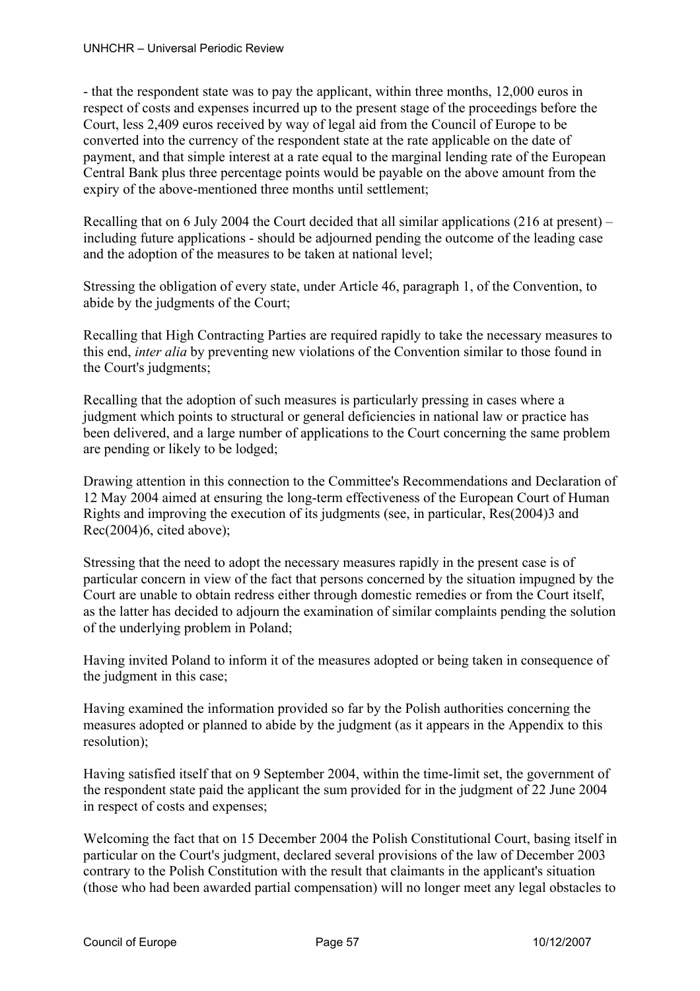- that the respondent state was to pay the applicant, within three months, 12,000 euros in respect of costs and expenses incurred up to the present stage of the proceedings before the Court, less 2,409 euros received by way of legal aid from the Council of Europe to be converted into the currency of the respondent state at the rate applicable on the date of payment, and that simple interest at a rate equal to the marginal lending rate of the European Central Bank plus three percentage points would be payable on the above amount from the expiry of the above-mentioned three months until settlement;

Recalling that on 6 July 2004 the Court decided that all similar applications (216 at present) – including future applications - should be adjourned pending the outcome of the leading case and the adoption of the measures to be taken at national level;

Stressing the obligation of every state, under Article 46, paragraph 1, of the Convention, to abide by the judgments of the Court;

Recalling that High Contracting Parties are required rapidly to take the necessary measures to this end, *inter alia* by preventing new violations of the Convention similar to those found in the Court's judgments;

Recalling that the adoption of such measures is particularly pressing in cases where a judgment which points to structural or general deficiencies in national law or practice has been delivered, and a large number of applications to the Court concerning the same problem are pending or likely to be lodged;

Drawing attention in this connection to the Committee's Recommendations and Declaration of 12 May 2004 aimed at ensuring the long-term effectiveness of the European Court of Human Rights and improving the execution of its judgments (see, in particular, Res(2004)3 and Rec(2004)6, cited above);

Stressing that the need to adopt the necessary measures rapidly in the present case is of particular concern in view of the fact that persons concerned by the situation impugned by the Court are unable to obtain redress either through domestic remedies or from the Court itself, as the latter has decided to adjourn the examination of similar complaints pending the solution of the underlying problem in Poland;

Having invited Poland to inform it of the measures adopted or being taken in consequence of the judgment in this case;

Having examined the information provided so far by the Polish authorities concerning the measures adopted or planned to abide by the judgment (as it appears in the Appendix to this resolution);

Having satisfied itself that on 9 September 2004, within the time-limit set, the government of the respondent state paid the applicant the sum provided for in the judgment of 22 June 2004 in respect of costs and expenses;

Welcoming the fact that on 15 December 2004 the Polish Constitutional Court, basing itself in particular on the Court's judgment, declared several provisions of the law of December 2003 contrary to the Polish Constitution with the result that claimants in the applicant's situation (those who had been awarded partial compensation) will no longer meet any legal obstacles to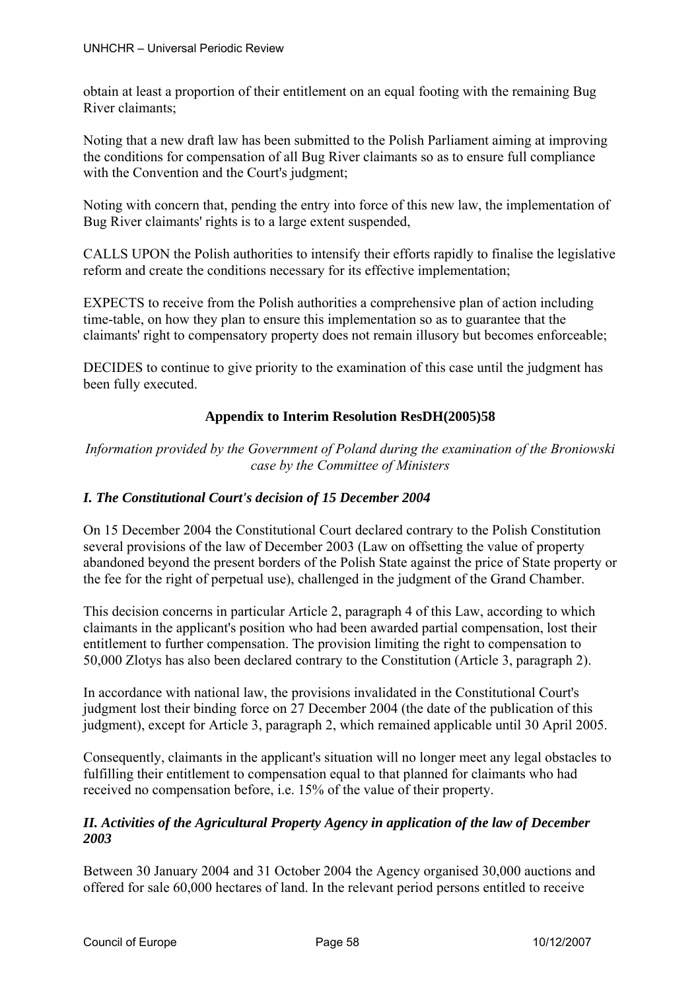obtain at least a proportion of their entitlement on an equal footing with the remaining Bug River claimants;

Noting that a new draft law has been submitted to the Polish Parliament aiming at improving the conditions for compensation of all Bug River claimants so as to ensure full compliance with the Convention and the Court's judgment;

Noting with concern that, pending the entry into force of this new law, the implementation of Bug River claimants' rights is to a large extent suspended,

CALLS UPON the Polish authorities to intensify their efforts rapidly to finalise the legislative reform and create the conditions necessary for its effective implementation;

EXPECTS to receive from the Polish authorities a comprehensive plan of action including time-table, on how they plan to ensure this implementation so as to guarantee that the claimants' right to compensatory property does not remain illusory but becomes enforceable;

DECIDES to continue to give priority to the examination of this case until the judgment has been fully executed.

# **Appendix to Interim Resolution ResDH(2005)58**

*Information provided by the Government of Poland during the examination of the Broniowski case by the Committee of Ministers* 

# *I. The Constitutional Court's decision of 15 December 2004*

On 15 December 2004 the Constitutional Court declared contrary to the Polish Constitution several provisions of the law of December 2003 (Law on offsetting the value of property abandoned beyond the present borders of the Polish State against the price of State property or the fee for the right of perpetual use), challenged in the judgment of the Grand Chamber.

This decision concerns in particular Article 2, paragraph 4 of this Law, according to which claimants in the applicant's position who had been awarded partial compensation, lost their entitlement to further compensation. The provision limiting the right to compensation to 50,000 Zlotys has also been declared contrary to the Constitution (Article 3, paragraph 2).

In accordance with national law, the provisions invalidated in the Constitutional Court's judgment lost their binding force on 27 December 2004 (the date of the publication of this judgment), except for Article 3, paragraph 2, which remained applicable until 30 April 2005.

Consequently, claimants in the applicant's situation will no longer meet any legal obstacles to fulfilling their entitlement to compensation equal to that planned for claimants who had received no compensation before, i.e. 15% of the value of their property.

# *II. Activities of the Agricultural Property Agency in application of the law of December 2003*

Between 30 January 2004 and 31 October 2004 the Agency organised 30,000 auctions and offered for sale 60,000 hectares of land. In the relevant period persons entitled to receive